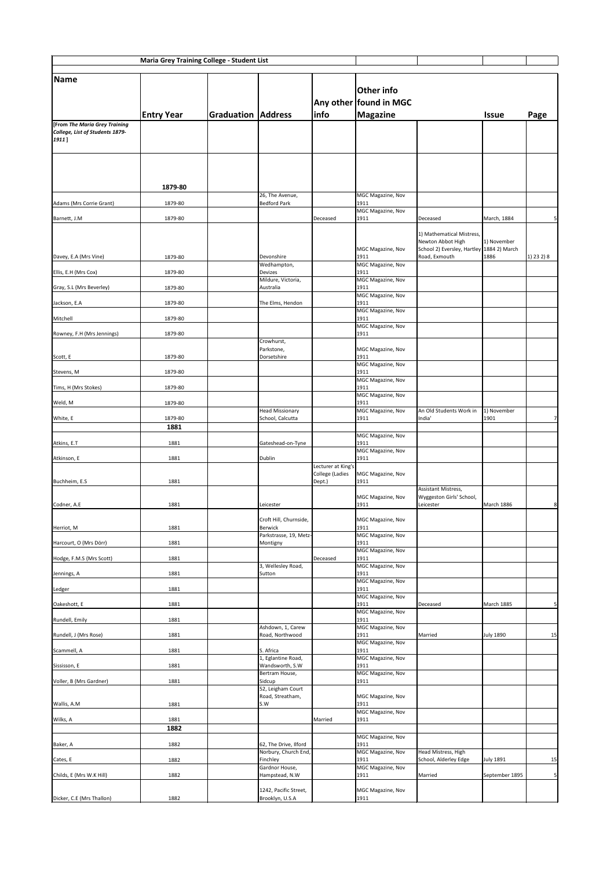| <b>Maria Grey Training College - Student List</b>     |                    |            |                                                            |                                              |                                                                       |                                                                  |                   |                |
|-------------------------------------------------------|--------------------|------------|------------------------------------------------------------|----------------------------------------------|-----------------------------------------------------------------------|------------------------------------------------------------------|-------------------|----------------|
| Name                                                  | <b>Entry Year</b>  | Graduation | <b>Address</b>                                             | $ $ info                                     | <b>Other info</b><br><b>Any other found in MGC</b><br><b>Magazine</b> |                                                                  | <b>Issue</b>      | Page           |
| <b>From The Maria Grey Training</b>                   |                    |            |                                                            |                                              |                                                                       |                                                                  |                   |                |
| College, List of Students 1879-<br>1911]              |                    |            |                                                            |                                              |                                                                       |                                                                  |                   |                |
|                                                       | 1879-80            |            | 26, The Avenue,                                            |                                              | MGC Magazine, Nov                                                     |                                                                  |                   |                |
| Adams (Mrs Corrie Grant)                              | 1879-80            |            | <b>Bedford Park</b>                                        |                                              | 1911<br>MGC Magazine, Nov                                             |                                                                  |                   |                |
| Barnett, J.M                                          | 1879-80            |            |                                                            | Deceased                                     | 1911                                                                  | Deceased<br>1) Mathematical Mistress,                            | March, 1884       | 5 <sup>1</sup> |
|                                                       |                    |            |                                                            |                                              | MGC Magazine, Nov<br>1911                                             | Newton Abbot High<br>School 2) Eversley, Hartley   1884 2) March | 1) November       |                |
| Davey, E.A (Mrs Vine)                                 | 1879-80            |            | Devonshire<br>Wedhampton,                                  |                                              | MGC Magazine, Nov                                                     | Road, Exmouth                                                    | 1886              | $(1)$ 23 2) 8  |
| Ellis, E.H (Mrs Cox)                                  | 1879-80            |            | Devizes<br>Mildure, Victoria,                              |                                              | 1911<br>MGC Magazine, Nov                                             |                                                                  |                   |                |
| Gray, S.L (Mrs Beverley)<br>Jackson, E.A              | 1879-80<br>1879-80 |            | Australia<br>The Elms, Hendon                              |                                              | 1911<br>MGC Magazine, Nov<br>1911                                     |                                                                  |                   |                |
| Mitchell                                              | 1879-80            |            |                                                            |                                              | MGC Magazine, Nov<br>1911                                             |                                                                  |                   |                |
| Rowney, F.H (Mrs Jennings)                            | 1879-80            |            | Crowhurst,                                                 |                                              | MGC Magazine, Nov<br>1911                                             |                                                                  |                   |                |
|                                                       |                    |            | Parkstone,                                                 |                                              | MGC Magazine, Nov                                                     |                                                                  |                   |                |
| Scott, E                                              | 1879-80            |            | Dorsetshire                                                |                                              | 1911<br>MGC Magazine, Nov                                             |                                                                  |                   |                |
| Stevens, M                                            | 1879-80            |            |                                                            |                                              | 1911<br>MGC Magazine, Nov                                             |                                                                  |                   |                |
| Tims, H (Mrs Stokes)                                  | 1879-80            |            |                                                            |                                              | 1911<br>MGC Magazine, Nov                                             |                                                                  |                   |                |
| Weld, M                                               | 1879-80            |            | <b>Head Missionary</b>                                     |                                              | 1911<br><b>MGC Magazine, Nov</b>                                      | An Old Students Work in                                          | 1) November       |                |
| White, E                                              | 1879-80<br>1881    |            | School, Calcutta                                           |                                              | 1911                                                                  | India'                                                           | 1901              | 7 <sup>1</sup> |
| Atkins, E.T                                           | 1881               |            | Gateshead-on-Tyne                                          |                                              | <b>MGC Magazine, Nov</b><br>1911                                      |                                                                  |                   |                |
| Atkinson, E                                           | 1881               |            | <b>Dublin</b>                                              |                                              | MGC Magazine, Nov<br>1911                                             |                                                                  |                   |                |
|                                                       |                    |            |                                                            | Lecturer at King's<br><b>College (Ladies</b> | MGC Magazine, Nov                                                     |                                                                  |                   |                |
| Buchheim, E.S.                                        | 1881               |            |                                                            | Dept.)                                       | 1911                                                                  | Assistant Mistress,                                              |                   |                |
| Codner, A.E                                           | 1881               |            | Leicester                                                  |                                              | MGC Magazine, Nov<br>1911                                             | Wyggeston Girls' School,<br>Leicester                            | <b>March 1886</b> | 8 <sup>1</sup> |
| Herriot, M                                            | 1881               |            | Croft Hill, Churnside,<br>Berwick                          |                                              | MGC Magazine, Nov<br>1911                                             |                                                                  |                   |                |
| Harcourt, O (Mrs Dörr)                                | 1881               |            | Parkstrasse, 19, Metz-<br>Montigny                         |                                              | MGC Magazine, Nov<br>1911                                             |                                                                  |                   |                |
| Hodge, F.M.S (Mrs Scott)                              | 1881               |            |                                                            | Deceased                                     | MGC Magazine, Nov<br>1911                                             |                                                                  |                   |                |
| Jennings, A                                           | 1881               |            | 3, Wellesley Road,<br>Sutton                               |                                              | MGC Magazine, Nov<br>1911                                             |                                                                  |                   |                |
| Ledger                                                | 1881               |            |                                                            |                                              | MGC Magazine, Nov<br>1911                                             |                                                                  |                   |                |
| Oakeshott, E                                          | 1881               |            |                                                            |                                              | <b>MGC Magazine, Nov</b><br>1911                                      | Deceased                                                         | <b>March 1885</b> | 5 <sup>1</sup> |
| Rundell, Emily                                        | 1881               |            |                                                            |                                              | <b>MGC Magazine, Nov</b><br>1911                                      |                                                                  |                   |                |
| Rundell, J (Mrs Rose)                                 | 1881               |            | Ashdown, 1, Carew<br>Road, Northwood                       |                                              | MGC Magazine, Nov<br>1911                                             | Married                                                          | <b>July 1890</b>  | 15             |
| Scammell, A                                           | 1881               |            | S. Africa                                                  |                                              | MGC Magazine, Nov<br>1911                                             |                                                                  |                   |                |
|                                                       |                    |            | 1, Eglantine Road,                                         |                                              | MGC Magazine, Nov                                                     |                                                                  |                   |                |
| Sississon, E                                          | 1881               |            | Wandsworth, S.W<br>Bertram House,                          |                                              | 1911<br><b>MGC Magazine, Nov</b>                                      |                                                                  |                   |                |
| Voller, B (Mrs Gardner)                               | 1881               |            | Sidcup<br>52, Leigham Court                                |                                              | 1911                                                                  |                                                                  |                   |                |
| Wallis, A.M                                           | 1881               |            | Road, Streatham,<br>S.W                                    |                                              | MGC Magazine, Nov<br>1911<br><b>MGC Magazine, Nov</b>                 |                                                                  |                   |                |
| Wilks, A                                              | 1881<br>1882       |            |                                                            | Married                                      | 1911                                                                  |                                                                  |                   |                |
| Baker, A                                              | 1882               |            | 62, The Drive, Ilford                                      |                                              | <b>MGC Magazine, Nov</b><br>1911                                      |                                                                  |                   |                |
|                                                       |                    |            | Norbury, Church End,                                       |                                              | MGC Magazine, Nov                                                     | Head Mistress, High                                              |                   |                |
| Cates, E                                              | 1882               |            | Finchley<br>Gardnor House,                                 |                                              | 1911<br>MGC Magazine, Nov                                             | School, Alderley Edge                                            | <b>July 1891</b>  | 15             |
| Childs, E (Mrs W.K Hill)<br>Dicker, C.E (Mrs Thallon) | 1882<br>1882       |            | Hampstead, N.W<br>1242, Pacific Street,<br>Brooklyn, U.S.A |                                              | 1911<br>MGC Magazine, Nov<br>1911                                     | Married                                                          | September 1895    | 5 <sup>1</sup> |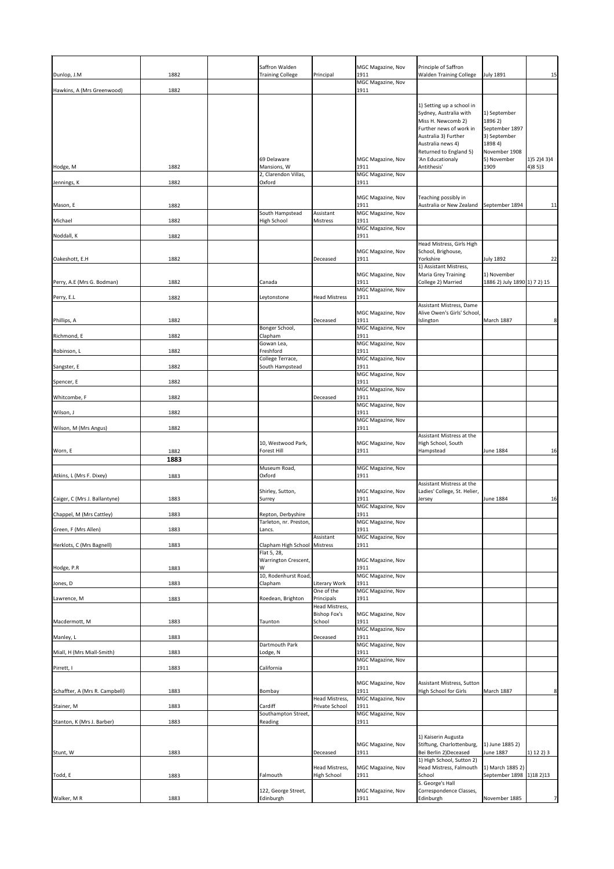|                                                           |                      | Saffron Walden                                                   |                                      | MGC Magazine, Nov                                              | Principle of Saffron                                                                                                                                                                                           |                                                                                                              |                              |
|-----------------------------------------------------------|----------------------|------------------------------------------------------------------|--------------------------------------|----------------------------------------------------------------|----------------------------------------------------------------------------------------------------------------------------------------------------------------------------------------------------------------|--------------------------------------------------------------------------------------------------------------|------------------------------|
| Dunlop, J.M                                               | 1882                 | <b>Training College</b>                                          | Principal                            | 1911<br>MGC Magazine, Nov                                      | <b>Walden Training College</b>                                                                                                                                                                                 | <b>July 1891</b>                                                                                             | 15                           |
| Hawkins, A (Mrs Greenwood)                                | 1882                 |                                                                  |                                      | 1911                                                           |                                                                                                                                                                                                                |                                                                                                              |                              |
| Hodge, M                                                  | 1882                 | 69 Delaware<br>Mansions, W                                       |                                      | MGC Magazine, Nov<br>1911                                      | 1) Setting up a school in<br>Sydney, Australia with<br>Miss H. Newcomb 2)<br>Further news of work in<br>Australia 3) Further<br>Australia news 4)<br>Returned to England 5)<br>'An Educationaly<br>Antithesis' | 1) September<br>1896 2)<br>September 1897<br>3) September<br>1898 4)<br>November 1908<br>5) November<br>1909 | 1) 5 2) 4 3) 4<br>$(4)85$ )3 |
|                                                           |                      | 2, Clarendon Villas,                                             |                                      | MGC Magazine, Nov                                              |                                                                                                                                                                                                                |                                                                                                              |                              |
| Jennings, K<br>Mason, E<br>Michael                        | 1882<br>1882<br>1882 | Oxford<br>South Hampstead<br>High School                         | Assistant<br>Mistress                | 1911<br>MGC Magazine, Nov<br>1911<br>MGC Magazine, Nov<br>1911 | Teaching possibly in<br>Australia or New Zealand                                                                                                                                                               | September 1894                                                                                               | 11                           |
| Noddall, K                                                | 1882                 |                                                                  |                                      | MGC Magazine, Nov<br>1911                                      |                                                                                                                                                                                                                |                                                                                                              |                              |
| Oakeshott, E.H                                            | 1882                 |                                                                  | Deceased                             | <b>MGC Magazine, Nov</b><br>1911<br>MGC Magazine, Nov          | Head Mistress, Girls High<br>School, Brighouse,<br>Yorkshire<br>1) Assistant Mistress,<br>Maria Grey Training                                                                                                  | <b>July 1892</b><br>1) November                                                                              | 22                           |
| Perry, A.E (Mrs G. Bodman)                                | 1882                 | Canada                                                           |                                      | 1911<br>MGC Magazine, Nov                                      | College 2) Married                                                                                                                                                                                             | 1886 2) July 1890 1 7 2) 15                                                                                  |                              |
| Perry, E.L<br>Phillips, A                                 | 1882<br>1882         | Leytonstone<br>Bonger School,                                    | <b>Head Mistress</b><br>Deceased     | 1911<br><b>MGC Magazine, Nov</b><br>1911<br>MGC Magazine, Nov  | Assistant Mistress, Dame<br>Alive Owen's Girls' School,<br>Islington                                                                                                                                           | March 1887                                                                                                   | 8 <sup>1</sup>               |
| Richmond, E                                               | 1882                 | Clapham<br>Gowan Lea,                                            |                                      | 1911<br>MGC Magazine, Nov                                      |                                                                                                                                                                                                                |                                                                                                              |                              |
| Robinson, L                                               | 1882                 | Freshford                                                        |                                      | 1911                                                           |                                                                                                                                                                                                                |                                                                                                              |                              |
| Sangster, E                                               | 1882                 | College Terrace,<br>South Hampstead                              |                                      | MGC Magazine, Nov<br>1911                                      |                                                                                                                                                                                                                |                                                                                                              |                              |
| Spencer, E                                                | 1882                 |                                                                  |                                      | MGC Magazine, Nov<br>1911                                      |                                                                                                                                                                                                                |                                                                                                              |                              |
| Whitcombe, F                                              | 1882                 |                                                                  | Deceased                             | MGC Magazine, Nov<br>1911                                      |                                                                                                                                                                                                                |                                                                                                              |                              |
| Wilson, J                                                 | 1882                 |                                                                  |                                      | MGC Magazine, Nov<br>1911                                      |                                                                                                                                                                                                                |                                                                                                              |                              |
| Wilson, M (Mrs Angus)                                     | 1882                 |                                                                  |                                      | MGC Magazine, Nov<br>1911                                      |                                                                                                                                                                                                                |                                                                                                              |                              |
| Worn, E                                                   | 1882<br>1883         | 10, Westwood Park,<br>Forest Hill                                |                                      | MGC Magazine, Nov<br>1911                                      | Assistant Mistress at the<br>High School, South<br>Hampstead                                                                                                                                                   | <b>June 1884</b>                                                                                             | 16                           |
| Atkins, L (Mrs F. Dixey)                                  | 1883                 | Museum Road,<br>Oxford                                           |                                      | MGC Magazine, Nov<br>1911                                      |                                                                                                                                                                                                                |                                                                                                              |                              |
|                                                           |                      | Shirley, Sutton,                                                 |                                      | MGC Magazine, Nov                                              | Assistant Mistress at the<br>Ladies' College, St. Helier,                                                                                                                                                      |                                                                                                              |                              |
| Caiger, C (Mrs J. Ballantyne)<br>Chappel, M (Mrs Cattley) | 1883<br>1883         | Surrey<br>Repton, Derbyshire                                     |                                      | 1911<br>MGC Magazine, Nov<br>1911                              | Jersey                                                                                                                                                                                                         | <b>June 1884</b>                                                                                             | 16                           |
| Green, F (Mrs Allen)                                      | 1883                 | Tarleton, nr. Preston,<br>Lancs.                                 |                                      | MGC Magazine, Nov<br>1911                                      |                                                                                                                                                                                                                |                                                                                                              |                              |
| Herklots, C (Mrs Bagnell)                                 | 1883                 | Clapham High School Mistress                                     | Assistant                            | MGC Magazine, Nov<br>1911                                      |                                                                                                                                                                                                                |                                                                                                              |                              |
| Hodge, P.R                                                | 1883                 | Flat 5, 28,<br>Warrington Crescent,<br>W<br>10, Rodenhurst Road, |                                      | MGC Magazine, Nov<br>1911<br>MGC Magazine, Nov                 |                                                                                                                                                                                                                |                                                                                                              |                              |
| Jones, D                                                  | 1883                 | Clapham                                                          | Literary Work<br>One of the          | 1911<br>MGC Magazine, Nov                                      |                                                                                                                                                                                                                |                                                                                                              |                              |
| Lawrence, M                                               | 1883                 | Roedean, Brighton                                                | Principals<br>Head Mistress,         | 1911                                                           |                                                                                                                                                                                                                |                                                                                                              |                              |
| Macdermott, M                                             | 1883                 | <b>Taunton</b>                                                   | <b>Bishop Fox's</b><br>School        | MGC Magazine, Nov<br>1911                                      |                                                                                                                                                                                                                |                                                                                                              |                              |
| Manley, L                                                 | 1883                 |                                                                  | Deceased                             | MGC Magazine, Nov<br>1911                                      |                                                                                                                                                                                                                |                                                                                                              |                              |
| Miall, H (Mrs Miall-Smith)                                | 1883                 | Dartmouth Park<br>Lodge, N                                       |                                      | MGC Magazine, Nov<br>1911                                      |                                                                                                                                                                                                                |                                                                                                              |                              |
| Pirrett, I                                                | 1883                 | California                                                       |                                      | MGC Magazine, Nov<br>1911                                      |                                                                                                                                                                                                                |                                                                                                              |                              |
|                                                           |                      |                                                                  |                                      | MGC Magazine, Nov                                              | Assistant Mistress, Sutton                                                                                                                                                                                     |                                                                                                              |                              |
| Schaffter, A (Mrs R. Campbell)                            | 1883                 | Bombay                                                           | Head Mistress,                       | 1911<br>MGC Magazine, Nov                                      | High School for Girls                                                                                                                                                                                          | March 1887                                                                                                   | 8 <sup>1</sup>               |
| Stainer, M<br>Stanton, K (Mrs J. Barber)                  | 1883                 | Cardiff<br>Southampton Street,<br>Reading                        | Private School                       | 1911<br>MGC Magazine, Nov<br>1911                              |                                                                                                                                                                                                                |                                                                                                              |                              |
|                                                           | 1883                 |                                                                  |                                      |                                                                |                                                                                                                                                                                                                |                                                                                                              |                              |
| Stunt, W                                                  | 1883                 |                                                                  | Deceased                             | <b>MGC Magazine, Nov</b><br>1911                               | 1) Kaiserin Augusta<br>Stiftung, Charlottenburg,<br>Bei Berlin 2) Deceased<br>1) High School, Sutton 2)                                                                                                        | 1) June 1885 2)<br><b>June 1887</b>                                                                          | (1) 12 2) 3                  |
| Todd, E                                                   | 1883                 | Falmouth<br>122, George Street,                                  | Head Mistress,<br><b>High School</b> | MGC Magazine, Nov<br>1911<br>MGC Magazine, Nov                 | Head Mistress, Falmouth<br>School<br>S. George's Hall<br>Correspondence Classes,                                                                                                                               | 1) March 1885 2)<br>September 1898 1)18 2)13                                                                 |                              |
| Walker, MR                                                | 1883                 | Edinburgh                                                        |                                      | 1911                                                           | Edinburgh                                                                                                                                                                                                      | November 1885                                                                                                | 7                            |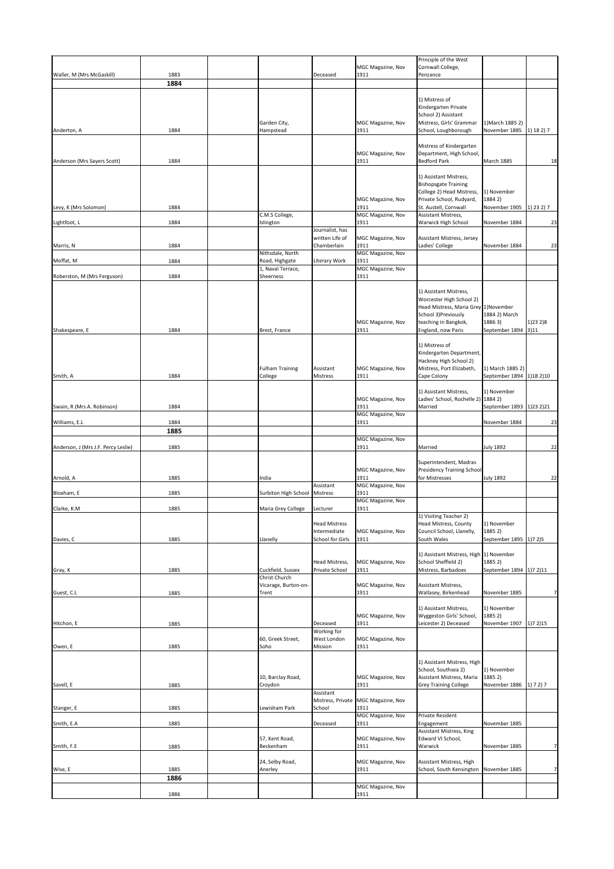|                                     |      |                                    |                                      |                                       | Principle of the West                                 |                              |                |
|-------------------------------------|------|------------------------------------|--------------------------------------|---------------------------------------|-------------------------------------------------------|------------------------------|----------------|
|                                     |      |                                    |                                      | MGC Magazine, Nov                     | Cornwall College,                                     |                              |                |
| Waller, M (Mrs McGaskill)           | 1883 |                                    | Deceased                             | 1911                                  | Penzance                                              |                              |                |
|                                     | 1884 |                                    |                                      |                                       |                                                       |                              |                |
|                                     |      |                                    |                                      |                                       |                                                       |                              |                |
|                                     |      |                                    |                                      |                                       | 1) Mistress of<br>Kindergarten Private                |                              |                |
|                                     |      |                                    |                                      |                                       | School 2) Assistant                                   |                              |                |
|                                     |      | Garden City,                       |                                      | MGC Magazine, Nov                     | Mistress, Girls' Grammar                              | 1) March 1885 2)             |                |
| Anderton, A                         | 1884 | Hampstead                          |                                      | 1911                                  | School, Loughborough                                  | November 1885 [1] 18 2) 7    |                |
|                                     |      |                                    |                                      |                                       |                                                       |                              |                |
|                                     |      |                                    |                                      | MGC Magazine, Nov                     | Mistress of Kindergarten<br>Department, High School,  |                              |                |
| Anderson (Mrs Sayers Scott)         | 1884 |                                    |                                      | 1911                                  | <b>Bedford Park</b>                                   | <b>March 1885</b>            | 18             |
|                                     |      |                                    |                                      |                                       |                                                       |                              |                |
|                                     |      |                                    |                                      |                                       | 1) Assistant Mistress,                                |                              |                |
|                                     |      |                                    |                                      |                                       | <b>Bishopsgate Training</b>                           |                              |                |
|                                     |      |                                    |                                      | MGC Magazine, Nov                     | College 2) Head Mistress,<br>Private School, Rudyard, | 1) November<br>1884 2)       |                |
| Levy, K (Mrs Solomon)               | 1884 |                                    |                                      | 1911                                  | St. Austell, Cornwall                                 | November 1905 [1] 23 2) 7    |                |
|                                     |      | C.M.S College,                     |                                      | MGC Magazine, Nov                     | Assistant Mistress,                                   |                              |                |
| Lightfoot, L                        | 1884 | Islington                          |                                      | 1911                                  | <b>Warwick High School</b>                            | November 1884                | 23             |
|                                     |      |                                    | Journalist, has<br>written Life of   |                                       |                                                       |                              |                |
| Marris, N                           | 1884 |                                    | Chamberlain                          | MGC Magazine, Nov<br>1911             | Assistant Mistress, Jersey<br>Ladies' College         | November 1884                | 23             |
|                                     |      | Nithsdale, North                   |                                      | MGC Magazine, Nov                     |                                                       |                              |                |
| Moffat, M                           | 1884 | Road, Highgate                     | Literary Work                        | 1911                                  |                                                       |                              |                |
|                                     |      | 1, Naval Terrace,                  |                                      | MGC Magazine, Nov                     |                                                       |                              |                |
| Roberston, M (Mrs Ferguson)         | 1884 | Sheerness                          |                                      | 1911                                  |                                                       |                              |                |
|                                     |      |                                    |                                      |                                       | 1) Assistant Mistress,                                |                              |                |
|                                     |      |                                    |                                      |                                       | Worcester High School 2)                              |                              |                |
|                                     |      |                                    |                                      |                                       | Head Mistress, Maria Grey 1) November                 |                              |                |
|                                     |      |                                    |                                      |                                       | School 3) Previously                                  | 1884 2) March                |                |
|                                     |      |                                    |                                      | MGC Magazine, Nov                     | teaching in Bangkok,                                  | 18863)                       | $(1)$ 23 2)8   |
| Shakespeare, E                      | 1884 | Brest, France                      |                                      | 1911                                  | England, now Paris                                    | September 1894 3)11          |                |
|                                     |      |                                    |                                      |                                       | 1) Mistress of                                        |                              |                |
|                                     |      |                                    |                                      |                                       | Kindergarten Department,                              |                              |                |
|                                     |      |                                    |                                      |                                       | Hackney High School 2)                                |                              |                |
|                                     |      | <b>Fulham Training</b>             | Assistant                            | MGC Magazine, Nov                     | Mistress, Port Elizabeth,                             | 1) March 1885 2)             |                |
| Smith, A                            | 1884 | College                            | Mistress                             | 1911                                  | Cape Colony                                           | September 1894 [1] 18 2] 10  |                |
|                                     |      |                                    |                                      |                                       | 1) Assistant Mistress,                                | 1) November                  |                |
|                                     |      |                                    |                                      | MGC Magazine, Nov                     | Ladies' School, Rochelle 2) [1884 2]                  |                              |                |
| Swain, R (Mrs A. Robinson)          | 1884 |                                    |                                      | 1911                                  | Married                                               | September 1893   1) 23 2) 21 |                |
|                                     |      |                                    |                                      | MGC Magazine, Nov                     |                                                       | November 1884                |                |
| Williams, E.L                       | 1884 |                                    |                                      | 1911                                  |                                                       |                              | 23             |
|                                     |      |                                    |                                      |                                       |                                                       |                              |                |
|                                     | 1885 |                                    |                                      |                                       |                                                       |                              |                |
| Anderson, J (Mrs J.F. Percy Leslie) | 1885 |                                    |                                      | MGC Magazine, Nov<br>1911             | Married                                               | <b>July 1892</b>             |                |
|                                     |      |                                    |                                      |                                       |                                                       |                              |                |
|                                     |      |                                    |                                      |                                       | Superintendent, Madras                                |                              |                |
|                                     |      |                                    |                                      | MGC Magazine, Nov                     | <b>Presidency Training School</b>                     |                              | 22             |
| Arnold, A                           | 1885 | India                              |                                      | 1911                                  | for Mistresses                                        | <b>July 1892</b>             | 22             |
| Bloxham, E                          | 1885 | Surbiton High School               | Assistant<br>Mistress                | MGC Magazine, Nov<br>1911             |                                                       |                              |                |
|                                     |      |                                    |                                      | MGC Magazine, Nov                     |                                                       |                              |                |
| Clarke, K.M                         | 1885 | Maria Grey College                 | Lecturer                             | 1911                                  |                                                       |                              |                |
|                                     |      |                                    |                                      |                                       | 1) Visiting Teacher 2)                                |                              |                |
|                                     |      |                                    | <b>Head Mistress</b><br>Intermediate | MGC Magazine, Nov                     | Head Mistress, County<br>Council School, Llanelly,    | 1) November<br>1885 2)       |                |
| Davies, C                           | 1885 | Llanelly                           | School for Girls                     | 1911                                  | South Wales                                           | September 1895   1) 7 2) 5   |                |
|                                     |      |                                    |                                      |                                       |                                                       |                              |                |
|                                     |      |                                    |                                      |                                       | 1) Assistant Mistress, High (1) November              |                              |                |
|                                     |      |                                    | Head Mistress,                       | MGC Magazine, Nov                     | School Sheffield 2)                                   | 1885 2)                      |                |
| Gray, K                             | 1885 | Cuckfield, Sussex<br>Christ Church | Private School                       | 1911                                  | Mistress, Barbadoes                                   | September 1894 [1] 7 2) 11   |                |
|                                     |      | Vicarage, Burton-on-               |                                      | MGC Magazine, Nov                     | Assistant Mistress,                                   |                              |                |
| Guest, C.L                          | 1885 | Trent                              |                                      | 1911                                  | Wallasey, Birkenhead                                  | November 1885                |                |
|                                     |      |                                    |                                      |                                       |                                                       |                              | 7 <sup>1</sup> |
|                                     |      |                                    |                                      |                                       | 1) Assistant Mistress,                                | 1) November<br>1885 2)       |                |
| Hitchon, E                          | 1885 |                                    | Deceased                             | MGC Magazine, Nov<br>1911             | Wyggeston Girls' School,<br>Leicester 2) Deceased     | November 1907                | (1)72)15       |
|                                     |      |                                    | <b>Working for</b>                   |                                       |                                                       |                              |                |
|                                     |      | 60, Greek Street,                  | <b>West London</b>                   | MGC Magazine, Nov                     |                                                       |                              |                |
| Owen, E                             | 1885 | Soho                               | Mission                              | 1911                                  |                                                       |                              |                |
|                                     |      |                                    |                                      |                                       | 1) Assistant Mistress, High                           |                              |                |
|                                     |      |                                    |                                      |                                       | School, Southsea 2)                                   | 1) November                  |                |
|                                     |      | 10, Barclay Road,                  |                                      | MGC Magazine, Nov                     | Assistant Mistress, Maria                             | 1885 2)                      |                |
| Savell, E                           | 1885 | Croydon                            |                                      | 1911                                  | <b>Grey Training College</b>                          | November 1886                | (1) 7 2) 7     |
|                                     |      |                                    | Assistant                            | Mistress, Private   MGC Magazine, Nov |                                                       |                              |                |
| Stanger, E                          | 1885 | Lewisham Park                      | School                               | 1911                                  |                                                       |                              |                |
|                                     |      |                                    |                                      | MGC Magazine, Nov                     | Private Resident                                      |                              |                |
| Smith, E.A                          | 1885 |                                    | Deceased                             | 1911                                  | Engagement                                            | November 1885                |                |
|                                     |      |                                    |                                      |                                       | <b>Assistant Mistress, King</b>                       |                              |                |
| Smith, F.E                          | 1885 | 57, Kent Road,<br>Beckenham        |                                      | MGC Magazine, Nov<br>1911             | Edward VI School,<br>Warwick                          | November 1885                | $\overline{7}$ |
|                                     |      |                                    |                                      |                                       |                                                       |                              |                |
|                                     |      | 24, Selby Road,                    |                                      | MGC Magazine, Nov                     | Assistant Mistress, High                              |                              |                |
| Wise, E                             | 1885 | Anerley                            |                                      | 1911                                  | School, South Kensington November 1885                |                              |                |
|                                     | 1886 |                                    |                                      | MGC Magazine, Nov                     |                                                       |                              | 7 <sup>1</sup> |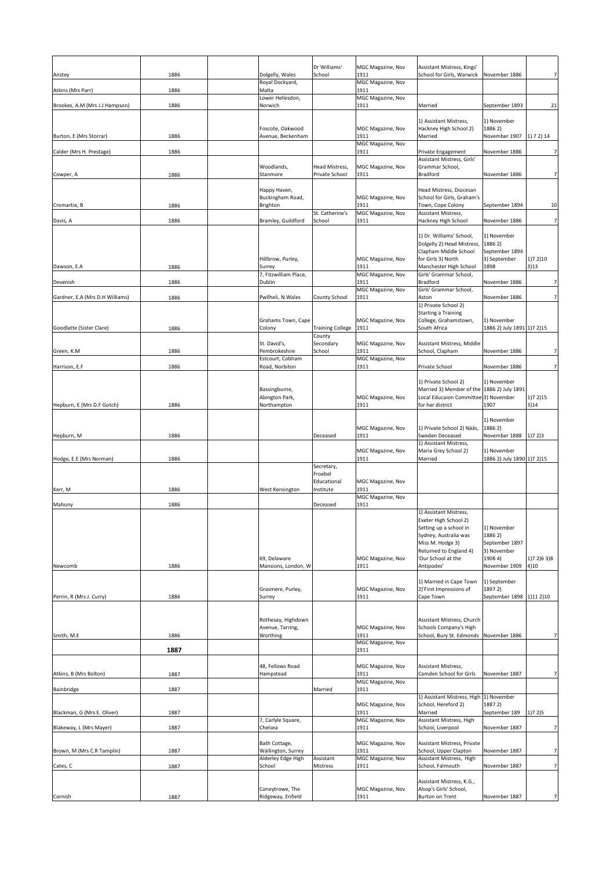|                                 |      |                                        | Dr Williams'                 | MGC Magazine, Nov<br>1911        | Assistant Mistress, Kings'                                                         |                                     |                     |
|---------------------------------|------|----------------------------------------|------------------------------|----------------------------------|------------------------------------------------------------------------------------|-------------------------------------|---------------------|
| Anstey                          | 1886 | Dolgelly, Wales<br>Royal Dockyard,     | School                       | MGC Magazine, Nov                | School for Girls, Warwick                                                          | November 1886                       |                     |
| Atkins (Mrs Parr)               | 1886 | Malta                                  |                              | 1911                             |                                                                                    |                                     |                     |
| Brookes, A.M (Mrs J.J Hampson)  | 1886 | Lower Hellesdon,<br>Norwich            |                              | MGC Magazine, Nov<br>1911        | Married                                                                            | September 1893                      | 21                  |
|                                 |      |                                        |                              |                                  |                                                                                    |                                     |                     |
|                                 |      |                                        |                              |                                  | 1) Assistant Mistress,                                                             | 1) November                         |                     |
| Burton, E (Mrs Storrar)         | 1886 | Foscote, Oakwood<br>Avenue, Beckenham  |                              | MGC Magazine, Nov<br>1911        | Hackney High School 2)<br>Married                                                  | 1886 2)<br>November 1907            | (1) 7 2) 14         |
|                                 |      |                                        |                              | MGC Magazine, Nov                |                                                                                    |                                     |                     |
| Calder (Mrs H. Prestage)        | 1886 |                                        |                              | 1911                             | Private Engagement                                                                 | November 1886                       | 7                   |
|                                 |      | Woodlands,                             | <b>Head Mistress,</b>        | MGC Magazine, Nov                | Assistant Mistress, Girls'<br>Grammar School,                                      |                                     |                     |
| Cowper, A                       | 1886 | Stanmore                               | Private School               | 1911                             | <b>Bradford</b>                                                                    | November 1886                       | 7                   |
|                                 |      |                                        |                              |                                  |                                                                                    |                                     |                     |
|                                 |      | Happy Haven,<br>Buckingham Road,       |                              | MGC Magazine, Nov                | Head Mistress, Diocesan<br>School for Girls, Graham's                              |                                     |                     |
| Cromartie, B                    | 1886 | <b>Brighton</b>                        |                              | 1911                             | Town, Cope Colony                                                                  | September 1894                      | 10                  |
| Davis, A                        | 1886 | Bramley, Guildford                     | St. Catherine's<br>School    | <b>MGC Magazine, Nov</b><br>1911 | Assistant Mistress,<br><b>Hackney High School</b>                                  | November 1886                       |                     |
|                                 |      |                                        |                              |                                  |                                                                                    |                                     |                     |
|                                 |      |                                        |                              |                                  | 1) Dr. Williams' School,                                                           | 1) November                         |                     |
|                                 |      |                                        |                              |                                  | Dolgelly 2) Head Mistress,<br>Clapham Middle School                                | 1886 2)<br>September 1894           |                     |
|                                 |      | Hillbrow, Purley,                      |                              | MGC Magazine, Nov                | for Girls 3) North                                                                 | 3) September                        | 1)72)10             |
| Dawson, E.A                     | 1886 | Surrey                                 |                              | 1911                             | Manchester High School                                                             | 1898                                | 3)13                |
| Devenish                        | 1886 | 7, Fitzwilliam Place,<br>Dublin        |                              | <b>MGC Magazine, Nov</b><br>1911 | Girls' Grammar School,<br><b>Bradford</b>                                          | November 1886                       |                     |
|                                 |      |                                        |                              | MGC Magazine, Nov                | Girls' Grammar School,                                                             |                                     |                     |
| Gardner, E.A (Mrs D.H Williams) | 1886 | Pwllheli, N.Wales                      | <b>County School</b>         | 1911                             | Aston                                                                              | November 1886                       | 7                   |
|                                 |      |                                        |                              |                                  | 1) Private School 2)<br><b>Starting a Training</b>                                 |                                     |                     |
|                                 |      | Grahams Town, Cape                     |                              | MGC Magazine, Nov                | College, Grahamstown,                                                              | 1) November                         |                     |
| Goodlatte (Sister Clare)        | 1886 | Colony                                 | <b>Training College</b>      | 1911                             | South Africa                                                                       | 1886 2) July 1891 1) 7 2) 15        |                     |
|                                 |      | St. David's,                           | County<br>Secondary          | MGC Magazine, Nov                | Assistant Mistress, Middle                                                         |                                     |                     |
| Green, K.M                      | 1886 | Pembrokeshire                          | School                       | 1911                             | School, Clapham                                                                    | November 1886                       |                     |
| Harrison, E.F                   | 1886 | Estcourt, Cobham<br>Road, Norbiton     |                              | MGC Magazine, Nov<br>1911        | <b>Private School</b>                                                              | November 1886                       | 7 <sup>1</sup>      |
|                                 |      |                                        |                              |                                  |                                                                                    |                                     |                     |
|                                 |      |                                        |                              |                                  | 1) Private School 2)                                                               | 1) November                         |                     |
|                                 |      | Bassingburne,<br>Abington Park,        |                              | <b>MGC Magazine, Nov</b>         | Married 3) Member of the 1886 2) July 1891<br>Local Educaion Committee 3) November |                                     | (1)72)15            |
| Hepburn, E (Mrs D.F Gotch)      | 1886 | Northampton                            |                              | 1911                             | for her district                                                                   | 1907                                | 3)14                |
|                                 |      |                                        |                              |                                  |                                                                                    |                                     |                     |
|                                 |      |                                        |                              | MGC Magazine, Nov                | 1) Private School 2) Nääs,                                                         | 1) November<br>1886 2)              |                     |
| Hepburn, M                      | 1886 |                                        | Deceased                     | 1911                             | Sweden Deceased                                                                    | November 1888   1)7 2)3             |                     |
|                                 |      |                                        |                              | <b>MGC Magazine, Nov</b>         | 1) Assistant Mistress,<br>Maria Grey School 2)                                     | 1) November                         |                     |
| Hodge, E.E (Mrs Norman)         | 1886 |                                        |                              | 1911                             | Married                                                                            | 1886 2) July 1890 1)7 2) 15         |                     |
|                                 |      |                                        | Secretary,                   |                                  |                                                                                    |                                     |                     |
|                                 |      |                                        | Froebel<br>Educational       | MGC Magazine, Nov                |                                                                                    |                                     |                     |
| Kerr, M                         | 1886 | <b>West Kensington</b>                 | Institute                    | 1911                             |                                                                                    |                                     |                     |
|                                 |      |                                        |                              | MGC Magazine, Nov                |                                                                                    |                                     |                     |
| Mahony                          | 1886 |                                        | Deceased                     | 1911                             | 1) Assistant Mistress,                                                             |                                     |                     |
|                                 |      |                                        |                              |                                  | <b>Exeter High School 2)</b>                                                       |                                     |                     |
|                                 |      |                                        |                              |                                  | Setting up a school in<br>Sydney, Australia was                                    | 1) November<br>1886 2)              |                     |
|                                 |      |                                        |                              |                                  | Miss M. Hodge 3)                                                                   | September 1897                      |                     |
|                                 |      |                                        |                              |                                  | Returned to England 4)                                                             | 3) November                         |                     |
| Newcomb                         | 1886 | 69, Delaware<br>Mansions, London, W    |                              | <b>MGC Magazine, Nov</b><br>1911 | 'Our School at the<br>Antipodes'                                                   | 1908 4)<br>November 1909            | 1)7 2)6 3)8<br>4)10 |
|                                 |      |                                        |                              |                                  |                                                                                    |                                     |                     |
|                                 |      |                                        |                              |                                  | 1) Married in Cape Town                                                            | 1) September                        |                     |
| Perrin, R (Mrs J. Curry)        | 1886 | Grasmere, Purley,<br>Surrey            |                              | <b>MGC Magazine, Nov</b><br>1911 | 2)'First Impressions of<br>Cape Town                                               | 1897 2)<br>September 1898 1)11 2)10 |                     |
|                                 |      |                                        |                              |                                  |                                                                                    |                                     |                     |
|                                 |      |                                        |                              |                                  |                                                                                    |                                     |                     |
|                                 |      | Rothesay, Highdown<br>Avenue, Tarring, |                              | MGC Magazine, Nov                | Assistant Mistress, Church<br>Schools Company's High                               |                                     |                     |
| Smith, M.E                      | 1886 | Worthing                               |                              | 1911                             | School, Bury St. Edmonds November 1886                                             |                                     |                     |
|                                 | 1887 |                                        |                              | <b>MGC Magazine, Nov</b><br>1911 |                                                                                    |                                     |                     |
|                                 |      |                                        |                              |                                  |                                                                                    |                                     |                     |
|                                 |      | 48, Fellows Road                       |                              | <b>MGC Magazine, Nov</b>         | <b>Assistant Mistress,</b>                                                         |                                     |                     |
| Atkins, B (Mrs Bolton)          | 1887 | Hampstead                              |                              | 1911<br><b>MGC Magazine, Nov</b> | Camden School for Girls                                                            | November 1887                       |                     |
| Bainbridge                      | 1887 |                                        | Married                      | 1911                             |                                                                                    |                                     |                     |
|                                 |      |                                        |                              |                                  | 1) Assistant Mistress, High                                                        | 1) November                         |                     |
| Blackman, G (Mrs E. Oliver)     | 1887 |                                        |                              | MGC Magazine, Nov<br>1911        | School, Hereford 2)<br>Married                                                     | 1887 2)<br>September 189            | 1)72)5              |
|                                 |      | 7, Carlyle Square,                     |                              | MGC Magazine, Nov                | Assistant Mistress, High                                                           |                                     |                     |
| Blakeway, L (Mrs Mayer)         | 1887 | Chelsea                                |                              | 1911                             | School, Liverpool                                                                  | November 1887                       | 7                   |
|                                 |      | Bath Cottage,                          |                              | <b>MGC Magazine, Nov</b>         | Assistant Mistress, Private                                                        |                                     |                     |
| Brown, M (Mrs C.R Tamplin)      | 1887 | Wallington, Surrey                     |                              | 1911                             | School, Upper Clapton                                                              | November 1887                       | 7                   |
| Cates, C                        | 1887 | Alderley Edge High<br>School           | Assistant<br><b>Mistress</b> | MGC Magazine, Nov<br>1911        | Assistant Mistress, High<br>School, Falmouth                                       | November 1887                       |                     |
|                                 |      |                                        |                              |                                  |                                                                                    |                                     |                     |
|                                 |      |                                        |                              |                                  | Assistant Mistress, K.G.,                                                          |                                     |                     |
| Cornish                         | 1887 | Coneytrowe, The<br>Ridgeway, Enfield   |                              | MGC Magazine, Nov<br>1911        | Alsop's Girls' School,<br><b>Burton on Trent</b>                                   | November 1887                       | 7                   |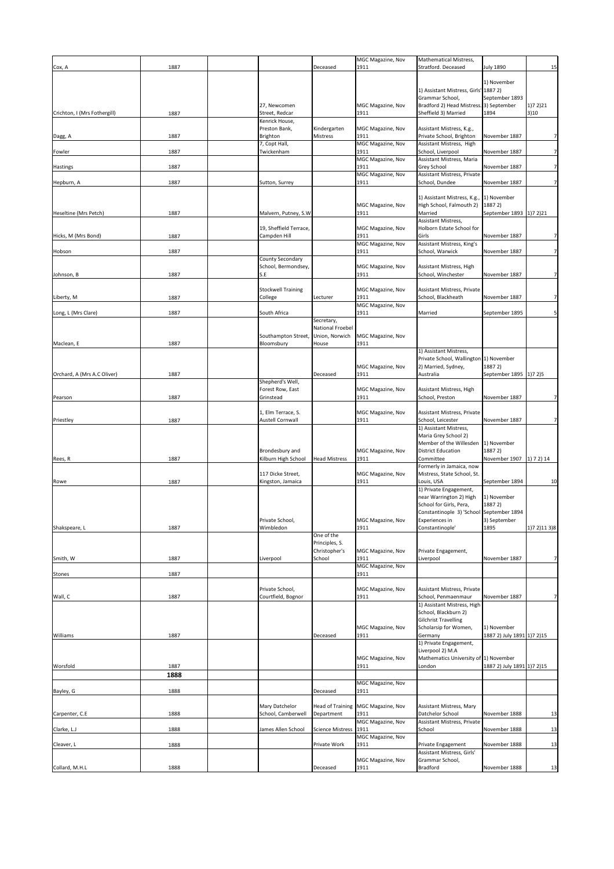| Cox, A                       | 1887         |                                                  | Deceased                                      | MGC Magazine, Nov<br>1911                             | <b>Mathematical Mistress,</b><br>Stratford. Deceased                                                                     | <b>July 1890</b>                            | 15                |
|------------------------------|--------------|--------------------------------------------------|-----------------------------------------------|-------------------------------------------------------|--------------------------------------------------------------------------------------------------------------------------|---------------------------------------------|-------------------|
|                              |              |                                                  |                                               |                                                       | 1) Assistant Mistress, Girls' 1887 2)                                                                                    | 1) November                                 |                   |
| Crichton, I (Mrs Fothergill) | 1887         | 27, Newcomen<br>Street, Redcar<br>Kenrick House, |                                               | MGC Magazine, Nov<br>1911                             | Grammar School,<br>Bradford 2) Head Mistress. 3) September<br>Sheffield 3) Married                                       | September 1893<br>1894                      | (1)72)21<br> 3 10 |
| Dagg, A                      | 1887         | Preston Bank,<br>Brighton                        | Kindergarten<br>Mistress                      | MGC Magazine, Nov<br>1911                             | Assistant Mistress, K.g.,<br>Private School, Brighton                                                                    | November 1887                               | 7 <sup>1</sup>    |
| Fowler                       | 1887         | 7, Copt Hall,<br>Twickenham                      |                                               | <b>MGC Magazine, Nov</b><br>1911                      | Assistant Mistress, High<br>School, Liverpool                                                                            | November 1887                               | 7 <sup>1</sup>    |
| <b>Hastings</b>              | 1887         |                                                  |                                               | <b>MGC Magazine, Nov</b><br>1911                      | Assistant Mistress, Maria<br><b>Grey School</b>                                                                          | November 1887                               | 7 <sup>1</sup>    |
| Hepburn, A                   | 1887         | Sutton, Surrey                                   |                                               | <b>MGC Magazine, Nov</b><br>1911                      | Assistant Mistress, Private<br>School, Dundee                                                                            | November 1887                               | 7 <sup>1</sup>    |
|                              |              |                                                  |                                               | MGC Magazine, Nov                                     | 1) Assistant Mistress, K.g., 1) November<br>High School, Falmouth 2)                                                     | 1887 2)                                     |                   |
| Heseltine (Mrs Petch)        | 1887         | Malvern, Putney, S.W                             |                                               | 1911                                                  | Married<br>Assistant Mistress,                                                                                           | September 1893 [1)7 2)21                    |                   |
| Hicks, M (Mrs Bond)          | 1887         | 19, Sheffield Terrace,<br>Campden Hill           |                                               | MGC Magazine, Nov<br>1911                             | Holborn Estate School for<br>Girls                                                                                       | November 1887                               | 7 <sup>1</sup>    |
| Hobson                       | 1887         |                                                  |                                               | MGC Magazine, Nov<br>1911                             | Assistant Mistress, King's<br>School, Warwick                                                                            | November 1887                               | 7 <sup>1</sup>    |
|                              |              | County Secondary<br>School, Bermondsey,          |                                               | MGC Magazine, Nov                                     | Assistant Mistress, High                                                                                                 |                                             |                   |
| Johnson, B                   | 1887         | S.E                                              |                                               | 1911                                                  | School, Winchester                                                                                                       | November 1887                               | 7 <sup>1</sup>    |
| Liberty, M                   | 1887         | <b>Stockwell Training</b><br>College             | Lecturer                                      | MGC Magazine, Nov<br>1911<br><b>MGC Magazine, Nov</b> | Assistant Mistress, Private<br>School, Blackheath                                                                        | November 1887                               | 7 <sup>1</sup>    |
| Long, L (Mrs Clare)          | 1887         | South Africa                                     | Secretary,                                    | 1911                                                  | Married                                                                                                                  | September 1895                              | 5 <sup>1</sup>    |
|                              |              | Southampton Street,                              | National Froebel<br>Union, Norwich            | MGC Magazine, Nov                                     |                                                                                                                          |                                             |                   |
| Maclean, E                   | 1887         | Bloomsbury                                       | House                                         | 1911                                                  | 1) Assistant Mistress,                                                                                                   |                                             |                   |
|                              |              |                                                  |                                               | MGC Magazine, Nov                                     | Private School, Wallington 1) November<br>2) Married, Sydney,                                                            | 1887 2)                                     |                   |
| Orchard, A (Mrs A.C Oliver)  | 1887         | Shepherd's Well,                                 | Deceased                                      | 1911                                                  | Australia                                                                                                                | September 1895 [1] 7 2] 5                   |                   |
| Pearson                      | 1887         | Forest Row, East<br>Grinstead                    |                                               | MGC Magazine, Nov<br>1911                             | Assistant Mistress, High<br>School, Preston                                                                              | November 1887                               | 7 <sup>1</sup>    |
| Priestley                    | 1887         | 1, Elm Terrace, S.<br>Austell Cornwall           |                                               | MGC Magazine, Nov<br>1911                             | Assistant Mistress, Private<br>School, Leicester                                                                         | November 1887                               |                   |
|                              |              | Brondesbury and                                  |                                               |                                                       | 1) Assistant Mistress,<br>Maria Grey School 2)<br>Member of the Willesden<br><b>District Education</b>                   | 1) November<br>1887 2)                      |                   |
| Rees, R                      | 1887         | Kilburn High School                              | <b>Head Mistress</b>                          | MGC Magazine, Nov<br>1911                             | Committee<br>Formerly in Jamaica, now                                                                                    | November 1907 [1] 7 2) 14                   |                   |
| Rowe                         | 1887         | 117 Dicke Street,<br>Kingston, Jamaica           |                                               | MGC Magazine, Nov<br>1911                             | Mistress, State School, St.<br>Louis, USA                                                                                | September 1894                              | 10                |
|                              |              |                                                  |                                               |                                                       | 1) Private Engagement,<br>near Warrington 2) High<br>School for Girls, Pera,<br>Constantinople 3) 'School September 1894 | 1) November<br>1887 2)                      |                   |
| Shakspeare, L                | 1887         | Private School,<br>Wimbledon                     |                                               | MGC Magazine, Nov<br>1911                             | Experiences in<br>Constantinople'                                                                                        | 3) September<br>1895                        | 1)7 2)11 3)8      |
|                              |              |                                                  | One of the<br>Principles, S.<br>Christopher's | MGC Magazine, Nov                                     | Private Engagement,                                                                                                      |                                             |                   |
| Smith, W                     | 1887         | Liverpool                                        | School                                        | 1911<br><b>MGC Magazine, Nov</b>                      | Liverpool                                                                                                                | November 1887                               | 7 <sup>1</sup>    |
| <b>Stones</b>                | 1887         |                                                  |                                               | 1911                                                  |                                                                                                                          |                                             |                   |
| Wall, C                      | 1887         | Private School,<br>Courtfield, Bognor            |                                               | MGC Magazine, Nov<br>1911                             | Assistant Mistress, Private<br>School, Penmaenmaur                                                                       | November 1887                               | 7 <sup>1</sup>    |
|                              |              |                                                  |                                               |                                                       | 1) Assistant Mistress, High<br>School, Blackburn 2)<br><b>Gilchrist Travelling</b>                                       |                                             |                   |
| Williams                     | 1887         |                                                  | Deceased                                      | MGC Magazine, Nov<br>1911                             | Scholarsip for Women,<br>Germany                                                                                         | 1) November<br>1887 2) July 1891 1) 7 2) 15 |                   |
|                              |              |                                                  |                                               | MGC Magazine, Nov                                     | 1) Private Engagement,<br>Liverpool 2) M.A<br>Mathematics University of 1) November                                      |                                             |                   |
| Worsfold                     | 1887<br>1888 |                                                  |                                               | 1911                                                  | London                                                                                                                   | 1887 2) July 1891 1) 7 2) 15                |                   |
| Bayley, G                    | 1888         |                                                  | Deceased                                      | <b>MGC Magazine, Nov</b><br>1911                      |                                                                                                                          |                                             |                   |
|                              |              | Mary Datchelor                                   |                                               |                                                       | Assistant Mistress, Mary                                                                                                 |                                             |                   |
| Carpenter, C.E               | 1888         | School, Camberwell                               | Department                                    | Head of Training   MGC Magazine, Nov<br>1911          | Datchelor School                                                                                                         | November 1888                               | 13                |
| Clarke, L.J                  | 1888         | James Allen School                               | Science Mistress   1911                       | <b>MGC Magazine, Nov</b>                              | Assistant Mistress, Private<br>School                                                                                    | November 1888                               | 13                |
| Cleaver, L                   | 1888         |                                                  | Private Work                                  | <b>MGC Magazine, Nov</b><br>1911                      | Private Engagement                                                                                                       | November 1888                               | 13                |
| Collard, M.H.L               | 1888         |                                                  | Deceased                                      | MGC Magazine, Nov<br>1911                             | Assistant Mistress, Girls'<br>Grammar School,<br><b>Bradford</b>                                                         | November 1888                               | 13                |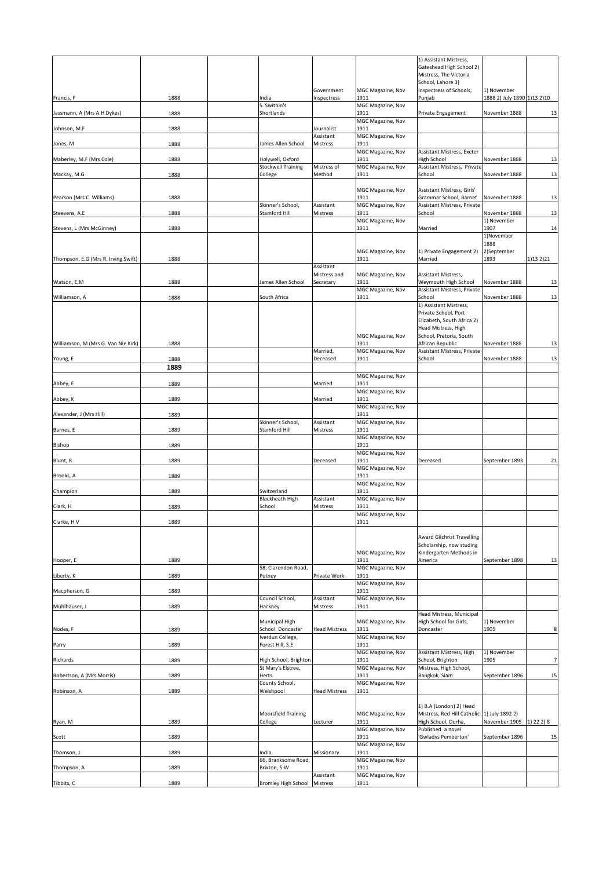|                                     |      |                                       |                           |                           | 1) Assistant Mistress,                                        |                               |           |
|-------------------------------------|------|---------------------------------------|---------------------------|---------------------------|---------------------------------------------------------------|-------------------------------|-----------|
|                                     |      |                                       |                           |                           | Gateshead High School 2)                                      |                               |           |
|                                     |      |                                       |                           |                           | Mistress, The Victoria<br>School, Lahore 3)                   |                               |           |
|                                     |      |                                       | Government                | <b>MGC Magazine, Nov</b>  | Inspectress of Schools,                                       | 1) November                   |           |
| Francis, F                          | 1888 | India<br>S. Swithin's                 | Inspectress               | 1911                      | Punjab                                                        | 1888 2) July 1890 1) 13 2) 10 |           |
| Jassmann, A (Mrs A.H Dykes)         | 1888 | Shortlands                            |                           | MGC Magazine, Nov<br>1911 | <b>Private Engagement</b>                                     | November 1888                 | 13        |
|                                     |      |                                       |                           | MGC Magazine, Nov         |                                                               |                               |           |
| Johnson, M.F                        | 1888 |                                       | Journalist<br>Assistant   | 1911<br>MGC Magazine, Nov |                                                               |                               |           |
| Jones, M                            | 1888 | James Allen School                    | Mistress                  | 1911                      |                                                               |                               |           |
| Maberley, M.F (Mrs Cole)            | 1888 | Holywell, Oxford                      |                           | MGC Magazine, Nov<br>1911 | Assistant Mistress, Exeter<br><b>High School</b>              | November 1888                 | 13        |
|                                     |      | <b>Stockwell Training</b>             | Mistress of               | MGC Magazine, Nov         | Assistant Mistress, Private                                   |                               |           |
| Mackay, M.G                         | 1888 | College                               | Method                    | 1911                      | School                                                        | November 1888                 | 13        |
|                                     |      |                                       |                           | <b>MGC Magazine, Nov</b>  | Assistant Mistress, Girls'                                    |                               |           |
| Pearson (Mrs C. Williams)           | 1888 | Skinner's School,                     | Assistant                 | 1911<br>MGC Magazine, Nov | Grammar School, Barnet<br>Assistant Mistress, Private         | November 1888                 | 13        |
| Steevens, A.E                       | 1888 | <b>Stamford Hill</b>                  | Mistress                  | 1911                      | School                                                        | November 1888                 | 13        |
| Stevens, L (Mrs McGinney)           | 1888 |                                       |                           | MGC Magazine, Nov<br>1911 | Married                                                       | 1) November<br>1907           | 14        |
|                                     |      |                                       |                           |                           |                                                               | 1)November                    |           |
|                                     |      |                                       |                           | <b>MGC Magazine, Nov</b>  | 1) Private Engagement 2)                                      | 1888<br>2)September           |           |
| Thompson, E.G (Mrs R. Irving Swift) | 1888 |                                       |                           | 1911                      | Married                                                       | 1893                          | 1)13 2)21 |
|                                     |      |                                       | Assistant<br>Mistress and | <b>MGC Magazine, Nov</b>  | <b>Assistant Mistress,</b>                                    |                               |           |
| Watson, E.M                         | 1888 | James Allen School                    | Secretary                 | 1911                      | <b>Weymouth High School</b>                                   | November 1888                 | 13        |
| Williamson, A                       | 1888 | South Africa                          |                           | MGC Magazine, Nov<br>1911 | Assistant Mistress, Private<br>School                         | November 1888                 | 13        |
|                                     |      |                                       |                           |                           | 1) Assistant Mistress,                                        |                               |           |
|                                     |      |                                       |                           |                           | Private School, Port<br>Elizabeth, South Africa 2)            |                               |           |
|                                     |      |                                       |                           |                           | Head Mistress, High                                           |                               |           |
|                                     |      |                                       |                           | <b>MGC Magazine, Nov</b>  | School, Pretoria, South                                       |                               |           |
| Williamson, M (Mrs G. Van Nie Kirk) | 1888 |                                       | Married,                  | 1911<br>MGC Magazine, Nov | African Republic<br>Assistant Mistress, Private               | November 1888                 | 13        |
| Young, E                            | 1888 |                                       | Deceased                  | 1911                      | School                                                        | November 1888                 | 13        |
|                                     | 1889 |                                       |                           | MGC Magazine, Nov         |                                                               |                               |           |
| Abbey, E                            | 1889 |                                       | Married                   | 1911                      |                                                               |                               |           |
| Abbey, K                            | 1889 |                                       | Married                   | MGC Magazine, Nov<br>1911 |                                                               |                               |           |
|                                     |      |                                       |                           | MGC Magazine, Nov         |                                                               |                               |           |
| Alexander, J (Mrs Hill)             | 1889 | Skinner's School,                     | Assistant                 | 1911<br>MGC Magazine, Nov |                                                               |                               |           |
| Barnes, E                           | 1889 | <b>Stamford Hill</b>                  | Mistress                  | 1911                      |                                                               |                               |           |
| <b>Bishop</b>                       | 1889 |                                       |                           | MGC Magazine, Nov<br>1911 |                                                               |                               |           |
|                                     |      |                                       |                           | MGC Magazine, Nov         |                                                               |                               |           |
| Blunt, R                            | 1889 |                                       | Deceased                  | 1911<br>MGC Magazine, Nov | Deceased                                                      | September 1893                | 21        |
| Brooks, A                           | 1889 |                                       |                           | 1911                      |                                                               |                               |           |
| Champion                            |      | Switzerland                           |                           | MGC Magazine, Nov<br>1911 |                                                               |                               |           |
|                                     | 1889 | <b>Blackheath High</b>                | Assistant                 | MGC Magazine, Nov         |                                                               |                               |           |
| Clark, H                            | 1889 | School                                | Mistress                  | 1911                      |                                                               |                               |           |
| Clarke, H.V                         | 1889 |                                       |                           | MGC Magazine, Nov<br>1911 |                                                               |                               |           |
|                                     |      |                                       |                           |                           |                                                               |                               |           |
|                                     |      |                                       |                           |                           | <b>Award Gilchrist Travelling</b><br>Scholarship, now studing |                               |           |
|                                     |      |                                       |                           | <b>MGC Magazine, Nov</b>  | Kindergarten Methods in                                       |                               |           |
| Hooper, E                           | 1889 | 58, Clarendon Road,                   |                           | 1911<br>MGC Magazine, Nov | America                                                       | September 1898                | 13        |
| Liberty, K                          | 1889 | Putney                                | Private Work              | 1911                      |                                                               |                               |           |
| Macpherson, G                       | 1889 |                                       |                           | MGC Magazine, Nov<br>1911 |                                                               |                               |           |
|                                     |      | Council School,                       | Assistant                 | MGC Magazine, Nov         |                                                               |                               |           |
| Mühlhäuser, J                       | 1889 | Hackney                               | Mistress                  | 1911                      | Head Mistress, Municipal                                      |                               |           |
|                                     |      | <b>Municipal High</b>                 | <b>Head Mistress</b>      | MGC Magazine, Nov<br>1911 | High School for Girls,                                        | 1) November                   |           |
| Nodes, F                            | 1889 | School, Doncaster<br>Iverdun College, |                           | MGC Magazine, Nov         | Doncaster                                                     | 1905                          | 8         |
| Parry                               | 1889 | Forest Hill, S.E                      |                           | 1911                      |                                                               |                               |           |
| Richards                            | 1889 | High School, Brighton                 |                           | MGC Magazine, Nov<br>1911 | Assistant Mistress, High<br>School, Brighton                  | 1) November<br>1905           | 7         |
|                                     |      | St Mary's Elstree,                    |                           | MGC Magazine, Nov         | Mistress, High School,                                        |                               |           |
| Robertson, A (Mrs Morris)           | 1889 | Herts.<br>County School,              |                           | 1911<br>MGC Magazine, Nov | Bangkok, Siam                                                 | September 1896                | 15        |
| Robinson, A                         | 1889 | Welshpool                             | <b>Head Mistress</b>      | 1911                      |                                                               |                               |           |
|                                     |      |                                       |                           |                           | 1) B.A (London) 2) Head                                       |                               |           |
|                                     |      | <b>Moorsfield Training</b>            |                           | <b>MGC Magazine, Nov</b>  | Mistress, Red Hill Catholic 1) July 1892 2)                   |                               |           |
| Ryan, M                             | 1889 | College                               | Lecturer                  | 1911<br>MGC Magazine, Nov | High School, Durha,<br>Published a novel                      | November 1905   1) 22 2) 8    |           |
| Scott                               | 1889 |                                       |                           | 1911                      | 'Gwladys Pemberton'                                           | September 1896                | 15        |
| Thomson, J                          | 1889 | India                                 | Missionary                | MGC Magazine, Nov<br>1911 |                                                               |                               |           |
|                                     |      | 66, Branksome Road,                   |                           | MGC Magazine, Nov         |                                                               |                               |           |
| Thompson, A                         | 1889 | Brixton, S.W                          | Assistant                 | 1911<br>MGC Magazine, Nov |                                                               |                               |           |
| Tibbits, C                          | 1889 | <b>Bromley High School</b>            | Mistress                  | 1911                      |                                                               |                               |           |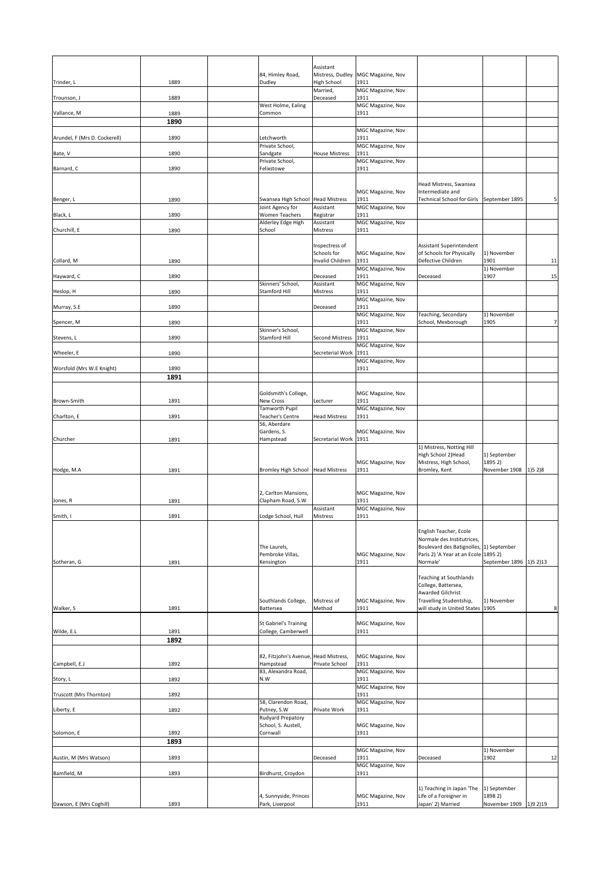| Assistant<br>84, Himley Road,<br>Mistress, Dudley<br>MGC Magazine, Nov<br><b>High School</b><br><b>Dudley</b><br>1911<br>Trinder, L<br>1889<br>MGC Magazine, Nov<br>Married,<br>1889<br>1911<br>Deceased<br>Trounson, J<br>West Holme, Ealing<br>MGC Magazine, Nov<br>1889<br>1911<br>Vallance, M<br>Common<br>1890<br>MGC Magazine, Nov<br>Arundel, F (Mrs D. Cockerell)<br>1890<br>Letchworth<br>1911<br>MGC Magazine, Nov<br>Private School,<br><b>House Mistress</b><br>1911<br>Bate, V<br>1890<br>Sandgate<br>Private School,<br>MGC Magazine, Nov<br>1911<br>Barnard, C<br>Felixstowe<br>1890<br>Head Mistress, Swansea<br>MGC Magazine, Nov<br>Intermediate and<br>Swansea High School Head Mistress<br>1911<br><b>Technical School for Girls</b><br>September 1895<br>1890<br>Benger, L<br>Joint Agency for<br>Assistant<br>MGC Magazine, Nov |                |
|-------------------------------------------------------------------------------------------------------------------------------------------------------------------------------------------------------------------------------------------------------------------------------------------------------------------------------------------------------------------------------------------------------------------------------------------------------------------------------------------------------------------------------------------------------------------------------------------------------------------------------------------------------------------------------------------------------------------------------------------------------------------------------------------------------------------------------------------------------|----------------|
|                                                                                                                                                                                                                                                                                                                                                                                                                                                                                                                                                                                                                                                                                                                                                                                                                                                       |                |
|                                                                                                                                                                                                                                                                                                                                                                                                                                                                                                                                                                                                                                                                                                                                                                                                                                                       |                |
|                                                                                                                                                                                                                                                                                                                                                                                                                                                                                                                                                                                                                                                                                                                                                                                                                                                       |                |
|                                                                                                                                                                                                                                                                                                                                                                                                                                                                                                                                                                                                                                                                                                                                                                                                                                                       |                |
|                                                                                                                                                                                                                                                                                                                                                                                                                                                                                                                                                                                                                                                                                                                                                                                                                                                       |                |
|                                                                                                                                                                                                                                                                                                                                                                                                                                                                                                                                                                                                                                                                                                                                                                                                                                                       |                |
|                                                                                                                                                                                                                                                                                                                                                                                                                                                                                                                                                                                                                                                                                                                                                                                                                                                       |                |
|                                                                                                                                                                                                                                                                                                                                                                                                                                                                                                                                                                                                                                                                                                                                                                                                                                                       |                |
|                                                                                                                                                                                                                                                                                                                                                                                                                                                                                                                                                                                                                                                                                                                                                                                                                                                       | 5              |
|                                                                                                                                                                                                                                                                                                                                                                                                                                                                                                                                                                                                                                                                                                                                                                                                                                                       |                |
| <b>Women Teachers</b><br>1911<br>1890<br>Registrar<br>Black, L<br>MGC Magazine, Nov<br>Alderley Edge High<br>Assistant                                                                                                                                                                                                                                                                                                                                                                                                                                                                                                                                                                                                                                                                                                                                |                |
| 1911<br>Churchill, E<br>School<br>Mistress<br>1890                                                                                                                                                                                                                                                                                                                                                                                                                                                                                                                                                                                                                                                                                                                                                                                                    |                |
| Assistant Superintendent<br>Inspectress of<br>Schools for<br>of Schools for Physically<br><b>MGC Magazine, Nov</b><br>1) November                                                                                                                                                                                                                                                                                                                                                                                                                                                                                                                                                                                                                                                                                                                     |                |
| Defective Children<br>Collard, M<br>Invalid Children<br>1911<br>1901<br>1890<br>MGC Magazine, Nov<br>1) November                                                                                                                                                                                                                                                                                                                                                                                                                                                                                                                                                                                                                                                                                                                                      | 11             |
| 1911<br>1907<br>Hayward, C<br>1890<br>Deceased<br>Deceased                                                                                                                                                                                                                                                                                                                                                                                                                                                                                                                                                                                                                                                                                                                                                                                            | 15             |
| Skinners' School,<br>MGC Magazine, Nov<br>Assistant<br>Heslop, H<br>1890<br><b>Stamford Hill</b><br><b>Mistress</b><br>1911                                                                                                                                                                                                                                                                                                                                                                                                                                                                                                                                                                                                                                                                                                                           |                |
| MGC Magazine, Nov<br>1911<br>1890<br>Deceased<br>Murray, S.E                                                                                                                                                                                                                                                                                                                                                                                                                                                                                                                                                                                                                                                                                                                                                                                          |                |
| MGC Magazine, Nov<br>Teaching, Secondary<br>1) November<br>1890<br>1911<br>School, Mexborough<br>1905<br>Spencer, M                                                                                                                                                                                                                                                                                                                                                                                                                                                                                                                                                                                                                                                                                                                                   | 7 <sup>1</sup> |
| Skinner's School,<br>MGC Magazine, Nov<br>Stamford Hill<br>1911<br>1890<br><b>Second Mistress</b><br>Stevens, L                                                                                                                                                                                                                                                                                                                                                                                                                                                                                                                                                                                                                                                                                                                                       |                |
| MGC Magazine, Nov<br>Secreterial Work<br>1911<br>Wheeler, E<br>1890                                                                                                                                                                                                                                                                                                                                                                                                                                                                                                                                                                                                                                                                                                                                                                                   |                |
| MGC Magazine, Nov                                                                                                                                                                                                                                                                                                                                                                                                                                                                                                                                                                                                                                                                                                                                                                                                                                     |                |
| Worsfold (Mrs W.E Knight)<br>1890<br>1911<br>1891                                                                                                                                                                                                                                                                                                                                                                                                                                                                                                                                                                                                                                                                                                                                                                                                     |                |
| Goldsmith's College,<br>MGC Magazine, Nov                                                                                                                                                                                                                                                                                                                                                                                                                                                                                                                                                                                                                                                                                                                                                                                                             |                |
| 1911<br><b>New Cross</b><br>Brown-Smith<br>1891<br>Lecturer<br>Tamworth Pupil<br>MGC Magazine, Nov                                                                                                                                                                                                                                                                                                                                                                                                                                                                                                                                                                                                                                                                                                                                                    |                |
| <b>Teacher's Centre</b><br>1911<br>1891<br><b>Head Mistress</b><br>Charlton, E<br>56, Aberdare                                                                                                                                                                                                                                                                                                                                                                                                                                                                                                                                                                                                                                                                                                                                                        |                |
| Gardens, S.<br>MGC Magazine, Nov<br>Churcher<br>Hampstead<br>Secretarial Work   1911<br>1891                                                                                                                                                                                                                                                                                                                                                                                                                                                                                                                                                                                                                                                                                                                                                          |                |
| 1) Mistress, Notting Hill<br>High School 2) Head<br>1) September                                                                                                                                                                                                                                                                                                                                                                                                                                                                                                                                                                                                                                                                                                                                                                                      |                |
| Mistress, High School,<br>1895 2)<br>MGC Magazine, Nov<br>1911<br><b>Bromley High School</b><br><b>Head Mistress</b><br>Bromley, Kent<br>November 1908   1) 5 2) 8<br>Hodge, M.A<br>1891                                                                                                                                                                                                                                                                                                                                                                                                                                                                                                                                                                                                                                                              |                |
|                                                                                                                                                                                                                                                                                                                                                                                                                                                                                                                                                                                                                                                                                                                                                                                                                                                       |                |
| 2, Carlton Mansions,<br>MGC Magazine, Nov<br>1911<br>1891<br>Clapham Road, S.W<br>Jones, R                                                                                                                                                                                                                                                                                                                                                                                                                                                                                                                                                                                                                                                                                                                                                            |                |
| Assistant<br>MGC Magazine, Nov<br>Smith, I<br>Lodge School, Hull<br>1911<br>1891<br><b>Mistress</b>                                                                                                                                                                                                                                                                                                                                                                                                                                                                                                                                                                                                                                                                                                                                                   |                |
| English Teacher, Ecole                                                                                                                                                                                                                                                                                                                                                                                                                                                                                                                                                                                                                                                                                                                                                                                                                                |                |
| Normale des Institutrices,                                                                                                                                                                                                                                                                                                                                                                                                                                                                                                                                                                                                                                                                                                                                                                                                                            |                |
| Boulevard des Batignolles, [1] September<br>The Laurels,<br>Paris 2) 'A Year at an Ecole 1895 2)<br>Pembroke Villas,<br>MGC Magazine, Nov                                                                                                                                                                                                                                                                                                                                                                                                                                                                                                                                                                                                                                                                                                             |                |
| 1891<br>1911<br>Normale'<br>September 1896   1) 5 2) 13<br>Sotheran, G<br>Kensington                                                                                                                                                                                                                                                                                                                                                                                                                                                                                                                                                                                                                                                                                                                                                                  |                |
| <b>Teaching at Southlands</b><br>College, Battersea,                                                                                                                                                                                                                                                                                                                                                                                                                                                                                                                                                                                                                                                                                                                                                                                                  |                |
| <b>Awarded Gilchrist</b><br>Southlands College,<br>Mistress of<br><b>MGC Magazine, Nov</b><br>Travelling Studentship,<br>1) November                                                                                                                                                                                                                                                                                                                                                                                                                                                                                                                                                                                                                                                                                                                  |                |
| Method<br>1911<br>will study in United States 1905<br>Walker, S<br>1891<br>Battersea                                                                                                                                                                                                                                                                                                                                                                                                                                                                                                                                                                                                                                                                                                                                                                  | 8 <sup>1</sup> |
| <b>St Gabriel's Training</b><br>MGC Magazine, Nov<br>College, Camberwell<br>1911<br>Wilde, E.L<br>1891                                                                                                                                                                                                                                                                                                                                                                                                                                                                                                                                                                                                                                                                                                                                                |                |
| 1892                                                                                                                                                                                                                                                                                                                                                                                                                                                                                                                                                                                                                                                                                                                                                                                                                                                  |                |
| 82, Fitzjohn's Avenue, Head Mistress,<br>MGC Magazine, Nov                                                                                                                                                                                                                                                                                                                                                                                                                                                                                                                                                                                                                                                                                                                                                                                            |                |
| Private School<br>Campbell, E.J<br>1892<br>Hampstead<br>1911<br>83, Alexandra Road,<br>MGC Magazine, Nov                                                                                                                                                                                                                                                                                                                                                                                                                                                                                                                                                                                                                                                                                                                                              |                |
| 1892<br>N.W<br>1911<br>Story, L<br>MGC Magazine, Nov                                                                                                                                                                                                                                                                                                                                                                                                                                                                                                                                                                                                                                                                                                                                                                                                  |                |
| 1911<br>1892<br>Truscott (Mrs Thornton)<br>58, Clarendon Road,<br>MGC Magazine, Nov                                                                                                                                                                                                                                                                                                                                                                                                                                                                                                                                                                                                                                                                                                                                                                   |                |
| Liberty, E<br>Putney, S.W<br>Private Work<br>1911<br>1892<br><b>Rudyard Prepatory</b>                                                                                                                                                                                                                                                                                                                                                                                                                                                                                                                                                                                                                                                                                                                                                                 |                |
| School, S. Austell,<br>MGC Magazine, Nov<br>Solomon, E<br>1892<br>Cornwall<br>1911                                                                                                                                                                                                                                                                                                                                                                                                                                                                                                                                                                                                                                                                                                                                                                    |                |
| 1893                                                                                                                                                                                                                                                                                                                                                                                                                                                                                                                                                                                                                                                                                                                                                                                                                                                  |                |
| 1) November<br>MGC Magazine, Nov<br>Austin, M (Mrs Watson)<br>1893<br>1911<br>1902<br>Deceased<br>Deceased                                                                                                                                                                                                                                                                                                                                                                                                                                                                                                                                                                                                                                                                                                                                            | 12             |
| MGC Magazine, Nov<br>Bamfield, M<br>1893<br>Birdhurst, Croydon<br>1911                                                                                                                                                                                                                                                                                                                                                                                                                                                                                                                                                                                                                                                                                                                                                                                |                |
| 1) Teaching in Japan 'The<br>1) September                                                                                                                                                                                                                                                                                                                                                                                                                                                                                                                                                                                                                                                                                                                                                                                                             |                |
| 4, Sunnyside, Princes<br>1898 2)<br><b>MGC Magazine, Nov</b><br>Life of a Foreigner in<br>Dawson, E (Mrs Coghill)<br>1893<br>Park, Liverpool<br>Japan' 2) Married<br>November 1909   1) 92) 19<br>1911                                                                                                                                                                                                                                                                                                                                                                                                                                                                                                                                                                                                                                                |                |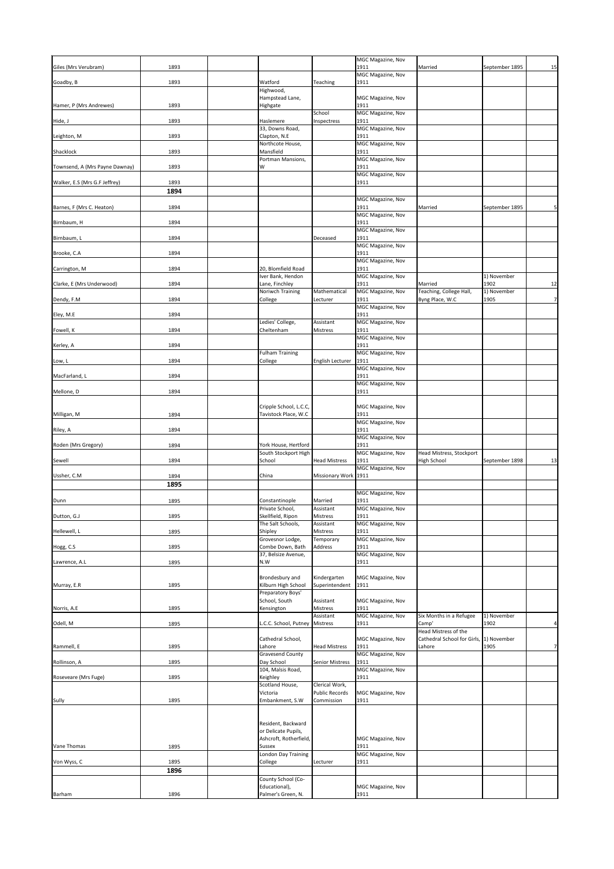| 1893<br>1911<br>Married<br>September 1895<br>MGC Magazine, Nov<br>Watford<br>Teaching<br>Goadby, B<br>1911<br>1893<br>Highwood,<br>Hampstead Lane,<br>MGC Magazine, Nov<br>Hamer, P (Mrs Andrewes)<br>1893<br>Highgate<br>1911<br>School<br>MGC Magazine, Nov<br>1893<br>Haslemere<br>1911<br>Inspectress<br>MGC Magazine, Nov<br>33, Downs Road,<br>Clapton, N.E<br>1911<br>Leighton, M<br>1893<br>Northcote House,<br>MGC Magazine, Nov<br>Mansfield<br>1911<br>1893<br>Portman Mansions,<br>MGC Magazine, Nov<br>1893<br>1911<br>W<br><b>MGC Magazine, Nov</b><br>Walker, E.S (Mrs G.F Jeffrey)<br>1893<br>1911<br>1894<br><b>MGC Magazine, Nov</b><br>1894<br>1911<br>5 <sup>1</sup><br>Barnes, F (Mrs C. Heaton)<br>Married<br>September 1895<br>MGC Magazine, Nov<br>1911<br>1894<br>MGC Magazine, Nov<br>1911<br>Birnbaum, L<br>1894<br>Deceased<br>MGC Magazine, Nov<br>Brooke, C.A<br>1911<br>1894<br>MGC Magazine, Nov<br>20, Blomfield Road<br>1911<br>1894<br>Iver Bank, Hendon<br>1) November<br><b>MGC Magazine, Nov</b><br>1911<br>12<br>Clarke, E (Mrs Underwood)<br>1894<br>Lane, Finchley<br>Married<br>1902<br>Mathematical<br><b>Noriwch Training</b><br>MGC Magazine, Nov<br>Teaching, College Hall,<br>[1] November<br>7<br>1894<br>1911<br>Byng Place, W.C<br>Dendy, F.M<br>College<br>1905<br>Lecturer<br>MGC Magazine, Nov<br>1911<br>1894<br>Ledies' College,<br>Assistant<br>MGC Magazine, Nov<br>Cheltenham<br>Fowell, K<br>1894<br>1911<br>Mistress<br>MGC Magazine, Nov<br>1911<br>Kerley, A<br>1894<br><b>Fulham Training</b><br>MGC Magazine, Nov<br>1894<br>English Lecturer   1911<br>College<br>MGC Magazine, Nov<br>1894<br>1911<br>MacFarland, L<br>MGC Magazine, Nov<br>1911<br>Mellone, D<br>1894<br>Cripple School, L.C.C,<br>MGC Magazine, Nov<br>Tavistock Place, W.C<br>Milligan, M<br>1894<br>1911<br>MGC Magazine, Nov<br>1911<br>1894<br><b>MGC Magazine, Nov</b><br>1911<br>1894<br>York House, Hertford<br>South Stockport High<br>MGC Magazine, Nov<br>Head Mistress, Stockport<br>1894<br>School<br><b>Head Mistress</b><br>1911<br>High School<br>13<br>September 1898<br>Sewell<br>MGC Magazine, Nov<br>1894<br>China<br>Missionary Work 1911<br>1895<br><b>MGC Magazine, Nov</b><br>1911<br>1895<br>Married<br>Constantinople<br>MGC Magazine, Nov<br>Private School,<br>Assistant<br>Skellfield, Ripon<br>Dutton, G.J<br><b>Mistress</b><br>1911<br>1895<br>The Salt Schools,<br>Assistant<br>MGC Magazine, Nov<br>Shipley<br>1911<br>Hellewell, L<br>Mistress<br>1895<br>Grovesnor Lodge,<br>MGC Magazine, Nov<br>Temporary<br>Combe Down, Bath<br>Address<br>1911<br>1895<br>MGC Magazine, Nov<br>37, Belsize Avenue,<br>1895<br>N.W<br>1911<br>Lawrence, A.L<br>Brondesbury and<br>Kindergarten<br>MGC Magazine, Nov<br>Kilburn High School<br>1895<br>Superintendent<br>1911<br>Preparatory Boys'<br>School, South<br>Assistant<br>MGC Magazine, Nov<br>1911<br>1895<br>Kensington<br>Mistress<br>Assistant<br>MGC Magazine, Nov<br>Six Months in a Refugee<br>1) November<br>L.C.C. School, Putney Mistress<br>Odell, M<br>1895<br>1911<br>Camp'<br>1902<br>$\frac{4}{3}$<br>Head Mistress of the<br>Cathedral School,<br>Cathedral School for Girls, 1) November<br>MGC Magazine, Nov<br>7 <sup>1</sup><br>1911<br>Rammell, E<br>1895<br>Lahore<br><b>Head Mistress</b><br>Lahore<br>1905<br><b>Gravesend County</b><br><b>MGC Magazine, Nov</b><br>Day School<br>1911<br><b>Senior Mistress</b><br>1895<br>104, Malsis Road,<br>MGC Magazine, Nov<br>Keighley<br>1911<br>1895<br>Scotland House,<br>Clerical Work,<br>Public Records<br>Victoria<br>MGC Magazine, Nov<br>Embankment, S.W<br>1911<br>1895<br>Commission<br>Resident, Backward<br>or Delicate Pupils,<br>Ashcroft, Rotherfield,<br>MGC Magazine, Nov<br>1911<br>1895<br><b>Sussex</b><br>MGC Magazine, Nov<br><b>London Day Training</b><br>Von Wyss, C<br>College<br>1911<br>1895<br>Lecturer<br>1896<br>County School (Co-<br>Educational),<br>MGC Magazine, Nov<br>Palmer's Green, N.<br>1896<br>1911<br>Barham |                                |  |                   |  |    |
|-----------------------------------------------------------------------------------------------------------------------------------------------------------------------------------------------------------------------------------------------------------------------------------------------------------------------------------------------------------------------------------------------------------------------------------------------------------------------------------------------------------------------------------------------------------------------------------------------------------------------------------------------------------------------------------------------------------------------------------------------------------------------------------------------------------------------------------------------------------------------------------------------------------------------------------------------------------------------------------------------------------------------------------------------------------------------------------------------------------------------------------------------------------------------------------------------------------------------------------------------------------------------------------------------------------------------------------------------------------------------------------------------------------------------------------------------------------------------------------------------------------------------------------------------------------------------------------------------------------------------------------------------------------------------------------------------------------------------------------------------------------------------------------------------------------------------------------------------------------------------------------------------------------------------------------------------------------------------------------------------------------------------------------------------------------------------------------------------------------------------------------------------------------------------------------------------------------------------------------------------------------------------------------------------------------------------------------------------------------------------------------------------------------------------------------------------------------------------------------------------------------------------------------------------------------------------------------------------------------------------------------------------------------------------------------------------------------------------------------------------------------------------------------------------------------------------------------------------------------------------------------------------------------------------------------------------------------------------------------------------------------------------------------------------------------------------------------------------------------------------------------------------------------------------------------------------------------------------------------------------------------------------------------------------------------------------------------------------------------------------------------------------------------------------------------------------------------------------------------------------------------------------------------------------------------------------------------------------------------------------------------------------------------------------------------------------------------------------------------------------------------------------------------------------------------------------------------------------------------------------------------------------------------------------------------------------------------------------------------------------------------------------------------------------|--------------------------------|--|-------------------|--|----|
|                                                                                                                                                                                                                                                                                                                                                                                                                                                                                                                                                                                                                                                                                                                                                                                                                                                                                                                                                                                                                                                                                                                                                                                                                                                                                                                                                                                                                                                                                                                                                                                                                                                                                                                                                                                                                                                                                                                                                                                                                                                                                                                                                                                                                                                                                                                                                                                                                                                                                                                                                                                                                                                                                                                                                                                                                                                                                                                                                                                                                                                                                                                                                                                                                                                                                                                                                                                                                                                                                                                                                                                                                                                                                                                                                                                                                                                                                                                                                                                                                                               | Giles (Mrs Verubram)           |  | MGC Magazine, Nov |  | 15 |
|                                                                                                                                                                                                                                                                                                                                                                                                                                                                                                                                                                                                                                                                                                                                                                                                                                                                                                                                                                                                                                                                                                                                                                                                                                                                                                                                                                                                                                                                                                                                                                                                                                                                                                                                                                                                                                                                                                                                                                                                                                                                                                                                                                                                                                                                                                                                                                                                                                                                                                                                                                                                                                                                                                                                                                                                                                                                                                                                                                                                                                                                                                                                                                                                                                                                                                                                                                                                                                                                                                                                                                                                                                                                                                                                                                                                                                                                                                                                                                                                                                               |                                |  |                   |  |    |
|                                                                                                                                                                                                                                                                                                                                                                                                                                                                                                                                                                                                                                                                                                                                                                                                                                                                                                                                                                                                                                                                                                                                                                                                                                                                                                                                                                                                                                                                                                                                                                                                                                                                                                                                                                                                                                                                                                                                                                                                                                                                                                                                                                                                                                                                                                                                                                                                                                                                                                                                                                                                                                                                                                                                                                                                                                                                                                                                                                                                                                                                                                                                                                                                                                                                                                                                                                                                                                                                                                                                                                                                                                                                                                                                                                                                                                                                                                                                                                                                                                               |                                |  |                   |  |    |
|                                                                                                                                                                                                                                                                                                                                                                                                                                                                                                                                                                                                                                                                                                                                                                                                                                                                                                                                                                                                                                                                                                                                                                                                                                                                                                                                                                                                                                                                                                                                                                                                                                                                                                                                                                                                                                                                                                                                                                                                                                                                                                                                                                                                                                                                                                                                                                                                                                                                                                                                                                                                                                                                                                                                                                                                                                                                                                                                                                                                                                                                                                                                                                                                                                                                                                                                                                                                                                                                                                                                                                                                                                                                                                                                                                                                                                                                                                                                                                                                                                               |                                |  |                   |  |    |
|                                                                                                                                                                                                                                                                                                                                                                                                                                                                                                                                                                                                                                                                                                                                                                                                                                                                                                                                                                                                                                                                                                                                                                                                                                                                                                                                                                                                                                                                                                                                                                                                                                                                                                                                                                                                                                                                                                                                                                                                                                                                                                                                                                                                                                                                                                                                                                                                                                                                                                                                                                                                                                                                                                                                                                                                                                                                                                                                                                                                                                                                                                                                                                                                                                                                                                                                                                                                                                                                                                                                                                                                                                                                                                                                                                                                                                                                                                                                                                                                                                               |                                |  |                   |  |    |
|                                                                                                                                                                                                                                                                                                                                                                                                                                                                                                                                                                                                                                                                                                                                                                                                                                                                                                                                                                                                                                                                                                                                                                                                                                                                                                                                                                                                                                                                                                                                                                                                                                                                                                                                                                                                                                                                                                                                                                                                                                                                                                                                                                                                                                                                                                                                                                                                                                                                                                                                                                                                                                                                                                                                                                                                                                                                                                                                                                                                                                                                                                                                                                                                                                                                                                                                                                                                                                                                                                                                                                                                                                                                                                                                                                                                                                                                                                                                                                                                                                               | Hide, J                        |  |                   |  |    |
|                                                                                                                                                                                                                                                                                                                                                                                                                                                                                                                                                                                                                                                                                                                                                                                                                                                                                                                                                                                                                                                                                                                                                                                                                                                                                                                                                                                                                                                                                                                                                                                                                                                                                                                                                                                                                                                                                                                                                                                                                                                                                                                                                                                                                                                                                                                                                                                                                                                                                                                                                                                                                                                                                                                                                                                                                                                                                                                                                                                                                                                                                                                                                                                                                                                                                                                                                                                                                                                                                                                                                                                                                                                                                                                                                                                                                                                                                                                                                                                                                                               |                                |  |                   |  |    |
|                                                                                                                                                                                                                                                                                                                                                                                                                                                                                                                                                                                                                                                                                                                                                                                                                                                                                                                                                                                                                                                                                                                                                                                                                                                                                                                                                                                                                                                                                                                                                                                                                                                                                                                                                                                                                                                                                                                                                                                                                                                                                                                                                                                                                                                                                                                                                                                                                                                                                                                                                                                                                                                                                                                                                                                                                                                                                                                                                                                                                                                                                                                                                                                                                                                                                                                                                                                                                                                                                                                                                                                                                                                                                                                                                                                                                                                                                                                                                                                                                                               |                                |  |                   |  |    |
|                                                                                                                                                                                                                                                                                                                                                                                                                                                                                                                                                                                                                                                                                                                                                                                                                                                                                                                                                                                                                                                                                                                                                                                                                                                                                                                                                                                                                                                                                                                                                                                                                                                                                                                                                                                                                                                                                                                                                                                                                                                                                                                                                                                                                                                                                                                                                                                                                                                                                                                                                                                                                                                                                                                                                                                                                                                                                                                                                                                                                                                                                                                                                                                                                                                                                                                                                                                                                                                                                                                                                                                                                                                                                                                                                                                                                                                                                                                                                                                                                                               | Shacklock                      |  |                   |  |    |
|                                                                                                                                                                                                                                                                                                                                                                                                                                                                                                                                                                                                                                                                                                                                                                                                                                                                                                                                                                                                                                                                                                                                                                                                                                                                                                                                                                                                                                                                                                                                                                                                                                                                                                                                                                                                                                                                                                                                                                                                                                                                                                                                                                                                                                                                                                                                                                                                                                                                                                                                                                                                                                                                                                                                                                                                                                                                                                                                                                                                                                                                                                                                                                                                                                                                                                                                                                                                                                                                                                                                                                                                                                                                                                                                                                                                                                                                                                                                                                                                                                               | Townsend, A (Mrs Payne Dawnay) |  |                   |  |    |
|                                                                                                                                                                                                                                                                                                                                                                                                                                                                                                                                                                                                                                                                                                                                                                                                                                                                                                                                                                                                                                                                                                                                                                                                                                                                                                                                                                                                                                                                                                                                                                                                                                                                                                                                                                                                                                                                                                                                                                                                                                                                                                                                                                                                                                                                                                                                                                                                                                                                                                                                                                                                                                                                                                                                                                                                                                                                                                                                                                                                                                                                                                                                                                                                                                                                                                                                                                                                                                                                                                                                                                                                                                                                                                                                                                                                                                                                                                                                                                                                                                               |                                |  |                   |  |    |
|                                                                                                                                                                                                                                                                                                                                                                                                                                                                                                                                                                                                                                                                                                                                                                                                                                                                                                                                                                                                                                                                                                                                                                                                                                                                                                                                                                                                                                                                                                                                                                                                                                                                                                                                                                                                                                                                                                                                                                                                                                                                                                                                                                                                                                                                                                                                                                                                                                                                                                                                                                                                                                                                                                                                                                                                                                                                                                                                                                                                                                                                                                                                                                                                                                                                                                                                                                                                                                                                                                                                                                                                                                                                                                                                                                                                                                                                                                                                                                                                                                               |                                |  |                   |  |    |
|                                                                                                                                                                                                                                                                                                                                                                                                                                                                                                                                                                                                                                                                                                                                                                                                                                                                                                                                                                                                                                                                                                                                                                                                                                                                                                                                                                                                                                                                                                                                                                                                                                                                                                                                                                                                                                                                                                                                                                                                                                                                                                                                                                                                                                                                                                                                                                                                                                                                                                                                                                                                                                                                                                                                                                                                                                                                                                                                                                                                                                                                                                                                                                                                                                                                                                                                                                                                                                                                                                                                                                                                                                                                                                                                                                                                                                                                                                                                                                                                                                               |                                |  |                   |  |    |
|                                                                                                                                                                                                                                                                                                                                                                                                                                                                                                                                                                                                                                                                                                                                                                                                                                                                                                                                                                                                                                                                                                                                                                                                                                                                                                                                                                                                                                                                                                                                                                                                                                                                                                                                                                                                                                                                                                                                                                                                                                                                                                                                                                                                                                                                                                                                                                                                                                                                                                                                                                                                                                                                                                                                                                                                                                                                                                                                                                                                                                                                                                                                                                                                                                                                                                                                                                                                                                                                                                                                                                                                                                                                                                                                                                                                                                                                                                                                                                                                                                               |                                |  |                   |  |    |
|                                                                                                                                                                                                                                                                                                                                                                                                                                                                                                                                                                                                                                                                                                                                                                                                                                                                                                                                                                                                                                                                                                                                                                                                                                                                                                                                                                                                                                                                                                                                                                                                                                                                                                                                                                                                                                                                                                                                                                                                                                                                                                                                                                                                                                                                                                                                                                                                                                                                                                                                                                                                                                                                                                                                                                                                                                                                                                                                                                                                                                                                                                                                                                                                                                                                                                                                                                                                                                                                                                                                                                                                                                                                                                                                                                                                                                                                                                                                                                                                                                               | Birnbaum, H                    |  |                   |  |    |
|                                                                                                                                                                                                                                                                                                                                                                                                                                                                                                                                                                                                                                                                                                                                                                                                                                                                                                                                                                                                                                                                                                                                                                                                                                                                                                                                                                                                                                                                                                                                                                                                                                                                                                                                                                                                                                                                                                                                                                                                                                                                                                                                                                                                                                                                                                                                                                                                                                                                                                                                                                                                                                                                                                                                                                                                                                                                                                                                                                                                                                                                                                                                                                                                                                                                                                                                                                                                                                                                                                                                                                                                                                                                                                                                                                                                                                                                                                                                                                                                                                               |                                |  |                   |  |    |
|                                                                                                                                                                                                                                                                                                                                                                                                                                                                                                                                                                                                                                                                                                                                                                                                                                                                                                                                                                                                                                                                                                                                                                                                                                                                                                                                                                                                                                                                                                                                                                                                                                                                                                                                                                                                                                                                                                                                                                                                                                                                                                                                                                                                                                                                                                                                                                                                                                                                                                                                                                                                                                                                                                                                                                                                                                                                                                                                                                                                                                                                                                                                                                                                                                                                                                                                                                                                                                                                                                                                                                                                                                                                                                                                                                                                                                                                                                                                                                                                                                               |                                |  |                   |  |    |
|                                                                                                                                                                                                                                                                                                                                                                                                                                                                                                                                                                                                                                                                                                                                                                                                                                                                                                                                                                                                                                                                                                                                                                                                                                                                                                                                                                                                                                                                                                                                                                                                                                                                                                                                                                                                                                                                                                                                                                                                                                                                                                                                                                                                                                                                                                                                                                                                                                                                                                                                                                                                                                                                                                                                                                                                                                                                                                                                                                                                                                                                                                                                                                                                                                                                                                                                                                                                                                                                                                                                                                                                                                                                                                                                                                                                                                                                                                                                                                                                                                               |                                |  |                   |  |    |
|                                                                                                                                                                                                                                                                                                                                                                                                                                                                                                                                                                                                                                                                                                                                                                                                                                                                                                                                                                                                                                                                                                                                                                                                                                                                                                                                                                                                                                                                                                                                                                                                                                                                                                                                                                                                                                                                                                                                                                                                                                                                                                                                                                                                                                                                                                                                                                                                                                                                                                                                                                                                                                                                                                                                                                                                                                                                                                                                                                                                                                                                                                                                                                                                                                                                                                                                                                                                                                                                                                                                                                                                                                                                                                                                                                                                                                                                                                                                                                                                                                               | Carrington, M                  |  |                   |  |    |
|                                                                                                                                                                                                                                                                                                                                                                                                                                                                                                                                                                                                                                                                                                                                                                                                                                                                                                                                                                                                                                                                                                                                                                                                                                                                                                                                                                                                                                                                                                                                                                                                                                                                                                                                                                                                                                                                                                                                                                                                                                                                                                                                                                                                                                                                                                                                                                                                                                                                                                                                                                                                                                                                                                                                                                                                                                                                                                                                                                                                                                                                                                                                                                                                                                                                                                                                                                                                                                                                                                                                                                                                                                                                                                                                                                                                                                                                                                                                                                                                                                               |                                |  |                   |  |    |
|                                                                                                                                                                                                                                                                                                                                                                                                                                                                                                                                                                                                                                                                                                                                                                                                                                                                                                                                                                                                                                                                                                                                                                                                                                                                                                                                                                                                                                                                                                                                                                                                                                                                                                                                                                                                                                                                                                                                                                                                                                                                                                                                                                                                                                                                                                                                                                                                                                                                                                                                                                                                                                                                                                                                                                                                                                                                                                                                                                                                                                                                                                                                                                                                                                                                                                                                                                                                                                                                                                                                                                                                                                                                                                                                                                                                                                                                                                                                                                                                                                               |                                |  |                   |  |    |
|                                                                                                                                                                                                                                                                                                                                                                                                                                                                                                                                                                                                                                                                                                                                                                                                                                                                                                                                                                                                                                                                                                                                                                                                                                                                                                                                                                                                                                                                                                                                                                                                                                                                                                                                                                                                                                                                                                                                                                                                                                                                                                                                                                                                                                                                                                                                                                                                                                                                                                                                                                                                                                                                                                                                                                                                                                                                                                                                                                                                                                                                                                                                                                                                                                                                                                                                                                                                                                                                                                                                                                                                                                                                                                                                                                                                                                                                                                                                                                                                                                               |                                |  |                   |  |    |
|                                                                                                                                                                                                                                                                                                                                                                                                                                                                                                                                                                                                                                                                                                                                                                                                                                                                                                                                                                                                                                                                                                                                                                                                                                                                                                                                                                                                                                                                                                                                                                                                                                                                                                                                                                                                                                                                                                                                                                                                                                                                                                                                                                                                                                                                                                                                                                                                                                                                                                                                                                                                                                                                                                                                                                                                                                                                                                                                                                                                                                                                                                                                                                                                                                                                                                                                                                                                                                                                                                                                                                                                                                                                                                                                                                                                                                                                                                                                                                                                                                               | Eley, M.E                      |  |                   |  |    |
|                                                                                                                                                                                                                                                                                                                                                                                                                                                                                                                                                                                                                                                                                                                                                                                                                                                                                                                                                                                                                                                                                                                                                                                                                                                                                                                                                                                                                                                                                                                                                                                                                                                                                                                                                                                                                                                                                                                                                                                                                                                                                                                                                                                                                                                                                                                                                                                                                                                                                                                                                                                                                                                                                                                                                                                                                                                                                                                                                                                                                                                                                                                                                                                                                                                                                                                                                                                                                                                                                                                                                                                                                                                                                                                                                                                                                                                                                                                                                                                                                                               |                                |  |                   |  |    |
|                                                                                                                                                                                                                                                                                                                                                                                                                                                                                                                                                                                                                                                                                                                                                                                                                                                                                                                                                                                                                                                                                                                                                                                                                                                                                                                                                                                                                                                                                                                                                                                                                                                                                                                                                                                                                                                                                                                                                                                                                                                                                                                                                                                                                                                                                                                                                                                                                                                                                                                                                                                                                                                                                                                                                                                                                                                                                                                                                                                                                                                                                                                                                                                                                                                                                                                                                                                                                                                                                                                                                                                                                                                                                                                                                                                                                                                                                                                                                                                                                                               |                                |  |                   |  |    |
|                                                                                                                                                                                                                                                                                                                                                                                                                                                                                                                                                                                                                                                                                                                                                                                                                                                                                                                                                                                                                                                                                                                                                                                                                                                                                                                                                                                                                                                                                                                                                                                                                                                                                                                                                                                                                                                                                                                                                                                                                                                                                                                                                                                                                                                                                                                                                                                                                                                                                                                                                                                                                                                                                                                                                                                                                                                                                                                                                                                                                                                                                                                                                                                                                                                                                                                                                                                                                                                                                                                                                                                                                                                                                                                                                                                                                                                                                                                                                                                                                                               |                                |  |                   |  |    |
|                                                                                                                                                                                                                                                                                                                                                                                                                                                                                                                                                                                                                                                                                                                                                                                                                                                                                                                                                                                                                                                                                                                                                                                                                                                                                                                                                                                                                                                                                                                                                                                                                                                                                                                                                                                                                                                                                                                                                                                                                                                                                                                                                                                                                                                                                                                                                                                                                                                                                                                                                                                                                                                                                                                                                                                                                                                                                                                                                                                                                                                                                                                                                                                                                                                                                                                                                                                                                                                                                                                                                                                                                                                                                                                                                                                                                                                                                                                                                                                                                                               | Low, L                         |  |                   |  |    |
|                                                                                                                                                                                                                                                                                                                                                                                                                                                                                                                                                                                                                                                                                                                                                                                                                                                                                                                                                                                                                                                                                                                                                                                                                                                                                                                                                                                                                                                                                                                                                                                                                                                                                                                                                                                                                                                                                                                                                                                                                                                                                                                                                                                                                                                                                                                                                                                                                                                                                                                                                                                                                                                                                                                                                                                                                                                                                                                                                                                                                                                                                                                                                                                                                                                                                                                                                                                                                                                                                                                                                                                                                                                                                                                                                                                                                                                                                                                                                                                                                                               |                                |  |                   |  |    |
|                                                                                                                                                                                                                                                                                                                                                                                                                                                                                                                                                                                                                                                                                                                                                                                                                                                                                                                                                                                                                                                                                                                                                                                                                                                                                                                                                                                                                                                                                                                                                                                                                                                                                                                                                                                                                                                                                                                                                                                                                                                                                                                                                                                                                                                                                                                                                                                                                                                                                                                                                                                                                                                                                                                                                                                                                                                                                                                                                                                                                                                                                                                                                                                                                                                                                                                                                                                                                                                                                                                                                                                                                                                                                                                                                                                                                                                                                                                                                                                                                                               |                                |  |                   |  |    |
|                                                                                                                                                                                                                                                                                                                                                                                                                                                                                                                                                                                                                                                                                                                                                                                                                                                                                                                                                                                                                                                                                                                                                                                                                                                                                                                                                                                                                                                                                                                                                                                                                                                                                                                                                                                                                                                                                                                                                                                                                                                                                                                                                                                                                                                                                                                                                                                                                                                                                                                                                                                                                                                                                                                                                                                                                                                                                                                                                                                                                                                                                                                                                                                                                                                                                                                                                                                                                                                                                                                                                                                                                                                                                                                                                                                                                                                                                                                                                                                                                                               |                                |  |                   |  |    |
|                                                                                                                                                                                                                                                                                                                                                                                                                                                                                                                                                                                                                                                                                                                                                                                                                                                                                                                                                                                                                                                                                                                                                                                                                                                                                                                                                                                                                                                                                                                                                                                                                                                                                                                                                                                                                                                                                                                                                                                                                                                                                                                                                                                                                                                                                                                                                                                                                                                                                                                                                                                                                                                                                                                                                                                                                                                                                                                                                                                                                                                                                                                                                                                                                                                                                                                                                                                                                                                                                                                                                                                                                                                                                                                                                                                                                                                                                                                                                                                                                                               |                                |  |                   |  |    |
|                                                                                                                                                                                                                                                                                                                                                                                                                                                                                                                                                                                                                                                                                                                                                                                                                                                                                                                                                                                                                                                                                                                                                                                                                                                                                                                                                                                                                                                                                                                                                                                                                                                                                                                                                                                                                                                                                                                                                                                                                                                                                                                                                                                                                                                                                                                                                                                                                                                                                                                                                                                                                                                                                                                                                                                                                                                                                                                                                                                                                                                                                                                                                                                                                                                                                                                                                                                                                                                                                                                                                                                                                                                                                                                                                                                                                                                                                                                                                                                                                                               |                                |  |                   |  |    |
|                                                                                                                                                                                                                                                                                                                                                                                                                                                                                                                                                                                                                                                                                                                                                                                                                                                                                                                                                                                                                                                                                                                                                                                                                                                                                                                                                                                                                                                                                                                                                                                                                                                                                                                                                                                                                                                                                                                                                                                                                                                                                                                                                                                                                                                                                                                                                                                                                                                                                                                                                                                                                                                                                                                                                                                                                                                                                                                                                                                                                                                                                                                                                                                                                                                                                                                                                                                                                                                                                                                                                                                                                                                                                                                                                                                                                                                                                                                                                                                                                                               | Riley, A                       |  |                   |  |    |
|                                                                                                                                                                                                                                                                                                                                                                                                                                                                                                                                                                                                                                                                                                                                                                                                                                                                                                                                                                                                                                                                                                                                                                                                                                                                                                                                                                                                                                                                                                                                                                                                                                                                                                                                                                                                                                                                                                                                                                                                                                                                                                                                                                                                                                                                                                                                                                                                                                                                                                                                                                                                                                                                                                                                                                                                                                                                                                                                                                                                                                                                                                                                                                                                                                                                                                                                                                                                                                                                                                                                                                                                                                                                                                                                                                                                                                                                                                                                                                                                                                               | Roden (Mrs Gregory)            |  |                   |  |    |
|                                                                                                                                                                                                                                                                                                                                                                                                                                                                                                                                                                                                                                                                                                                                                                                                                                                                                                                                                                                                                                                                                                                                                                                                                                                                                                                                                                                                                                                                                                                                                                                                                                                                                                                                                                                                                                                                                                                                                                                                                                                                                                                                                                                                                                                                                                                                                                                                                                                                                                                                                                                                                                                                                                                                                                                                                                                                                                                                                                                                                                                                                                                                                                                                                                                                                                                                                                                                                                                                                                                                                                                                                                                                                                                                                                                                                                                                                                                                                                                                                                               |                                |  |                   |  |    |
|                                                                                                                                                                                                                                                                                                                                                                                                                                                                                                                                                                                                                                                                                                                                                                                                                                                                                                                                                                                                                                                                                                                                                                                                                                                                                                                                                                                                                                                                                                                                                                                                                                                                                                                                                                                                                                                                                                                                                                                                                                                                                                                                                                                                                                                                                                                                                                                                                                                                                                                                                                                                                                                                                                                                                                                                                                                                                                                                                                                                                                                                                                                                                                                                                                                                                                                                                                                                                                                                                                                                                                                                                                                                                                                                                                                                                                                                                                                                                                                                                                               |                                |  |                   |  |    |
|                                                                                                                                                                                                                                                                                                                                                                                                                                                                                                                                                                                                                                                                                                                                                                                                                                                                                                                                                                                                                                                                                                                                                                                                                                                                                                                                                                                                                                                                                                                                                                                                                                                                                                                                                                                                                                                                                                                                                                                                                                                                                                                                                                                                                                                                                                                                                                                                                                                                                                                                                                                                                                                                                                                                                                                                                                                                                                                                                                                                                                                                                                                                                                                                                                                                                                                                                                                                                                                                                                                                                                                                                                                                                                                                                                                                                                                                                                                                                                                                                                               | Ussher, C.M                    |  |                   |  |    |
|                                                                                                                                                                                                                                                                                                                                                                                                                                                                                                                                                                                                                                                                                                                                                                                                                                                                                                                                                                                                                                                                                                                                                                                                                                                                                                                                                                                                                                                                                                                                                                                                                                                                                                                                                                                                                                                                                                                                                                                                                                                                                                                                                                                                                                                                                                                                                                                                                                                                                                                                                                                                                                                                                                                                                                                                                                                                                                                                                                                                                                                                                                                                                                                                                                                                                                                                                                                                                                                                                                                                                                                                                                                                                                                                                                                                                                                                                                                                                                                                                                               |                                |  |                   |  |    |
|                                                                                                                                                                                                                                                                                                                                                                                                                                                                                                                                                                                                                                                                                                                                                                                                                                                                                                                                                                                                                                                                                                                                                                                                                                                                                                                                                                                                                                                                                                                                                                                                                                                                                                                                                                                                                                                                                                                                                                                                                                                                                                                                                                                                                                                                                                                                                                                                                                                                                                                                                                                                                                                                                                                                                                                                                                                                                                                                                                                                                                                                                                                                                                                                                                                                                                                                                                                                                                                                                                                                                                                                                                                                                                                                                                                                                                                                                                                                                                                                                                               | Dunn                           |  |                   |  |    |
|                                                                                                                                                                                                                                                                                                                                                                                                                                                                                                                                                                                                                                                                                                                                                                                                                                                                                                                                                                                                                                                                                                                                                                                                                                                                                                                                                                                                                                                                                                                                                                                                                                                                                                                                                                                                                                                                                                                                                                                                                                                                                                                                                                                                                                                                                                                                                                                                                                                                                                                                                                                                                                                                                                                                                                                                                                                                                                                                                                                                                                                                                                                                                                                                                                                                                                                                                                                                                                                                                                                                                                                                                                                                                                                                                                                                                                                                                                                                                                                                                                               |                                |  |                   |  |    |
|                                                                                                                                                                                                                                                                                                                                                                                                                                                                                                                                                                                                                                                                                                                                                                                                                                                                                                                                                                                                                                                                                                                                                                                                                                                                                                                                                                                                                                                                                                                                                                                                                                                                                                                                                                                                                                                                                                                                                                                                                                                                                                                                                                                                                                                                                                                                                                                                                                                                                                                                                                                                                                                                                                                                                                                                                                                                                                                                                                                                                                                                                                                                                                                                                                                                                                                                                                                                                                                                                                                                                                                                                                                                                                                                                                                                                                                                                                                                                                                                                                               |                                |  |                   |  |    |
|                                                                                                                                                                                                                                                                                                                                                                                                                                                                                                                                                                                                                                                                                                                                                                                                                                                                                                                                                                                                                                                                                                                                                                                                                                                                                                                                                                                                                                                                                                                                                                                                                                                                                                                                                                                                                                                                                                                                                                                                                                                                                                                                                                                                                                                                                                                                                                                                                                                                                                                                                                                                                                                                                                                                                                                                                                                                                                                                                                                                                                                                                                                                                                                                                                                                                                                                                                                                                                                                                                                                                                                                                                                                                                                                                                                                                                                                                                                                                                                                                                               |                                |  |                   |  |    |
|                                                                                                                                                                                                                                                                                                                                                                                                                                                                                                                                                                                                                                                                                                                                                                                                                                                                                                                                                                                                                                                                                                                                                                                                                                                                                                                                                                                                                                                                                                                                                                                                                                                                                                                                                                                                                                                                                                                                                                                                                                                                                                                                                                                                                                                                                                                                                                                                                                                                                                                                                                                                                                                                                                                                                                                                                                                                                                                                                                                                                                                                                                                                                                                                                                                                                                                                                                                                                                                                                                                                                                                                                                                                                                                                                                                                                                                                                                                                                                                                                                               | Hogg, C.S.                     |  |                   |  |    |
|                                                                                                                                                                                                                                                                                                                                                                                                                                                                                                                                                                                                                                                                                                                                                                                                                                                                                                                                                                                                                                                                                                                                                                                                                                                                                                                                                                                                                                                                                                                                                                                                                                                                                                                                                                                                                                                                                                                                                                                                                                                                                                                                                                                                                                                                                                                                                                                                                                                                                                                                                                                                                                                                                                                                                                                                                                                                                                                                                                                                                                                                                                                                                                                                                                                                                                                                                                                                                                                                                                                                                                                                                                                                                                                                                                                                                                                                                                                                                                                                                                               |                                |  |                   |  |    |
|                                                                                                                                                                                                                                                                                                                                                                                                                                                                                                                                                                                                                                                                                                                                                                                                                                                                                                                                                                                                                                                                                                                                                                                                                                                                                                                                                                                                                                                                                                                                                                                                                                                                                                                                                                                                                                                                                                                                                                                                                                                                                                                                                                                                                                                                                                                                                                                                                                                                                                                                                                                                                                                                                                                                                                                                                                                                                                                                                                                                                                                                                                                                                                                                                                                                                                                                                                                                                                                                                                                                                                                                                                                                                                                                                                                                                                                                                                                                                                                                                                               |                                |  |                   |  |    |
|                                                                                                                                                                                                                                                                                                                                                                                                                                                                                                                                                                                                                                                                                                                                                                                                                                                                                                                                                                                                                                                                                                                                                                                                                                                                                                                                                                                                                                                                                                                                                                                                                                                                                                                                                                                                                                                                                                                                                                                                                                                                                                                                                                                                                                                                                                                                                                                                                                                                                                                                                                                                                                                                                                                                                                                                                                                                                                                                                                                                                                                                                                                                                                                                                                                                                                                                                                                                                                                                                                                                                                                                                                                                                                                                                                                                                                                                                                                                                                                                                                               | Murray, E.R                    |  |                   |  |    |
|                                                                                                                                                                                                                                                                                                                                                                                                                                                                                                                                                                                                                                                                                                                                                                                                                                                                                                                                                                                                                                                                                                                                                                                                                                                                                                                                                                                                                                                                                                                                                                                                                                                                                                                                                                                                                                                                                                                                                                                                                                                                                                                                                                                                                                                                                                                                                                                                                                                                                                                                                                                                                                                                                                                                                                                                                                                                                                                                                                                                                                                                                                                                                                                                                                                                                                                                                                                                                                                                                                                                                                                                                                                                                                                                                                                                                                                                                                                                                                                                                                               |                                |  |                   |  |    |
|                                                                                                                                                                                                                                                                                                                                                                                                                                                                                                                                                                                                                                                                                                                                                                                                                                                                                                                                                                                                                                                                                                                                                                                                                                                                                                                                                                                                                                                                                                                                                                                                                                                                                                                                                                                                                                                                                                                                                                                                                                                                                                                                                                                                                                                                                                                                                                                                                                                                                                                                                                                                                                                                                                                                                                                                                                                                                                                                                                                                                                                                                                                                                                                                                                                                                                                                                                                                                                                                                                                                                                                                                                                                                                                                                                                                                                                                                                                                                                                                                                               | Norris, A.E                    |  |                   |  |    |
|                                                                                                                                                                                                                                                                                                                                                                                                                                                                                                                                                                                                                                                                                                                                                                                                                                                                                                                                                                                                                                                                                                                                                                                                                                                                                                                                                                                                                                                                                                                                                                                                                                                                                                                                                                                                                                                                                                                                                                                                                                                                                                                                                                                                                                                                                                                                                                                                                                                                                                                                                                                                                                                                                                                                                                                                                                                                                                                                                                                                                                                                                                                                                                                                                                                                                                                                                                                                                                                                                                                                                                                                                                                                                                                                                                                                                                                                                                                                                                                                                                               |                                |  |                   |  |    |
|                                                                                                                                                                                                                                                                                                                                                                                                                                                                                                                                                                                                                                                                                                                                                                                                                                                                                                                                                                                                                                                                                                                                                                                                                                                                                                                                                                                                                                                                                                                                                                                                                                                                                                                                                                                                                                                                                                                                                                                                                                                                                                                                                                                                                                                                                                                                                                                                                                                                                                                                                                                                                                                                                                                                                                                                                                                                                                                                                                                                                                                                                                                                                                                                                                                                                                                                                                                                                                                                                                                                                                                                                                                                                                                                                                                                                                                                                                                                                                                                                                               |                                |  |                   |  |    |
|                                                                                                                                                                                                                                                                                                                                                                                                                                                                                                                                                                                                                                                                                                                                                                                                                                                                                                                                                                                                                                                                                                                                                                                                                                                                                                                                                                                                                                                                                                                                                                                                                                                                                                                                                                                                                                                                                                                                                                                                                                                                                                                                                                                                                                                                                                                                                                                                                                                                                                                                                                                                                                                                                                                                                                                                                                                                                                                                                                                                                                                                                                                                                                                                                                                                                                                                                                                                                                                                                                                                                                                                                                                                                                                                                                                                                                                                                                                                                                                                                                               |                                |  |                   |  |    |
|                                                                                                                                                                                                                                                                                                                                                                                                                                                                                                                                                                                                                                                                                                                                                                                                                                                                                                                                                                                                                                                                                                                                                                                                                                                                                                                                                                                                                                                                                                                                                                                                                                                                                                                                                                                                                                                                                                                                                                                                                                                                                                                                                                                                                                                                                                                                                                                                                                                                                                                                                                                                                                                                                                                                                                                                                                                                                                                                                                                                                                                                                                                                                                                                                                                                                                                                                                                                                                                                                                                                                                                                                                                                                                                                                                                                                                                                                                                                                                                                                                               |                                |  |                   |  |    |
|                                                                                                                                                                                                                                                                                                                                                                                                                                                                                                                                                                                                                                                                                                                                                                                                                                                                                                                                                                                                                                                                                                                                                                                                                                                                                                                                                                                                                                                                                                                                                                                                                                                                                                                                                                                                                                                                                                                                                                                                                                                                                                                                                                                                                                                                                                                                                                                                                                                                                                                                                                                                                                                                                                                                                                                                                                                                                                                                                                                                                                                                                                                                                                                                                                                                                                                                                                                                                                                                                                                                                                                                                                                                                                                                                                                                                                                                                                                                                                                                                                               | Rollinson, A                   |  |                   |  |    |
|                                                                                                                                                                                                                                                                                                                                                                                                                                                                                                                                                                                                                                                                                                                                                                                                                                                                                                                                                                                                                                                                                                                                                                                                                                                                                                                                                                                                                                                                                                                                                                                                                                                                                                                                                                                                                                                                                                                                                                                                                                                                                                                                                                                                                                                                                                                                                                                                                                                                                                                                                                                                                                                                                                                                                                                                                                                                                                                                                                                                                                                                                                                                                                                                                                                                                                                                                                                                                                                                                                                                                                                                                                                                                                                                                                                                                                                                                                                                                                                                                                               | Roseveare (Mrs Fuge)           |  |                   |  |    |
|                                                                                                                                                                                                                                                                                                                                                                                                                                                                                                                                                                                                                                                                                                                                                                                                                                                                                                                                                                                                                                                                                                                                                                                                                                                                                                                                                                                                                                                                                                                                                                                                                                                                                                                                                                                                                                                                                                                                                                                                                                                                                                                                                                                                                                                                                                                                                                                                                                                                                                                                                                                                                                                                                                                                                                                                                                                                                                                                                                                                                                                                                                                                                                                                                                                                                                                                                                                                                                                                                                                                                                                                                                                                                                                                                                                                                                                                                                                                                                                                                                               |                                |  |                   |  |    |
|                                                                                                                                                                                                                                                                                                                                                                                                                                                                                                                                                                                                                                                                                                                                                                                                                                                                                                                                                                                                                                                                                                                                                                                                                                                                                                                                                                                                                                                                                                                                                                                                                                                                                                                                                                                                                                                                                                                                                                                                                                                                                                                                                                                                                                                                                                                                                                                                                                                                                                                                                                                                                                                                                                                                                                                                                                                                                                                                                                                                                                                                                                                                                                                                                                                                                                                                                                                                                                                                                                                                                                                                                                                                                                                                                                                                                                                                                                                                                                                                                                               | Sully                          |  |                   |  |    |
|                                                                                                                                                                                                                                                                                                                                                                                                                                                                                                                                                                                                                                                                                                                                                                                                                                                                                                                                                                                                                                                                                                                                                                                                                                                                                                                                                                                                                                                                                                                                                                                                                                                                                                                                                                                                                                                                                                                                                                                                                                                                                                                                                                                                                                                                                                                                                                                                                                                                                                                                                                                                                                                                                                                                                                                                                                                                                                                                                                                                                                                                                                                                                                                                                                                                                                                                                                                                                                                                                                                                                                                                                                                                                                                                                                                                                                                                                                                                                                                                                                               |                                |  |                   |  |    |
|                                                                                                                                                                                                                                                                                                                                                                                                                                                                                                                                                                                                                                                                                                                                                                                                                                                                                                                                                                                                                                                                                                                                                                                                                                                                                                                                                                                                                                                                                                                                                                                                                                                                                                                                                                                                                                                                                                                                                                                                                                                                                                                                                                                                                                                                                                                                                                                                                                                                                                                                                                                                                                                                                                                                                                                                                                                                                                                                                                                                                                                                                                                                                                                                                                                                                                                                                                                                                                                                                                                                                                                                                                                                                                                                                                                                                                                                                                                                                                                                                                               |                                |  |                   |  |    |
|                                                                                                                                                                                                                                                                                                                                                                                                                                                                                                                                                                                                                                                                                                                                                                                                                                                                                                                                                                                                                                                                                                                                                                                                                                                                                                                                                                                                                                                                                                                                                                                                                                                                                                                                                                                                                                                                                                                                                                                                                                                                                                                                                                                                                                                                                                                                                                                                                                                                                                                                                                                                                                                                                                                                                                                                                                                                                                                                                                                                                                                                                                                                                                                                                                                                                                                                                                                                                                                                                                                                                                                                                                                                                                                                                                                                                                                                                                                                                                                                                                               |                                |  |                   |  |    |
|                                                                                                                                                                                                                                                                                                                                                                                                                                                                                                                                                                                                                                                                                                                                                                                                                                                                                                                                                                                                                                                                                                                                                                                                                                                                                                                                                                                                                                                                                                                                                                                                                                                                                                                                                                                                                                                                                                                                                                                                                                                                                                                                                                                                                                                                                                                                                                                                                                                                                                                                                                                                                                                                                                                                                                                                                                                                                                                                                                                                                                                                                                                                                                                                                                                                                                                                                                                                                                                                                                                                                                                                                                                                                                                                                                                                                                                                                                                                                                                                                                               | Vane Thomas                    |  |                   |  |    |
|                                                                                                                                                                                                                                                                                                                                                                                                                                                                                                                                                                                                                                                                                                                                                                                                                                                                                                                                                                                                                                                                                                                                                                                                                                                                                                                                                                                                                                                                                                                                                                                                                                                                                                                                                                                                                                                                                                                                                                                                                                                                                                                                                                                                                                                                                                                                                                                                                                                                                                                                                                                                                                                                                                                                                                                                                                                                                                                                                                                                                                                                                                                                                                                                                                                                                                                                                                                                                                                                                                                                                                                                                                                                                                                                                                                                                                                                                                                                                                                                                                               |                                |  |                   |  |    |
|                                                                                                                                                                                                                                                                                                                                                                                                                                                                                                                                                                                                                                                                                                                                                                                                                                                                                                                                                                                                                                                                                                                                                                                                                                                                                                                                                                                                                                                                                                                                                                                                                                                                                                                                                                                                                                                                                                                                                                                                                                                                                                                                                                                                                                                                                                                                                                                                                                                                                                                                                                                                                                                                                                                                                                                                                                                                                                                                                                                                                                                                                                                                                                                                                                                                                                                                                                                                                                                                                                                                                                                                                                                                                                                                                                                                                                                                                                                                                                                                                                               |                                |  |                   |  |    |
|                                                                                                                                                                                                                                                                                                                                                                                                                                                                                                                                                                                                                                                                                                                                                                                                                                                                                                                                                                                                                                                                                                                                                                                                                                                                                                                                                                                                                                                                                                                                                                                                                                                                                                                                                                                                                                                                                                                                                                                                                                                                                                                                                                                                                                                                                                                                                                                                                                                                                                                                                                                                                                                                                                                                                                                                                                                                                                                                                                                                                                                                                                                                                                                                                                                                                                                                                                                                                                                                                                                                                                                                                                                                                                                                                                                                                                                                                                                                                                                                                                               |                                |  |                   |  |    |
|                                                                                                                                                                                                                                                                                                                                                                                                                                                                                                                                                                                                                                                                                                                                                                                                                                                                                                                                                                                                                                                                                                                                                                                                                                                                                                                                                                                                                                                                                                                                                                                                                                                                                                                                                                                                                                                                                                                                                                                                                                                                                                                                                                                                                                                                                                                                                                                                                                                                                                                                                                                                                                                                                                                                                                                                                                                                                                                                                                                                                                                                                                                                                                                                                                                                                                                                                                                                                                                                                                                                                                                                                                                                                                                                                                                                                                                                                                                                                                                                                                               |                                |  |                   |  |    |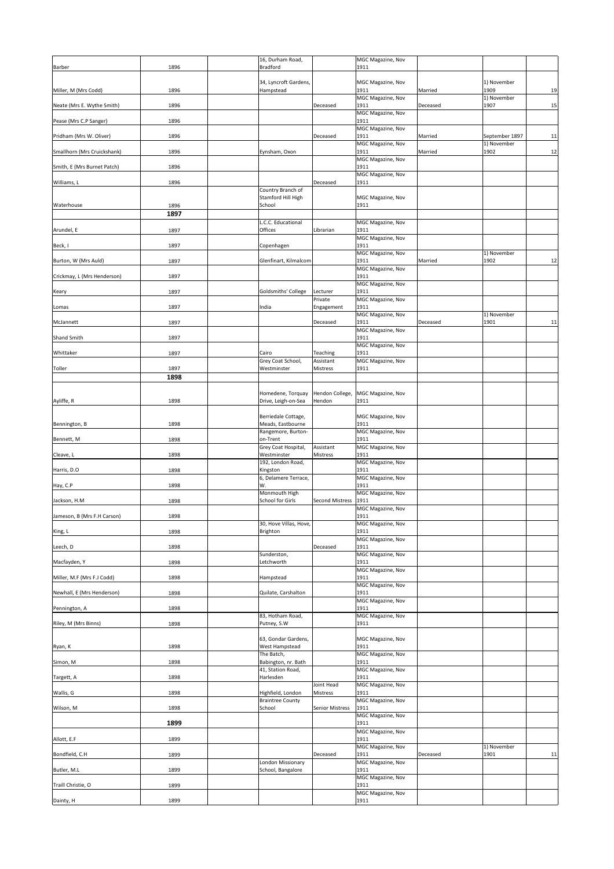| <b>Barber</b>               | 1896 | 16, Durham Road,<br><b>Bradford</b>          |                        | MGC Magazine, Nov<br>1911        |          |                     |    |
|-----------------------------|------|----------------------------------------------|------------------------|----------------------------------|----------|---------------------|----|
|                             |      |                                              |                        |                                  |          |                     |    |
| Miller, M (Mrs Codd)        | 1896 | 34, Lyncroft Gardens,<br>Hampstead           |                        | MGC Magazine, Nov<br>1911        | Married  | 1) November<br>1909 | 19 |
| Neate (Mrs E. Wythe Smith)  | 1896 |                                              | Deceased               | MGC Magazine, Nov<br>1911        | Deceased | 1) November<br>1907 | 15 |
| Pease (Mrs C.P Sanger)      | 1896 |                                              |                        | MGC Magazine, Nov<br>1911        |          |                     |    |
| Pridham (Mrs W. Oliver)     | 1896 |                                              | Deceased               | MGC Magazine, Nov<br>1911        | Married  | September 1897      | 11 |
| Smallhorn (Mrs Cruickshank) | 1896 | Eynsham, Oxon                                |                        | MGC Magazine, Nov<br>1911        | Married  | 1) November<br>1902 | 12 |
|                             |      |                                              |                        | MGC Magazine, Nov                |          |                     |    |
| Smith, E (Mrs Burnet Patch) | 1896 |                                              |                        | 1911<br>MGC Magazine, Nov        |          |                     |    |
| Williams, L                 | 1896 | Country Branch of                            | Deceased               | 1911                             |          |                     |    |
| Waterhouse                  | 1896 | Stamford Hill High<br>School                 |                        | <b>MGC Magazine, Nov</b><br>1911 |          |                     |    |
|                             | 1897 |                                              |                        |                                  |          |                     |    |
| Arundel, E                  | 1897 | L.C.C. Educational<br>Offices                | Librarian              | MGC Magazine, Nov<br>1911        |          |                     |    |
| Beck, I                     | 1897 | Copenhagen                                   |                        | MGC Magazine, Nov<br>1911        |          |                     |    |
| Burton, W (Mrs Auld)        | 1897 | Glenfinart, Kilmalcom                        |                        | MGC Magazine, Nov<br>1911        | Married  | 1) November<br>1902 | 12 |
| Crickmay, L (Mrs Henderson) | 1897 |                                              |                        | MGC Magazine, Nov<br>1911        |          |                     |    |
|                             |      |                                              |                        | MGC Magazine, Nov                |          |                     |    |
| Keary                       | 1897 | Goldsmiths' College                          | Lecturer<br>Private    | 1911<br>MGC Magazine, Nov        |          |                     |    |
| Lomas                       | 1897 | India                                        | Engagement             | 1911<br>MGC Magazine, Nov        |          | 1) November         |    |
| McJannett                   | 1897 |                                              | Deceased               | 1911<br>MGC Magazine, Nov        | Deceased | 1901                | 11 |
| <b>Shand Smith</b>          | 1897 |                                              |                        | 1911<br>MGC Magazine, Nov        |          |                     |    |
| Whittaker                   | 1897 | Cairo                                        | Teaching               | 1911                             |          |                     |    |
| Toller                      | 1897 | Grey Coat School,<br>Westminster             | Assistant<br>Mistress  | MGC Magazine, Nov<br>1911        |          |                     |    |
|                             | 1898 |                                              |                        |                                  |          |                     |    |
|                             |      | Homedene, Torquay                            | Hendon College,        | <b>MGC Magazine, Nov</b>         |          |                     |    |
| Ayliffe, R                  | 1898 | Drive, Leigh-on-Sea                          | Hendon                 | 1911                             |          |                     |    |
| Bennington, B               | 1898 | Berriedale Cottage,<br>Meads, Eastbourne     |                        | MGC Magazine, Nov<br>1911        |          |                     |    |
| Bennett, M                  | 1898 | Rangemore, Burton-<br>on-Trent               |                        | MGC Magazine, Nov<br>1911        |          |                     |    |
| Cleave, L                   | 1898 | Grey Coat Hospital,<br>Westminster           | Assistant<br>Mistress  | MGC Magazine, Nov<br>1911        |          |                     |    |
|                             |      | 192, London Road,                            |                        | MGC Magazine, Nov                |          |                     |    |
| Harris, D.O                 | 1898 | Kingston<br>6, Delamere Terrace,             |                        | 1911<br>MGC Magazine, Nov        |          |                     |    |
| Hay, C.P                    | 1898 | W.<br>Monmouth High                          |                        | 1911<br>MGC Magazine, Nov        |          |                     |    |
| Jackson, H.M                | 1898 | <b>School for Girls</b>                      | <b>Second Mistress</b> | 1911<br>MGC Magazine, Nov        |          |                     |    |
| Jameson, B (Mrs F.H Carson) | 1898 | 30, Hove Villas, Hove,                       |                        | 1911<br><b>MGC Magazine, Nov</b> |          |                     |    |
| King, L                     | 1898 | <b>Brighton</b>                              |                        | 1911                             |          |                     |    |
| Leech, D                    | 1898 |                                              | Deceased               | MGC Magazine, Nov<br>1911        |          |                     |    |
| Macfayden, Y                | 1898 | Sunderston,<br>Letchworth                    |                        | MGC Magazine, Nov<br>1911        |          |                     |    |
| Miller, M.F (Mrs F.J Codd)  | 1898 | Hampstead                                    |                        | MGC Magazine, Nov<br>1911        |          |                     |    |
| Newhall, E (Mrs Henderson)  | 1898 | Quilate, Carshalton                          |                        | MGC Magazine, Nov<br>1911        |          |                     |    |
|                             |      |                                              |                        | MGC Magazine, Nov<br>1911        |          |                     |    |
| Pennington, A               | 1898 | 83, Hotham Road,                             |                        | MGC Magazine, Nov                |          |                     |    |
| Riley, M (Mrs Binns)        | 1898 | Putney, S.W                                  |                        | 1911                             |          |                     |    |
| Ryan, K                     | 1898 | 63, Gondar Gardens,<br>West Hampstead        |                        | MGC Magazine, Nov<br>1911        |          |                     |    |
| Simon, M                    | 1898 | The Batch,<br>Babington, nr. Bath            |                        | MGC Magazine, Nov<br>1911        |          |                     |    |
|                             | 1898 | 41, Station Road,<br>Harlesden               |                        | MGC Magazine, Nov<br>1911        |          |                     |    |
| Targett, A                  |      |                                              | Joint Head             | MGC Magazine, Nov                |          |                     |    |
| Wallis, G                   | 1898 | Highfield, London<br><b>Braintree County</b> | <b>Mistress</b>        | 1911<br>MGC Magazine, Nov        |          |                     |    |
| Wilson, M                   | 1898 | School                                       | <b>Senior Mistress</b> | 1911<br>MGC Magazine, Nov        |          |                     |    |
|                             | 1899 |                                              |                        | 1911<br>MGC Magazine, Nov        |          |                     |    |
| Allott, E.F                 | 1899 |                                              |                        | 1911<br>MGC Magazine, Nov        |          | 1) November         |    |
| Bondfield, C.H              | 1899 |                                              | Deceased               | 1911                             | Deceased | 1901                | 11 |
| Butler, M.L                 | 1899 | London Missionary<br>School, Bangalore       |                        | MGC Magazine, Nov<br>1911        |          |                     |    |
| Traill Christie, O          | 1899 |                                              |                        | MGC Magazine, Nov<br>1911        |          |                     |    |
| Dainty, H                   | 1899 |                                              |                        | MGC Magazine, Nov<br>1911        |          |                     |    |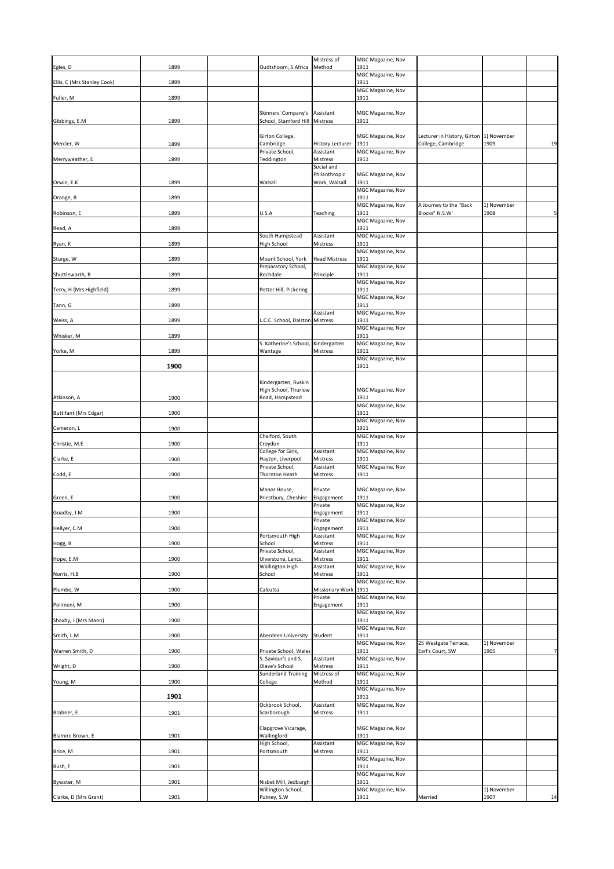| Egles, D                    | 1899 | Oudtshoom, S.Africa                       | Mistress of<br>Method                                  | MGC Magazine, Nov<br>1911        |                                          |                     |    |
|-----------------------------|------|-------------------------------------------|--------------------------------------------------------|----------------------------------|------------------------------------------|---------------------|----|
| Ellis, C (Mrs Stanley Cook) | 1899 |                                           |                                                        | MGC Magazine, Nov<br>1911        |                                          |                     |    |
| Fuller, M                   | 1899 |                                           |                                                        | MGC Magazine, Nov<br>1911        |                                          |                     |    |
|                             |      |                                           | Skinners' Company's   Assistant                        | MGC Magazine, Nov                |                                          |                     |    |
| Gibbings, E.M.              | 1899 |                                           | School, Stamford Hill   Mistress                       | 1911                             |                                          |                     |    |
|                             |      | Girton College,                           |                                                        | MGC Magazine, Nov                | Lecturer in History, Girton  1) November |                     |    |
| Mercier, W                  | 1899 | Cambridge<br>Private School,              | <b>History Lecturer</b><br>Assistant                   | 1911<br>MGC Magazine, Nov        | College, Cambridge                       | 1909                | 19 |
| Merryweather, E             | 1899 | Teddington                                | <b>Mistress</b><br>Social and                          | 1911                             |                                          |                     |    |
| Orwin, E.K                  | 1899 | Walsall                                   | Philanthropic<br>Work, Walsall                         | MGC Magazine, Nov<br>1911        |                                          |                     |    |
| Orange, B                   | 1899 |                                           |                                                        | MGC Magazine, Nov<br>1911        |                                          |                     |    |
| Robinson, E                 | 1899 | U.S.A                                     | Teaching                                               | MGC Magazine, Nov<br>1911        | A Journey to the "Back<br>Blocks" N.S.W' | 1) November<br>1908 | 5  |
|                             |      |                                           |                                                        | MGC Magazine, Nov<br>1911        |                                          |                     |    |
| Read, A                     | 1899 | South Hampstead                           | Assistant                                              | MGC Magazine, Nov                |                                          |                     |    |
| Ryan, K                     | 1899 | <b>High School</b>                        | Mistress                                               | 1911<br>MGC Magazine, Nov        |                                          |                     |    |
| Sturge, W                   | 1899 | Mount School, York<br>Preparatory School, | <b>Head Mistress</b>                                   | 1911<br>MGC Magazine, Nov        |                                          |                     |    |
| Shuttleworth, B             | 1899 | Rochdale                                  | Principle                                              | 1911<br>MGC Magazine, Nov        |                                          |                     |    |
| Terry, H (Mrs Highfield)    | 1899 | Potter Hill, Pickering                    |                                                        | 1911<br><b>MGC Magazine, Nov</b> |                                          |                     |    |
| Tann, G                     | 1899 |                                           | Assistant                                              | 1911<br>MGC Magazine, Nov        |                                          |                     |    |
| Weiss, A                    | 1899 |                                           | L.C.C. School, Dalston Mistress                        | 1911                             |                                          |                     |    |
| Whisker, M                  | 1899 |                                           |                                                        | MGC Magazine, Nov<br>1911        |                                          |                     |    |
| Yorke, M                    | 1899 | Wantage                                   | S. Katherine's School, Kindergarten<br><b>Mistress</b> | MGC Magazine, Nov<br>1911        |                                          |                     |    |
|                             | 1900 |                                           |                                                        | MGC Magazine, Nov<br>1911        |                                          |                     |    |
|                             |      | Kindergarten, Ruskin                      |                                                        |                                  |                                          |                     |    |
| Atkinson, A                 | 1900 | High School, Thurlow<br>Road, Hampstead   |                                                        | MGC Magazine, Nov<br>1911        |                                          |                     |    |
|                             |      |                                           |                                                        | <b>MGC Magazine, Nov</b>         |                                          |                     |    |
| Buttifant (Mrs Edgar)       | 1900 |                                           |                                                        | 1911<br>MGC Magazine, Nov        |                                          |                     |    |
| Cameron, L                  | 1900 | Chalford, South                           |                                                        | 1911<br>MGC Magazine, Nov        |                                          |                     |    |
| Christie, M.E               | 1900 | Croydon<br>College for Girls,             | Assistant                                              | 1911<br>MGC Magazine, Nov        |                                          |                     |    |
| Clarke, E                   | 1900 | Hayton, Liverpool<br>Private School,      | Mistress<br>Assistant                                  | 1911<br>MGC Magazine, Nov        |                                          |                     |    |
| Codd, E                     | 1900 | Thornton Heath                            | Mistress                                               | 1911                             |                                          |                     |    |
| Green, E                    | 1900 | Manor House,<br>Priestbury, Cheshire      | Private<br>Engagement                                  | MGC Magazine, Nov<br>1911        |                                          |                     |    |
|                             |      |                                           | Private                                                | MGC Magazine, Nov<br>1911        |                                          |                     |    |
| Goadby, J.M                 | 1900 |                                           | Engagement<br>Private                                  | MGC Magazine, Nov                |                                          |                     |    |
| Hellyer, C.M                | 1900 | Portsmouth High                           | Engagement<br>Assistant                                | 1911<br>MGC Magazine, Nov        |                                          |                     |    |
| Hogg, B                     | 1900 | School<br>Private School,                 | <b>Mistress</b><br>Assistant                           | 1911<br>MGC Magazine, Nov        |                                          |                     |    |
| Hope, E.M                   | 1900 | Ulverstone, Lancs.<br>Wallington High     | Mistress<br>Assistant                                  | 1911<br>MGC Magazine, Nov        |                                          |                     |    |
| Norris, H.B                 | 1900 | School                                    | Mistress                                               | 1911<br>MGC Magazine, Nov        |                                          |                     |    |
| Plumbe, W                   | 1900 | Calcutta                                  | Missionary Work 1911<br>Private                        | <b>MGC Magazine, Nov</b>         |                                          |                     |    |
| Polimeni, M                 | 1900 |                                           | Engagement                                             | 1911                             |                                          |                     |    |
| Shaxby, J (Mrs Mann)        | 1900 |                                           |                                                        | MGC Magazine, Nov<br>1911        |                                          |                     |    |
| Smith, L.M                  | 1900 |                                           | Aberdeen University Student                            | MGC Magazine, Nov<br>1911        |                                          |                     |    |
| Warren Smith, D             | 1900 | Private School, Wales                     |                                                        | MGC Magazine, Nov<br>1911        | 25 Westgate Terrace,<br>Earl's Court, SW | 1) November<br>1905 | 7  |
| Wright, D                   | 1900 | S. Saviour's and S.<br>Olave's School     | Assistant<br><b>Mistress</b>                           | MGC Magazine, Nov<br>1911        |                                          |                     |    |
| Young, M                    | 1900 | <b>Sunderland Training</b><br>College     | Mistress of<br>Method                                  | MGC Magazine, Nov<br>1911        |                                          |                     |    |
|                             | 1901 |                                           |                                                        | MGC Magazine, Nov<br>1911        |                                          |                     |    |
|                             |      | Ockbrook School,                          | Assistant                                              | <b>MGC Magazine, Nov</b>         |                                          |                     |    |
| Brabner, E                  | 1901 | Scarborough                               | Mistress                                               | 1911                             |                                          |                     |    |
| Blamire Brown, E            | 1901 | Clapgrove Vicarage,<br>Wallingford        |                                                        | MGC Magazine, Nov<br>1911        |                                          |                     |    |
| Brice, M                    | 1901 | High School,<br>Portsmouth                | Assistant<br>Mistress                                  | MGC Magazine, Nov<br>1911        |                                          |                     |    |
| Bush, F                     | 1901 |                                           |                                                        | MGC Magazine, Nov<br>1911        |                                          |                     |    |
| Bywater, M                  | 1901 | Nisbet Mill, Jedburgh                     |                                                        | MGC Magazine, Nov<br>1911        |                                          |                     |    |
|                             | 1901 | Willington School,<br>Putney, S.W         |                                                        | MGC Magazine, Nov<br>1911        | Married                                  | 1) November<br>1907 | 14 |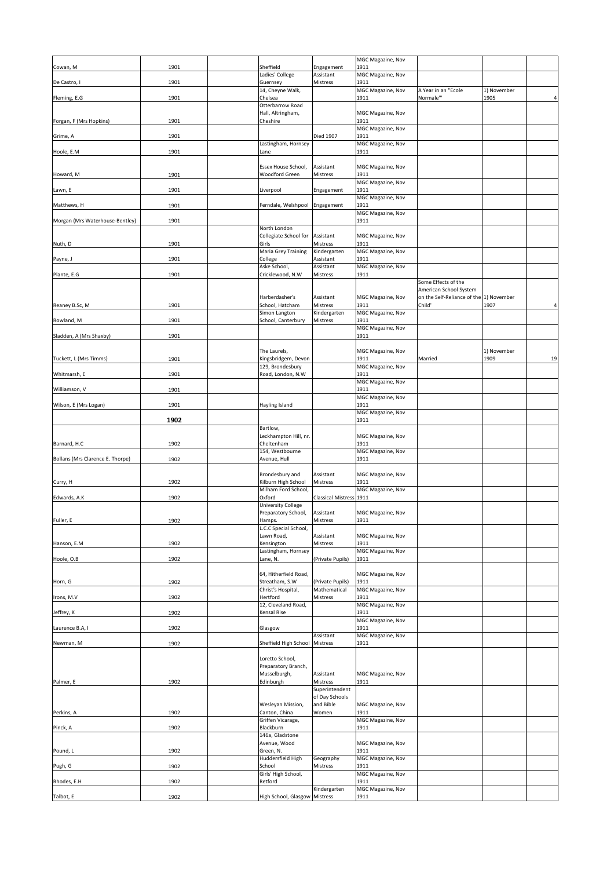|                                  |      |                                        |                                  | MGC Magazine, Nov         |                                                   |                     |                |
|----------------------------------|------|----------------------------------------|----------------------------------|---------------------------|---------------------------------------------------|---------------------|----------------|
| Cowan, M                         | 1901 | Sheffield                              | Engagement                       | 1911                      |                                                   |                     |                |
| De Castro, I                     | 1901 | Ladies' College<br>Guernsey            | Assistant<br>Mistress            | MGC Magazine, Nov<br>1911 |                                                   |                     |                |
|                                  |      | 14, Cheyne Walk,                       |                                  | MGC Magazine, Nov         | A Year in an "Ecole                               | 1) November         |                |
| Fleming, E.G                     | 1901 | Chelsea                                |                                  | 1911                      | Normale"'                                         | 1905                | 4              |
|                                  |      | Otterbarrow Road<br>Hall, Altringham,  |                                  | MGC Magazine, Nov         |                                                   |                     |                |
| Forgan, F (Mrs Hopkins)          | 1901 | Cheshire                               |                                  | 1911                      |                                                   |                     |                |
| Grime, A                         | 1901 |                                        | <b>Died 1907</b>                 | MGC Magazine, Nov<br>1911 |                                                   |                     |                |
|                                  |      | Lastingham, Hornsey                    |                                  | MGC Magazine, Nov         |                                                   |                     |                |
| Hoole, E.M                       | 1901 | Lane                                   |                                  | 1911                      |                                                   |                     |                |
|                                  |      | Essex House School,                    | Assistant                        | MGC Magazine, Nov         |                                                   |                     |                |
| Howard, M                        | 1901 | <b>Woodford Green</b>                  | Mistress                         | 1911<br>MGC Magazine, Nov |                                                   |                     |                |
| Lawn, E                          | 1901 | Liverpool                              | Engagement                       | 1911                      |                                                   |                     |                |
|                                  |      |                                        |                                  | MGC Magazine, Nov         |                                                   |                     |                |
| Matthews, H                      | 1901 | Ferndale, Welshpool                    | Engagement                       | 1911<br>MGC Magazine, Nov |                                                   |                     |                |
| Morgan (Mrs Waterhouse-Bentley)  | 1901 |                                        |                                  | 1911                      |                                                   |                     |                |
|                                  |      | North London<br>Collegiate School for  | Assistant                        | MGC Magazine, Nov         |                                                   |                     |                |
| Nuth, D                          | 1901 | Girls                                  | <b>Mistress</b>                  | 1911                      |                                                   |                     |                |
| Payne, J                         | 1901 | Maria Grey Training<br>College         | Kindergarten<br>Assistant        | MGC Magazine, Nov<br>1911 |                                                   |                     |                |
|                                  |      | Aske School,                           | Assistant                        | MGC Magazine, Nov         |                                                   |                     |                |
| Plante, E.G                      | 1901 | Cricklewood, N.W                       | <b>Mistress</b>                  | 1911                      | Some Effects of the                               |                     |                |
|                                  |      |                                        |                                  |                           | American School System                            |                     |                |
| Reaney B.Sc, M                   | 1901 | Harberdasher's<br>School, Hatcham      | Assistant<br><b>Mistress</b>     | MGC Magazine, Nov<br>1911 | on the Self-Reliance of the 1) November<br>Child' | 1907                | $\overline{4}$ |
|                                  |      | Simon Langton                          | Kindergarten                     | MGC Magazine, Nov         |                                                   |                     |                |
| Rowland, M                       | 1901 | School, Canterbury                     | Mistress                         | 1911<br>MGC Magazine, Nov |                                                   |                     |                |
| Sladden, A (Mrs Shaxby)          | 1901 |                                        |                                  | 1911                      |                                                   |                     |                |
|                                  |      |                                        |                                  |                           |                                                   |                     |                |
| Tuckett, L (Mrs Timms)           | 1901 | The Laurels,<br>Kingsbridgem, Devon    |                                  | MGC Magazine, Nov<br>1911 | Married                                           | 1) November<br>1909 | 19             |
|                                  |      | 129, Brondesbury                       |                                  | MGC Magazine, Nov         |                                                   |                     |                |
| Whitmarsh, E                     | 1901 | Road, London, N.W                      |                                  | 1911<br>MGC Magazine, Nov |                                                   |                     |                |
| Williamson, V                    | 1901 |                                        |                                  | 1911                      |                                                   |                     |                |
| Wilson, E (Mrs Logan)            | 1901 | Hayling Island                         |                                  | MGC Magazine, Nov<br>1911 |                                                   |                     |                |
|                                  |      |                                        |                                  | MGC Magazine, Nov         |                                                   |                     |                |
|                                  | 1902 | Bartlow,                               |                                  | 1911                      |                                                   |                     |                |
|                                  |      | Leckhampton Hill, nr.                  |                                  | MGC Magazine, Nov         |                                                   |                     |                |
| Barnard, H.C                     | 1902 | Cheltenham<br>154, Westbourne          |                                  | 1911<br>MGC Magazine, Nov |                                                   |                     |                |
| Bollans (Mrs Clarence E. Thorpe) | 1902 | Avenue, Hull                           |                                  | 1911                      |                                                   |                     |                |
|                                  |      | Brondesbury and                        | Assistant                        | MGC Magazine, Nov         |                                                   |                     |                |
| Curry, H                         | 1902 | Kilburn High School                    | Mistress                         | 1911                      |                                                   |                     |                |
|                                  |      | Milham Ford School,                    |                                  | MGC Magazine, Nov         |                                                   |                     |                |
| Edwards, A.K                     | 1902 | Oxford<br>University College           | Classical Mistress 1911          |                           |                                                   |                     |                |
|                                  |      | Preparatory School,                    | Assistant                        | MGC Magazine, Nov         |                                                   |                     |                |
| Fuller, E                        | 1902 | Hamps.<br>L.C.C Special School,        | <b>Mistress</b>                  | 1911                      |                                                   |                     |                |
|                                  |      | Lawn Road,                             | Assistant                        | <b>MGC Magazine, Nov</b>  |                                                   |                     |                |
| Hanson, E.M                      | 1902 | Kensington<br>Lastingham, Hornsey      | <b>Mistress</b>                  | 1911<br>MGC Magazine, Nov |                                                   |                     |                |
| Hoole, O.B                       | 1902 | Lane, N.                               | (Private Pupils)                 | 1911                      |                                                   |                     |                |
|                                  |      | 64, Hitherfield Road,                  |                                  | MGC Magazine, Nov         |                                                   |                     |                |
| Horn, G                          | 1902 | Streatham, S.W                         | (Private Pupils)                 | 1911                      |                                                   |                     |                |
| Irons, M.V                       | 1902 | Christ's Hospital,<br>Hertford         | Mathematical<br>Mistress         | MGC Magazine, Nov<br>1911 |                                                   |                     |                |
|                                  |      | 12, Cleveland Road,                    |                                  | MGC Magazine, Nov         |                                                   |                     |                |
| Jeffrey, K                       | 1902 | <b>Kensal Rise</b>                     |                                  | 1911<br>MGC Magazine, Nov |                                                   |                     |                |
| Laurence B.A, I                  | 1902 | Glasgow                                |                                  | 1911                      |                                                   |                     |                |
| Newman, M                        | 1902 | Sheffield High School                  | Assistant<br><b>Mistress</b>     | MGC Magazine, Nov<br>1911 |                                                   |                     |                |
|                                  |      |                                        |                                  |                           |                                                   |                     |                |
|                                  |      | Loretto School,<br>Preparatory Branch, |                                  |                           |                                                   |                     |                |
|                                  |      | Musselburgh,                           | Assistant                        | <b>MGC Magazine, Nov</b>  |                                                   |                     |                |
| Palmer, E                        | 1902 | Edinburgh                              | <b>Mistress</b>                  | 1911                      |                                                   |                     |                |
|                                  |      |                                        | Superintendent<br>of Day Schools |                           |                                                   |                     |                |
|                                  |      | Wesleyan Mission,                      | and Bible                        | MGC Magazine, Nov         |                                                   |                     |                |
| Perkins, A                       | 1902 | Canton, China<br>Griffen Vicarage,     | Women                            | 1911<br>MGC Magazine, Nov |                                                   |                     |                |
| Pinck, A                         | 1902 | Blackburn                              |                                  | 1911                      |                                                   |                     |                |
|                                  |      | 146a, Gladstone<br>Avenue, Wood        |                                  | MGC Magazine, Nov         |                                                   |                     |                |
| Pound, L                         | 1902 | Green, N.                              |                                  | 1911                      |                                                   |                     |                |
| Pugh, G                          | 1902 | Huddersfield High<br>School            | Geography<br><b>Mistress</b>     | MGC Magazine, Nov<br>1911 |                                                   |                     |                |
|                                  |      | Girls' High School,                    |                                  | MGC Magazine, Nov         |                                                   |                     |                |
| Rhodes, E.H                      | 1902 | Retford                                | Kindergarten                     | 1911<br>MGC Magazine, Nov |                                                   |                     |                |
| Talbot, E                        | 1902 | High School, Glasgow Mistress          |                                  | 1911                      |                                                   |                     |                |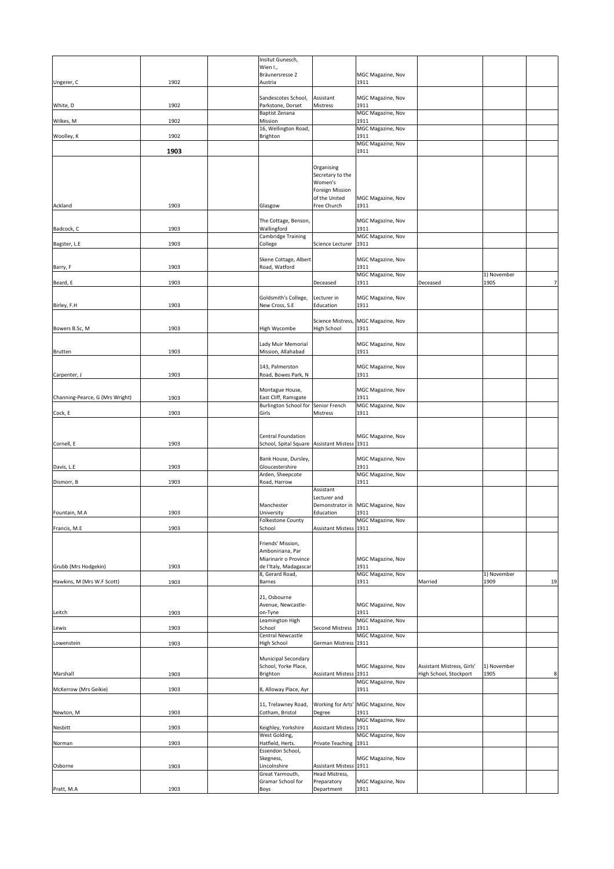|                                 |      | Insitut Gunesch,                                                          |                               |                                     |                            |                     |                |
|---------------------------------|------|---------------------------------------------------------------------------|-------------------------------|-------------------------------------|----------------------------|---------------------|----------------|
|                                 |      | Wien I.,<br>Bräunersresse 2                                               |                               | MGC Magazine, Nov                   |                            |                     |                |
| Ungerer, C                      | 1902 | Austria                                                                   |                               | 1911                                |                            |                     |                |
|                                 |      | Sandescotes School,                                                       | Assistant                     | <b>MGC Magazine, Nov</b>            |                            |                     |                |
| White, D                        | 1902 | Parkstone, Dorset                                                         | Mistress                      | 1911                                |                            |                     |                |
| Wilkes, M                       | 1902 | <b>Baptist Zenana</b><br>Mission                                          |                               | MGC Magazine, Nov<br>1911           |                            |                     |                |
|                                 |      | 16, Wellington Road,                                                      |                               | MGC Magazine, Nov                   |                            |                     |                |
| Woolley, K                      | 1902 | Brighton                                                                  |                               | 1911<br>MGC Magazine, Nov           |                            |                     |                |
|                                 | 1903 |                                                                           |                               | 1911                                |                            |                     |                |
|                                 |      |                                                                           | Organising                    |                                     |                            |                     |                |
|                                 |      |                                                                           | Secretary to the<br>Women's   |                                     |                            |                     |                |
|                                 |      |                                                                           | <b>Foreign Mission</b>        |                                     |                            |                     |                |
| Ackland                         | 1903 | Glasgow                                                                   | of the United<br>Free Church  | MGC Magazine, Nov<br>1911           |                            |                     |                |
|                                 |      | The Cottage, Benson,                                                      |                               | <b>MGC Magazine, Nov</b>            |                            |                     |                |
| Badcock, C                      | 1903 | Wallingford                                                               |                               | 1911                                |                            |                     |                |
| Bagster, L.E                    | 1903 | Cambridge Training<br>College                                             | Science Lecturer              | MGC Magazine, Nov<br>1911           |                            |                     |                |
|                                 |      |                                                                           |                               |                                     |                            |                     |                |
| Barry, F                        | 1903 | Skene Cottage, Albert<br>Road, Watford                                    |                               | MGC Magazine, Nov<br>1911           |                            |                     |                |
| Beard, E                        | 1903 |                                                                           | Deceased                      | MGC Magazine, Nov<br>1911           | Deceased                   | 1) November<br>1905 | 71             |
|                                 |      |                                                                           |                               |                                     |                            |                     |                |
| Birley, F.H                     | 1903 | Goldsmith's College,<br>New Cross, S.E                                    | Lecturer in<br>Education      | MGC Magazine, Nov<br>1911           |                            |                     |                |
|                                 |      |                                                                           |                               | Science Mistress, MGC Magazine, Nov |                            |                     |                |
| Bowers B.Sc, M                  | 1903 | High Wycombe                                                              | <b>High School</b>            | 1911                                |                            |                     |                |
|                                 |      | Lady Muir Memorial                                                        |                               | <b>MGC Magazine, Nov</b>            |                            |                     |                |
| <b>Brutten</b>                  | 1903 | Mission, Allahabad                                                        |                               | 1911                                |                            |                     |                |
|                                 |      | 143, Palmerston                                                           |                               | <b>MGC Magazine, Nov</b>            |                            |                     |                |
| Carpenter, J                    | 1903 | Road, Bowes Park, N                                                       |                               | 1911                                |                            |                     |                |
|                                 |      | Montague House,                                                           |                               | <b>MGC Magazine, Nov</b>            |                            |                     |                |
| Channing-Pearce, G (Mrs Wright) | 1903 | East Cliff, Ramsgate<br>Burlington School for Senior French               |                               | 1911<br>MGC Magazine, Nov           |                            |                     |                |
| Cock, E                         | 1903 | Girls                                                                     | Mistress                      | 1911                                |                            |                     |                |
|                                 |      |                                                                           |                               |                                     |                            |                     |                |
| Cornell, E                      | 1903 | <b>Central Foundation</b><br>School, Spital Square Assistant Mistess 1911 |                               | MGC Magazine, Nov                   |                            |                     |                |
|                                 |      |                                                                           |                               |                                     |                            |                     |                |
| Davis, L.E                      | 1903 | Bank House, Dursley,<br>Gloucestershire                                   |                               | <b>MGC Magazine, Nov</b><br>1911    |                            |                     |                |
| Dismorr, B                      | 1903 | Arden, Sheepcote<br>Road, Harrow                                          |                               | <b>MGC Magazine, Nov</b><br>1911    |                            |                     |                |
|                                 |      |                                                                           | Assistant                     |                                     |                            |                     |                |
|                                 |      | Manchester                                                                | Lecturer and                  | Demonstrator in   MGC Magazine, Nov |                            |                     |                |
| Fountain, M.A                   | 1903 | University                                                                | Education                     | 1911                                |                            |                     |                |
| Francis, M.E                    | 1903 | <b>Folkestone County</b><br>School                                        | Assistant Mistess 1911        | MGC Magazine, Nov                   |                            |                     |                |
|                                 |      | Friends' Mission,                                                         |                               |                                     |                            |                     |                |
|                                 |      | Amboniriana, Par                                                          |                               |                                     |                            |                     |                |
| Grubb (Mrs Hodgekin)            | 1903 | Miarinarir o Province<br>de l'Italy, Madagascar                           |                               | <b>MGC Magazine, Nov</b><br>1911    |                            |                     |                |
|                                 |      | 8, Gerard Road,                                                           |                               | MGC Magazine, Nov                   |                            | 1) November         |                |
| Hawkins, M (Mrs W.F Scott)      | 1903 | Barnes                                                                    |                               | 1911                                | Married                    | 1909                | 19             |
|                                 |      | 21, Osbourne<br>Avenue, Newcastle-                                        |                               | MGC Magazine, Nov                   |                            |                     |                |
| Leitch                          | 1903 | on-Tyne                                                                   |                               | 1911                                |                            |                     |                |
| Lewis                           | 1903 | Leamington High<br>School                                                 | <b>Second Mistress</b>        | MGC Magazine, Nov<br>1911           |                            |                     |                |
| Lowenstein                      | 1903 | <b>Central Newcastle</b><br>High School                                   | German Mistress 1911          | <b>MGC Magazine, Nov</b>            |                            |                     |                |
|                                 |      |                                                                           |                               |                                     |                            |                     |                |
|                                 |      | <b>Municipal Secondary</b><br>School, Yorke Place,                        |                               | <b>MGC Magazine, Nov</b>            | Assistant Mistress, Girls' | 1) November         |                |
| Marshall                        | 1903 | Brighton                                                                  | Assistant Mistess 1911        | MGC Magazine, Nov                   | High School, Stockport     | 1905                | 8 <sup>1</sup> |
| McKerrow (Mrs Geikie)           | 1903 | 8, Alloway Place, Ayr                                                     |                               | 1911                                |                            |                     |                |
|                                 |      | 11, Trelawney Road,                                                       |                               | Working for Arts' MGC Magazine, Nov |                            |                     |                |
| Newton, M                       | 1903 | Cotham, Bristol                                                           | Degree                        | 1911<br>MGC Magazine, Nov           |                            |                     |                |
| Nesbitt                         | 1903 | Keighley, Yorkshire                                                       | Assistant Mistess   1911      |                                     |                            |                     |                |
| Norman                          | 1903 | West Golding,<br>Hatfield, Herts.                                         | Private Teaching   1911       | MGC Magazine, Nov                   |                            |                     |                |
|                                 |      | Essendon School,<br>Skegness,                                             |                               | MGC Magazine, Nov                   |                            |                     |                |
| Osborne                         | 1903 | Lincolnshire                                                              | Assistant Mistess 1911        |                                     |                            |                     |                |
|                                 |      | Great Yarmouth,<br><b>Gramar School for</b>                               | Head Mistress,<br>Preparatory | MGC Magazine, Nov                   |                            |                     |                |
| Pratt, M.A                      | 1903 | Boys                                                                      | Department                    | 1911                                |                            |                     |                |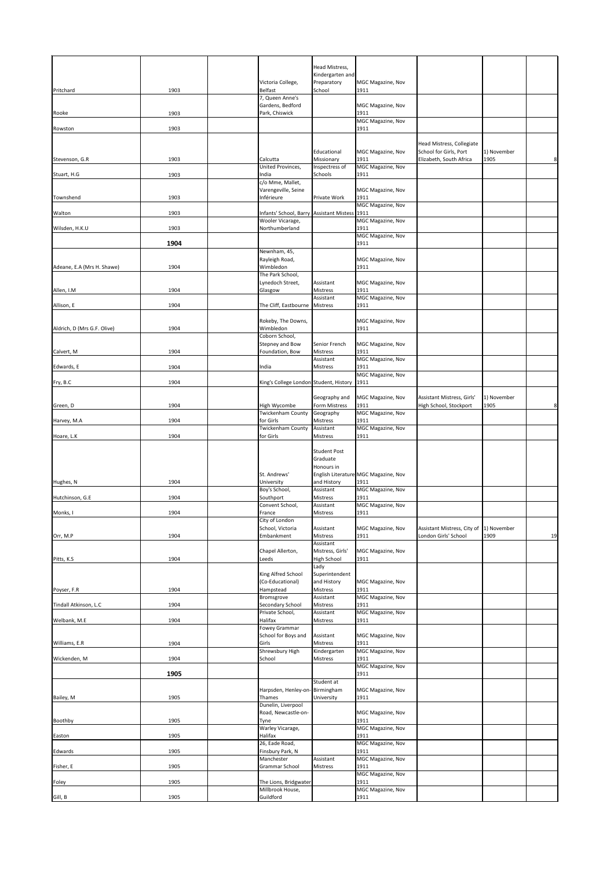|                               |      |                                                                   | Head Mistress,<br>Kindergarten and |                                              |                                                                 |             |                |
|-------------------------------|------|-------------------------------------------------------------------|------------------------------------|----------------------------------------------|-----------------------------------------------------------------|-------------|----------------|
| Pritchard                     | 1903 | Victoria College,<br><b>Belfast</b>                               | Preparatory<br>School              | MGC Magazine, Nov<br>1911                    |                                                                 |             |                |
|                               |      | 7, Queen Anne's<br>Gardens, Bedford                               |                                    | MGC Magazine, Nov                            |                                                                 |             |                |
| Rooke                         | 1903 | Park, Chiswick                                                    |                                    | 1911<br>MGC Magazine, Nov                    |                                                                 |             |                |
| Rowston                       | 1903 |                                                                   |                                    | 1911                                         |                                                                 |             |                |
|                               |      |                                                                   | Educational                        | MGC Magazine, Nov                            | Head Mistress, Collegiate<br>School for Girls, Port             | 1) November |                |
| Stevenson, G.R                | 1903 | Calcutta<br>United Provinces,                                     | Missionary<br>Inspectress of       | 1911<br>MGC Magazine, Nov                    | Elizabeth, South Africa                                         | 1905        | 8 <sup>1</sup> |
| Stuart, H.G                   | 1903 | India<br>c/o Mme, Mallet,                                         | Schools                            | 1911                                         |                                                                 |             |                |
| Townshend                     | 1903 | Varengeville, Seine<br>Inférieure                                 | Private Work                       | MGC Magazine, Nov<br>1911                    |                                                                 |             |                |
|                               |      |                                                                   |                                    | MGC Magazine, Nov                            |                                                                 |             |                |
| Walton                        | 1903 | Infants' School, Barry Assistant Mistess 1911<br>Wooler Vicarage, |                                    | MGC Magazine, Nov                            |                                                                 |             |                |
| Wilsden, H.K.U                | 1903 | Northumberland                                                    |                                    | 1911<br>MGC Magazine, Nov                    |                                                                 |             |                |
|                               | 1904 | Newnham, 45,                                                      |                                    | 1911                                         |                                                                 |             |                |
| Adeane, E.A (Mrs H. Shawe)    | 1904 | Rayleigh Road,<br>Wimbledon                                       |                                    | <b>MGC Magazine, Nov</b><br>1911             |                                                                 |             |                |
|                               |      | The Park School,<br>Lynedoch Street,                              | Assistant                          | MGC Magazine, Nov                            |                                                                 |             |                |
| Allen, I.M                    | 1904 | Glasgow                                                           | Mistress<br>Assistant              | 1911<br>MGC Magazine, Nov                    |                                                                 |             |                |
| Allison, E                    | 1904 | The Cliff, Eastbourne                                             | Mistress                           | 1911                                         |                                                                 |             |                |
|                               |      | Rokeby, The Downs,                                                |                                    | MGC Magazine, Nov                            |                                                                 |             |                |
| Aldrich, D (Mrs G.F. Olive)   | 1904 | Wimbledon<br>Coborn School,                                       |                                    | 1911                                         |                                                                 |             |                |
| Calvert, M                    | 1904 | <b>Stepney and Bow</b><br>Foundation, Bow                         | Senior French<br><b>Mistress</b>   | MGC Magazine, Nov<br>1911                    |                                                                 |             |                |
| Edwards, E                    | 1904 | India                                                             | Assistant<br>Mistress              | MGC Magazine, Nov<br>1911                    |                                                                 |             |                |
| Fry, B.C                      | 1904 | King's College London Student, History                            |                                    | MGC Magazine, Nov<br>1911                    |                                                                 |             |                |
|                               |      |                                                                   | Geography and                      | MGC Magazine, Nov                            | Assistant Mistress, Girls'                                      | 1) November |                |
| Green, D                      | 1904 | High Wycombe                                                      | Form Mistress                      | 1911                                         | High School, Stockport                                          | 1905        | 8              |
| Harvey, M.A                   | 1904 | <b>Twickenham County</b><br>for Girls                             | Geography<br><b>Mistress</b>       | MGC Magazine, Nov<br>1911                    |                                                                 |             |                |
| Hoare, L.K                    | 1904 | Twickenham County<br>for Girls                                    | Assistant<br><b>Mistress</b>       | MGC Magazine, Nov<br>1911                    |                                                                 |             |                |
|                               |      |                                                                   |                                    |                                              |                                                                 |             |                |
|                               |      |                                                                   | <b>Student Post</b>                |                                              |                                                                 |             |                |
|                               |      |                                                                   | Graduate<br>Honours in             |                                              |                                                                 |             |                |
| Hughes, N                     | 1904 | St. Andrews'<br>University                                        | and History                        | English Literature MGC Magazine, Nov<br>1911 |                                                                 |             |                |
| Hutchinson, G.E               | 1904 | Boy's School,<br>Southport                                        | Assistant<br><b>Mistress</b>       | MGC Magazine, Nov<br>1911                    |                                                                 |             |                |
| Monks, I                      | 1904 | Convent School,<br>France                                         | Assistant<br>Mistress              | MGC Magazine, Nov<br>1911                    |                                                                 |             |                |
|                               |      | City of London                                                    |                                    |                                              |                                                                 |             |                |
| Orr, M.P                      | 1904 | School, Victoria<br>Embankment                                    | Assistant<br><b>Mistress</b>       | MGC Magazine, Nov<br>1911                    | Assistant Mistress, City of 1) November<br>London Girls' School | 1909        | 19             |
|                               |      | Chapel Allerton,                                                  | Assistant<br>Mistress, Girls'      | MGC Magazine, Nov                            |                                                                 |             |                |
| Pitts, K.S.                   | 1904 | Leeds                                                             | High School<br>Lady                | 1911                                         |                                                                 |             |                |
|                               |      | King Alfred School<br>(Co-Educational)                            | Superintendent<br>and History      | MGC Magazine, Nov                            |                                                                 |             |                |
| Poyser, F.R                   | 1904 | Hampstead<br>Bromsgrove                                           | Mistress<br>Assistant              | 1911<br><b>MGC Magazine, Nov</b>             |                                                                 |             |                |
| Tindall Atkinson, L.C         | 1904 | <b>Secondary School</b><br>Private School,                        | <b>Mistress</b><br>Assistant       | 1911<br>MGC Magazine, Nov                    |                                                                 |             |                |
| Welbank, M.E                  | 1904 | Halifax<br><b>Fowey Grammar</b>                                   | Mistress                           | 1911                                         |                                                                 |             |                |
|                               | 1904 | School for Boys and<br>Girls                                      | Assistant<br>Mistress              | MGC Magazine, Nov<br>1911                    |                                                                 |             |                |
| Williams, E.R<br>Wickenden, M | 1904 | Shrewsbury High<br>School                                         | Kindergarten<br>Mistress           | MGC Magazine, Nov<br>1911                    |                                                                 |             |                |
|                               |      |                                                                   |                                    | MGC Magazine, Nov                            |                                                                 |             |                |
|                               | 1905 |                                                                   | Student at                         | 1911                                         |                                                                 |             |                |
| Bailey, M                     | 1905 | Harpsden, Henley-on-Birmingham<br>Thames                          | University                         | MGC Magazine, Nov<br>1911                    |                                                                 |             |                |
|                               |      | Dunelin, Liverpool<br>Road, Newcastle-on-                         |                                    | MGC Magazine, Nov                            |                                                                 |             |                |
| Boothby                       | 1905 | Tyne<br>Warley Vicarage,                                          |                                    | 1911<br>MGC Magazine, Nov                    |                                                                 |             |                |
| Easton                        | 1905 | Halifax<br>26, Eade Road,                                         |                                    | 1911<br>MGC Magazine, Nov                    |                                                                 |             |                |
| Edwards                       | 1905 | Finsbury Park, N<br>Manchester                                    | Assistant                          | 1911<br>MGC Magazine, Nov                    |                                                                 |             |                |
| Fisher, E                     | 1905 | Grammar School                                                    | Mistress                           | 1911<br><b>MGC Magazine, Nov</b>             |                                                                 |             |                |
| Foley                         | 1905 | The Lions, Bridgwater<br>Millbrook House,                         |                                    | 1911<br>MGC Magazine, Nov                    |                                                                 |             |                |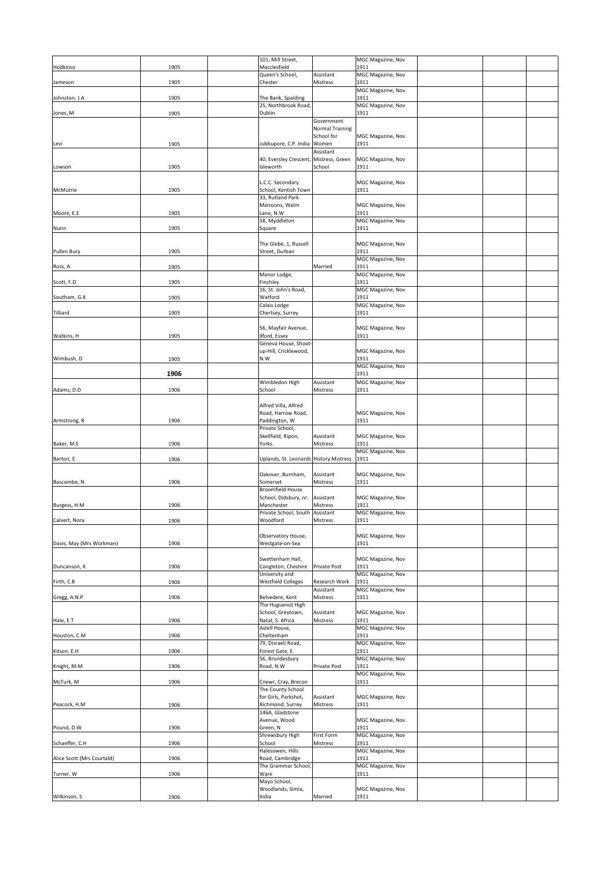| Hodkinso                   | 1905 | 101, Mill Street,<br>Macclesfield           |                               | MGC Magazine, Nov<br>1911        |  |  |
|----------------------------|------|---------------------------------------------|-------------------------------|----------------------------------|--|--|
|                            |      | Queen's School,                             | Assistant                     | MGC Magazine, Nov                |  |  |
| Jameson                    | 1905 | Chester                                     | <b>Mistress</b>               | 1911                             |  |  |
| Johnston, J.A              | 1905 | The Bank, Spalding                          |                               | MGC Magazine, Nov<br>1911        |  |  |
|                            |      | 25, Northbrook Road,                        |                               | MGC Magazine, Nov                |  |  |
| Jones, M                   | 1905 | <b>Dublin</b>                               |                               | 1911                             |  |  |
|                            |      |                                             | Government<br>Normal Training |                                  |  |  |
|                            |      |                                             | School for                    | MGC Magazine, Nov                |  |  |
| Levi                       | 1905 | Jubbupore, C.P. India Women                 |                               | 1911                             |  |  |
|                            |      | 40, Eversley Crescent, Mistress, Green      | Assistant                     | MGC Magazine, Nov                |  |  |
| Lowson                     | 1905 | Isleworth                                   | School                        | 1911                             |  |  |
|                            |      |                                             |                               |                                  |  |  |
| McMutrie                   | 1905 | L.C.C. Secondary<br>School, Kentish Town    |                               | MGC Magazine, Nov<br>1911        |  |  |
|                            |      | 33, Rutland Park                            |                               |                                  |  |  |
|                            |      | Mansions, Walm                              |                               | MGC Magazine, Nov                |  |  |
| Moore, E.E                 | 1905 | Lane, N.W<br>58, Myddleton                  |                               | 1911<br>MGC Magazine, Nov        |  |  |
| Nunn                       | 1905 | Square                                      |                               | 1911                             |  |  |
|                            |      |                                             |                               |                                  |  |  |
| <b>Pullen Bury</b>         | 1905 | The Glebe, 1, Russell<br>Street, Durban     |                               | MGC Magazine, Nov<br>1911        |  |  |
|                            |      |                                             |                               | MGC Magazine, Nov                |  |  |
| Ross, A                    | 1905 | Manor Lodge,                                | Married                       | 1911<br>MGC Magazine, Nov        |  |  |
| Scott, F.D                 | 1905 | Finchley                                    |                               | 1911                             |  |  |
|                            |      | 16, St. John's Road,                        |                               | MGC Magazine, Nov                |  |  |
| Southam, G.K               | 1905 | Watford<br>Calais Lodge                     |                               | 1911<br><b>MGC Magazine, Nov</b> |  |  |
| Tilliard                   | 1905 | Chertsey, Surrey                            |                               | 1911                             |  |  |
|                            |      |                                             |                               |                                  |  |  |
| Watkins, H                 | 1905 | 56, Mayfair Avenue,<br>Ilford, Essex        |                               | MGC Magazine, Nov<br>1911        |  |  |
|                            |      | Geneva House, Shoot-                        |                               |                                  |  |  |
|                            |      | up-Hill, Cricklewood,                       |                               | MGC Magazine, Nov                |  |  |
| Wimbush, D                 | 1905 | N.W                                         |                               | 1911<br>MGC Magazine, Nov        |  |  |
|                            | 1906 |                                             |                               | 1911                             |  |  |
|                            |      | Wimbledon High                              | Assistant                     | <b>MGC Magazine, Nov</b>         |  |  |
| Adams, D.D                 | 1906 | School                                      | <b>Mistress</b>               | 1911                             |  |  |
|                            |      | Alfred Villa, Alfred                        |                               |                                  |  |  |
|                            |      | Road, Harrow Road,                          |                               | MGC Magazine, Nov                |  |  |
| Armstrong, R               | 1906 | Paddington, W<br>Private School,            |                               | 1911                             |  |  |
|                            |      |                                             |                               |                                  |  |  |
|                            |      | Skellfield, Ripon,                          | Assistant                     | MGC Magazine, Nov                |  |  |
| Baker, M.E                 | 1906 | Yorks.                                      | <b>Mistress</b>               | 1911                             |  |  |
| Barton, E                  | 1906 | Uplands, St. Leonards History Mistress 1911 |                               | MGC Magazine, Nov                |  |  |
|                            |      |                                             |                               |                                  |  |  |
|                            |      | Oakover, Burnham,                           | Assistant                     | MGC Magazine, Nov                |  |  |
| Bascombe, N                | 1906 | Somerset<br><b>Broomfield House</b>         | <b>Mistress</b>               | 1911                             |  |  |
|                            |      | School, Didsbury, nr.                       | Assistant                     | MGC Magazine, Nov                |  |  |
| Burgess, H.M               | 1906 | Manchester                                  | <b>Mistress</b>               | 1911                             |  |  |
| Calvert, Nora              | 1906 | Private School, South Assistant<br>Woodford | <b>Mistress</b>               | <b>MGC Magazine, Nov</b><br>1911 |  |  |
|                            |      |                                             |                               |                                  |  |  |
|                            |      | Observatory House,                          |                               | MGC Magazine, Nov                |  |  |
| Davis, May (Mrs Workman)   | 1906 | Westgate-on-Sea                             |                               | 1911                             |  |  |
|                            |      | Swettenham Hall,                            |                               | MGC Magazine, Nov                |  |  |
| Duncanson, K               | 1906 | Congleton, Cheshire                         | <b>Private Post</b>           | 1911                             |  |  |
| Firth, C.B                 | 1906 | University and<br><b>Westfield Colleges</b> | <b>Research Work</b>          | MGC Magazine, Nov<br>1911        |  |  |
|                            |      |                                             | Assistant                     | MGC Magazine, Nov                |  |  |
| Gregg, A.N.P               | 1906 | Belvedere, Kent<br>The Huguenot High        | <b>Mistress</b>               | 1911                             |  |  |
|                            |      | School, Greytown,                           | Assistant                     | MGC Magazine, Nov                |  |  |
| Hale, E.T                  | 1906 | Natal, S. Africa                            | <b>Mistress</b>               | 1911                             |  |  |
| Houston, C.M               | 1906 | Astell House,<br>Cheltenham                 |                               | MGC Magazine, Nov<br>1911        |  |  |
|                            |      | 79, Disraeli Road,                          |                               | MGC Magazine, Nov                |  |  |
| Kitson, E.H                | 1906 | Forest Gate, E                              |                               | 1911                             |  |  |
| Knight, M.M                | 1906 | 56, Brondesbury<br>Road, N.W                | <b>Private Post</b>           | MGC Magazine, Nov<br>1911        |  |  |
|                            |      |                                             |                               | <b>MGC Magazine, Nov</b>         |  |  |
| McTurk, M                  | 1906 | Cnewr, Cray, Brecon<br>The County School    |                               | 1911                             |  |  |
|                            |      | for Girls, Parkshot,                        | Assistant                     | MGC Magazine, Nov                |  |  |
| Peacock, H.M               | 1906 | Richmond, Surrey                            | <b>Mistress</b>               | 1911                             |  |  |
|                            |      | 146A, Gladstone<br>Avenue, Wood             |                               | MGC Magazine, Nov                |  |  |
| Pound, D.W                 | 1906 | Green, N                                    |                               | 1911                             |  |  |
|                            |      | Shrewsbury High                             | <b>First Form</b>             | <b>MGC Magazine, Nov</b>         |  |  |
| Schaeffer, C.H             | 1906 | School<br>Halesowen, Hills                  | <b>Mistress</b>               | 1911<br>MGC Magazine, Nov        |  |  |
| Alice Scott (Mrs Courtald) | 1906 | Road, Cambridge                             |                               | 1911                             |  |  |
|                            |      | The Grammar School,<br>Ware                 |                               | MGC Magazine, Nov                |  |  |
| Turner, W                  | 1906 | Mayo School,                                |                               | 1911                             |  |  |
| Wilkinson, S               | 1906 | Woodlands, Simla,<br>India                  | Married                       | MGC Magazine, Nov<br>1911        |  |  |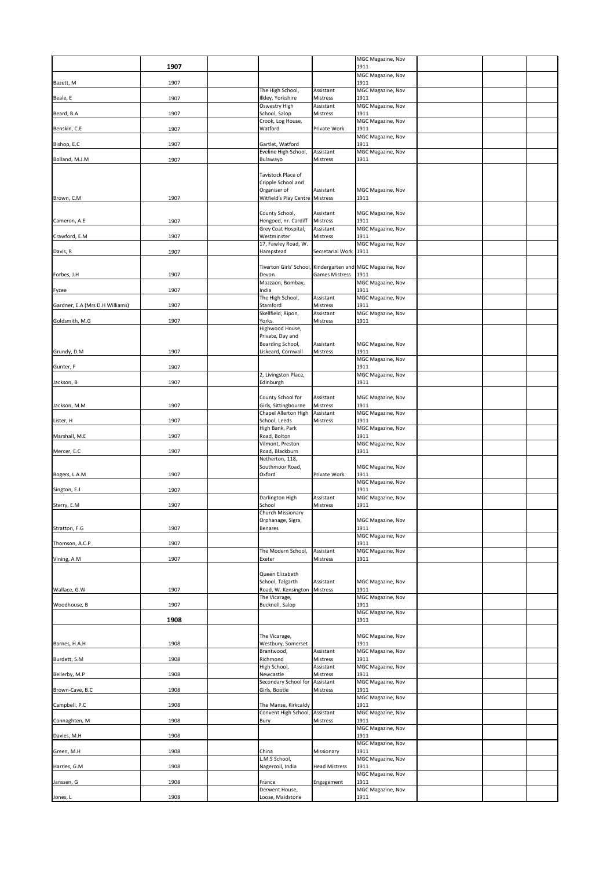|                                 |      |                                             |                       | MGC Magazine, Nov                                          |  |  |
|---------------------------------|------|---------------------------------------------|-----------------------|------------------------------------------------------------|--|--|
|                                 | 1907 |                                             |                       | 1911                                                       |  |  |
| Bazett, M                       | 1907 |                                             |                       | MGC Magazine, Nov<br>1911                                  |  |  |
|                                 |      | The High School,                            | Assistant             | MGC Magazine, Nov                                          |  |  |
| Beale, E                        | 1907 | Ilkley, Yorkshire<br>Oswestry High          | Mistress<br>Assistant | 1911<br>MGC Magazine, Nov                                  |  |  |
| Beard, B.A                      | 1907 | School, Salop<br>Crook, Log House,          | Mistress              | 1911<br>MGC Magazine, Nov                                  |  |  |
| Benskin, C.E                    | 1907 | Watford                                     | Private Work          | 1911                                                       |  |  |
| Bishop, E.C                     | 1907 | Gartlet, Watford                            |                       | MGC Magazine, Nov<br>1911                                  |  |  |
|                                 |      | Eveline High School,                        | Assistant             | MGC Magazine, Nov                                          |  |  |
| Bolland, M.J.M                  | 1907 | Bulawayo                                    | Mistress              | 1911                                                       |  |  |
|                                 |      | Tavistock Place of<br>Cripple School and    |                       |                                                            |  |  |
|                                 |      | Organiser of                                | Assistant             | MGC Magazine, Nov                                          |  |  |
| Brown, C.M                      | 1907 | Witfield's Play Centre Mistress             |                       | 1911                                                       |  |  |
|                                 |      | County School,                              | Assistant             | MGC Magazine, Nov<br>1911                                  |  |  |
| Cameron, A.E                    | 1907 | Hengoed, nr. Cardiff<br>Grey Coat Hospital, | Mistress<br>Assistant | MGC Magazine, Nov                                          |  |  |
| Crawford, E.M                   | 1907 | Westminster<br>17, Fawley Road, W.          | Mistress              | 1911<br>MGC Magazine, Nov                                  |  |  |
| Davis, R                        | 1907 | Hampstead                                   | Secretarial Work 1911 |                                                            |  |  |
|                                 |      |                                             |                       | Tiverton Girls' School, Kindergarten and MGC Magazine, Nov |  |  |
| Forbes, J.H                     | 1907 | Devon<br>Mazzaon, Bombay,                   | <b>Games Mistress</b> | 1911<br><b>MGC Magazine, Nov</b>                           |  |  |
| Fyzee                           | 1907 | India                                       |                       | 1911                                                       |  |  |
| Gardner, E.A (Mrs D.H Williams) | 1907 | The High School,<br>Stamford                | Assistant<br>Mistress | MGC Magazine, Nov<br>1911                                  |  |  |
|                                 |      | Skellfield, Ripon,                          | Assistant             | MGC Magazine, Nov                                          |  |  |
| Goldsmith, M.G                  | 1907 | Yorks.<br>Highwood House,                   | Mistress              | 1911                                                       |  |  |
|                                 |      | Private, Day and<br>Boarding School,        | Assistant             | MGC Magazine, Nov                                          |  |  |
| Grundy, D.M                     | 1907 | Liskeard, Cornwall                          | Mistress              | 1911                                                       |  |  |
| Gunter, F                       | 1907 |                                             |                       | MGC Magazine, Nov<br>1911                                  |  |  |
| Jackson, B                      | 1907 | 2, Livingston Place,<br>Edinburgh           |                       | MGC Magazine, Nov<br>1911                                  |  |  |
|                                 |      |                                             |                       |                                                            |  |  |
| Jackson, M.M                    | 1907 | County School for<br>Girls, Sittingbourne   | Assistant<br>Mistress | <b>MGC Magazine, Nov</b><br>1911                           |  |  |
| Lister, H                       | 1907 | Chapel Allerton High<br>School, Leeds       | Assistant<br>Mistress | MGC Magazine, Nov<br>1911                                  |  |  |
|                                 |      | High Bank, Park                             |                       | MGC Magazine, Nov                                          |  |  |
| Marshall, M.E                   | 1907 | Road, Bolton<br>Vilmont, Preston            |                       | 1911<br>MGC Magazine, Nov                                  |  |  |
| Mercer, E.C                     | 1907 | Road, Blackburn<br>Netherton, 118,          |                       | 1911                                                       |  |  |
|                                 |      | Southmoor Road,                             |                       | <b>MGC Magazine, Nov</b>                                   |  |  |
| Rogers, L.A.M                   | 1907 | Oxford                                      | Private Work          | 1911<br>MGC Magazine, Nov                                  |  |  |
| Sington, E.J                    | 1907 | Darlington High                             | Assistant             | 1911<br>MGC Magazine, Nov                                  |  |  |
| Sterry, E.M                     | 1907 | School                                      | Mistress              | 1911                                                       |  |  |
|                                 |      | Church Missionary<br>Orphanage, Sigra,      |                       | <b>MGC Magazine, Nov</b>                                   |  |  |
| Stratton, F.G                   | 1907 | Benares                                     |                       | 1911<br>MGC Magazine, Nov                                  |  |  |
| Thomson, A.C.P                  | 1907 |                                             |                       | 1911                                                       |  |  |
| Vining, A.M                     | 1907 | The Modern School,<br>Exeter                | Assistant<br>Mistress | MGC Magazine, Nov<br>1911                                  |  |  |
|                                 |      | Queen Elizabeth                             |                       |                                                            |  |  |
|                                 |      | School, Talgarth                            | Assistant             | <b>MGC Magazine, Nov</b>                                   |  |  |
| Wallace, G.W                    | 1907 | Road, W. Kensington<br>The Vicarage,        | Mistress              | 1911<br><b>MGC Magazine, Nov</b>                           |  |  |
| Woodhouse, B                    | 1907 | Bucknell, Salop                             |                       | 1911<br>MGC Magazine, Nov                                  |  |  |
|                                 | 1908 |                                             |                       | 1911                                                       |  |  |
|                                 |      | The Vicarage,                               |                       | <b>MGC Magazine, Nov</b>                                   |  |  |
| Barnes, H.A.H                   | 1908 | Westbury, Somerset<br>Brantwood,            | Assistant             | 1911<br>MGC Magazine, Nov                                  |  |  |
| Burdett, S.M                    | 1908 | Richmond                                    | Mistress              | 1911                                                       |  |  |
| Bellerby, M.P                   | 1908 | High School,<br>Newcastle                   | Assistant<br>Mistress | <b>MGC Magazine, Nov</b><br>1911                           |  |  |
| Brown-Cave, B.C                 | 1908 | Secondary School for<br>Girls, Bootle       | Assistant<br>Mistress | MGC Magazine, Nov<br>1911                                  |  |  |
| Campbell, P.C                   | 1908 | The Manse, Kirkcaldy                        |                       | MGC Magazine, Nov<br>1911                                  |  |  |
|                                 |      | Convent High School, Assistant              |                       | MGC Magazine, Nov                                          |  |  |
| Connaghten, M                   | 1908 | Bury                                        | Mistress              | 1911<br>MGC Magazine, Nov                                  |  |  |
| Davies, M.H                     | 1908 |                                             |                       | 1911<br>MGC Magazine, Nov                                  |  |  |
| Green, M.H                      | 1908 | China                                       | Missionary            | 1911                                                       |  |  |
| Harries, G.M                    | 1908 | L.M.S School,<br>Nagercoil, India           | <b>Head Mistress</b>  | MGC Magazine, Nov<br>1911                                  |  |  |
| Janssen, G                      | 1908 | France                                      | Engagement            | MGC Magazine, Nov<br>1911                                  |  |  |
|                                 |      | Derwent House,                              |                       | MGC Magazine, Nov                                          |  |  |
| Jones, L                        | 1908 | Loose, Maidstone                            |                       | 1911                                                       |  |  |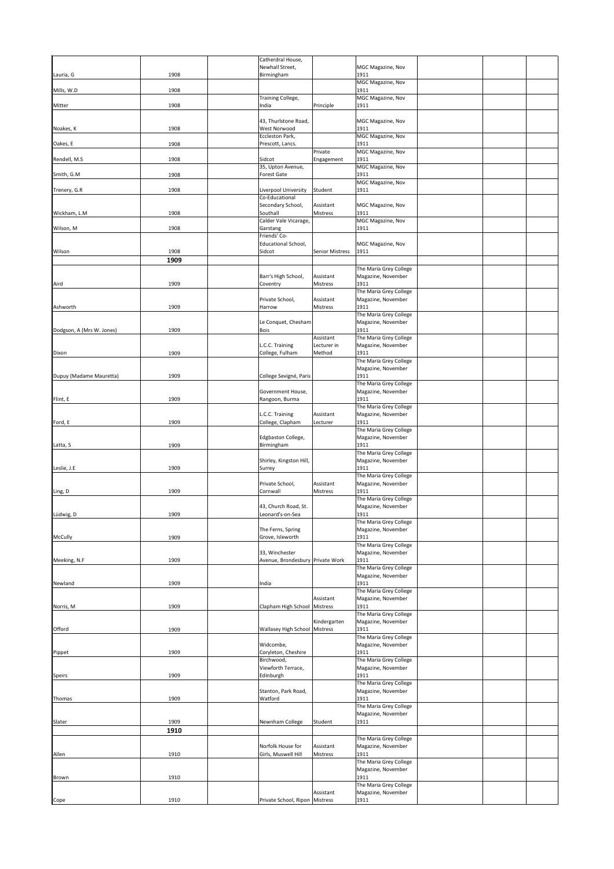|                           |              | Catherdral House,                                  |                                 |                                              |  |  |
|---------------------------|--------------|----------------------------------------------------|---------------------------------|----------------------------------------------|--|--|
|                           |              | Newhall Street,                                    |                                 | <b>MGC Magazine, Nov</b>                     |  |  |
| Lauria, G                 | 1908         | Birmingham                                         |                                 | 1911<br>MGC Magazine, Nov                    |  |  |
| Mills, W.D                | 1908         |                                                    |                                 | 1911                                         |  |  |
| Mitter                    | 1908         | Training College,<br>India                         | Principle                       | MGC Magazine, Nov<br>1911                    |  |  |
|                           |              |                                                    |                                 |                                              |  |  |
|                           |              | 43, Thurlstone Road,                               |                                 | <b>MGC Magazine, Nov</b>                     |  |  |
| Noakes, K                 | 1908         | West Norwood<br>Eccleston Park,                    |                                 | 1911<br>MGC Magazine, Nov                    |  |  |
| Oakes, E                  | 1908         | Prescott, Lancs.                                   |                                 | 1911                                         |  |  |
| Rendell, M.S              | 1908         | Sidcot                                             | Private<br>Engagement           | MGC Magazine, Nov<br>1911                    |  |  |
|                           |              | 35, Upton Avenue,                                  |                                 | MGC Magazine, Nov                            |  |  |
| Smith, G.M                | 1908         | <b>Forest Gate</b>                                 |                                 | 1911<br>MGC Magazine, Nov                    |  |  |
| Trenery, G.R              | 1908         | Liverpool University                               | Student                         | 1911                                         |  |  |
|                           |              | Co-Educational<br>Secondary School,                | Assistant                       | <b>MGC Magazine, Nov</b>                     |  |  |
| Wickham, L.M              | 1908         | Southall                                           | Mistress                        | 1911                                         |  |  |
| Wilson, M                 | 1908         | Calder Vale Vicarage,<br>Garstang                  |                                 | MGC Magazine, Nov<br>1911                    |  |  |
|                           |              | Friends' Co-                                       |                                 |                                              |  |  |
| Wilson                    | 1908         | <b>Educational School,</b><br>Sidcot               | <b>Senior Mistress</b>          | <b>MGC Magazine, Nov</b><br>1911             |  |  |
|                           | 1909         |                                                    |                                 |                                              |  |  |
|                           |              |                                                    |                                 | The Maria Grey College                       |  |  |
| Aird                      | 1909         | Barr's High School,<br>Coventry                    | Assistant<br>Mistress           | Magazine, November<br>1911                   |  |  |
|                           |              |                                                    |                                 | The Maria Grey College                       |  |  |
| Ashworth                  | 1909         | Private School,<br>Harrow                          | Assistant<br>Mistress           | Magazine, November<br>1911                   |  |  |
|                           |              |                                                    |                                 | The Maria Grey College                       |  |  |
|                           |              | Le Conquet, Chesham                                |                                 | Magazine, November                           |  |  |
| Dodgson, A (Mrs W. Jones) | 1909         | <b>Bois</b>                                        | Assistant                       | 1911<br>The Maria Grey College               |  |  |
|                           |              | L.C.C. Training                                    | Lecturer in                     | Magazine, November                           |  |  |
| Dixon                     | 1909         | College, Fulham                                    | Method                          | 1911<br>The Maria Grey College               |  |  |
|                           |              |                                                    |                                 | Magazine, November                           |  |  |
| Dupuy (Madame Mauretta)   | 1909         | College Sevigné, Paris                             |                                 | 1911<br>The Maria Grey College               |  |  |
|                           |              | Government House,                                  |                                 | Magazine, November                           |  |  |
| Flint, E                  | 1909         | Rangoon, Burma                                     |                                 | 1911                                         |  |  |
|                           |              | L.C.C. Training                                    | Assistant                       | The Maria Grey College<br>Magazine, November |  |  |
| Ford, E                   | 1909         | College, Clapham                                   | Lecturer                        | 1911                                         |  |  |
|                           |              | Edgbaston College,                                 |                                 | The Maria Grey College<br>Magazine, November |  |  |
| Latta, S                  | 1909         | Birmingham                                         |                                 | 1911                                         |  |  |
|                           |              | Shirley, Kingston Hill,                            |                                 | The Maria Grey College<br>Magazine, November |  |  |
| Leslie, J.E               | 1909         | Surrey                                             |                                 | 1911                                         |  |  |
|                           |              | Private School,                                    | Assistant                       | The Maria Grey College<br>Magazine, November |  |  |
| Ling, D                   | 1909         | Cornwall                                           | <b>Mistress</b>                 | 1911                                         |  |  |
|                           |              | 43, Church Road, St.                               |                                 | The Maria Grey College                       |  |  |
| Lüdwig, D                 | 1909         | Leonard's-on-Sea                                   |                                 | Magazine, November<br>1911                   |  |  |
|                           |              |                                                    |                                 | The Maria Grey College                       |  |  |
| <b>McCully</b>            | 1909         | The Ferns, Spring<br>Grove, Isleworth              |                                 | Magazine, November<br>1911                   |  |  |
|                           |              |                                                    |                                 | The Maria Grey College                       |  |  |
| Meeking, N.F              | 1909         | 33, Winchester<br>Avenue, Brondesbury Private Work |                                 | Magazine, November<br>1911                   |  |  |
|                           |              |                                                    |                                 | The Maria Grey College                       |  |  |
| Newland                   | 1909         | India                                              |                                 | Magazine, November<br>1911                   |  |  |
|                           |              |                                                    |                                 | The Maria Grey College                       |  |  |
| Norris, M                 | 1909         | Clapham High School Mistress                       | Assistant                       | Magazine, November<br>1911                   |  |  |
|                           |              |                                                    |                                 | The Maria Grey College                       |  |  |
| Offord                    | 1909         | <b>Wallasey High School</b>                        | Kindergarten<br><b>Mistress</b> | Magazine, November<br>1911                   |  |  |
|                           |              |                                                    |                                 | The Maria Grey College                       |  |  |
|                           | 1909         | Widcombe,<br>Coryleton, Cheshire                   |                                 | Magazine, November<br>1911                   |  |  |
| Pippet                    |              | Birchwood,                                         |                                 | The Maria Grey College                       |  |  |
|                           |              | Viewforth Terrace,                                 |                                 | Magazine, November                           |  |  |
| <b>Speirs</b>             | 1909         | Edinburgh                                          |                                 | 1911<br>The Maria Grey College               |  |  |
|                           |              | Stanton, Park Road,                                |                                 | Magazine, November                           |  |  |
| Thomas                    | 1909         | Watford                                            |                                 | 1911<br>The Maria Grey College               |  |  |
|                           |              |                                                    |                                 | Magazine, November                           |  |  |
| Slater                    | 1909<br>1910 | Newnham College                                    | Student                         | 1911                                         |  |  |
|                           |              |                                                    |                                 | The Maria Grey College                       |  |  |
|                           |              | Norfolk House for                                  | Assistant                       | Magazine, November                           |  |  |
| Allen                     | 1910         | Girls, Muswell Hill                                | Mistress                        | 1911<br>The Maria Grey College               |  |  |
|                           |              |                                                    |                                 | Magazine, November                           |  |  |
| Brown                     | 1910         |                                                    |                                 | 1911<br>The Maria Grey College               |  |  |
|                           |              |                                                    | Assistant                       | Magazine, November                           |  |  |
| Cope                      | 1910         | Private School, Ripon Mistress                     |                                 | 1911                                         |  |  |